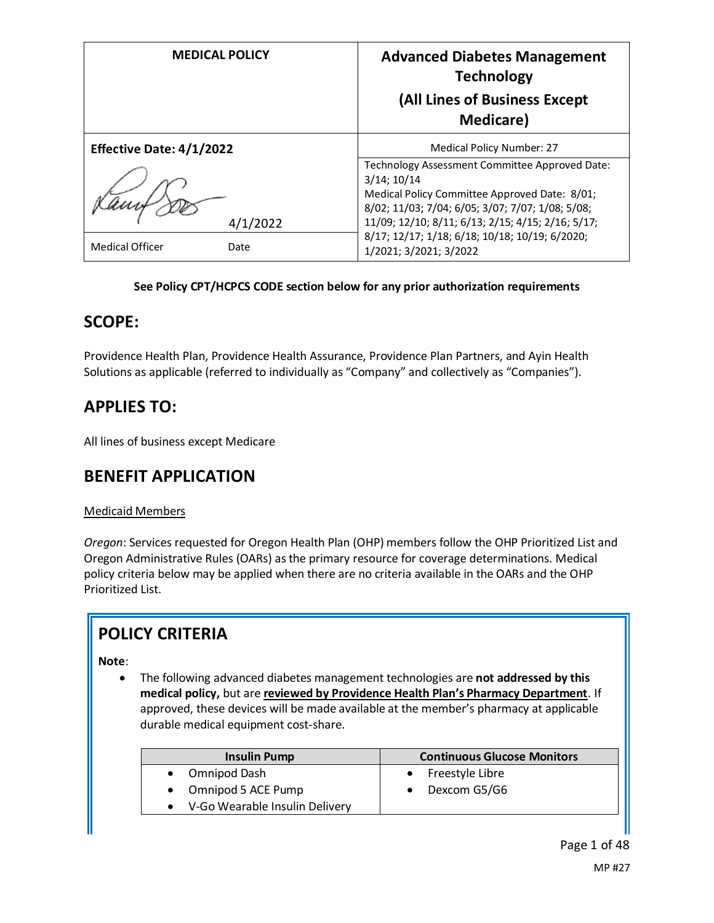| <b>MEDICAL POLICY</b>           |          | <b>Advanced Diabetes Management</b><br><b>Technology</b><br>(All Lines of Business Except<br><b>Medicare</b> )                                                                                                               |  |
|---------------------------------|----------|------------------------------------------------------------------------------------------------------------------------------------------------------------------------------------------------------------------------------|--|
| <b>Effective Date: 4/1/2022</b> |          | Medical Policy Number: 27                                                                                                                                                                                                    |  |
|                                 | 4/1/2022 | Technology Assessment Committee Approved Date:<br>$3/14$ ; $10/14$<br>Medical Policy Committee Approved Date: 8/01;<br>8/02; 11/03; 7/04; 6/05; 3/07; 7/07; 1/08; 5/08;<br>11/09; 12/10; 8/11; 6/13; 2/15; 4/15; 2/16; 5/17; |  |
| <b>Medical Officer</b>          | Date     | 8/17; 12/17; 1/18; 6/18; 10/18; 10/19; 6/2020;<br>1/2021; 3/2021; 3/2022                                                                                                                                                     |  |

# **See Policy CPT/HCPCS CODE section below for any prior authorization requirements**

# **SCOPE:**

Providence Health Plan, Providence Health Assurance, Providence Plan Partners, and Ayin Health Solutions as applicable (referred to individually as "Company" and collectively as "Companies").

# **APPLIES TO:**

All lines of business except Medicare

# **BENEFIT APPLICATION**

# Medicaid Members

*Oregon*: Services requested for Oregon Health Plan (OHP) members follow the OHP Prioritized List and Oregon Administrative Rules (OARs) as the primary resource for coverage determinations. Medical policy criteria below may be applied when there are no criteria available in the OARs and the OHP Prioritized List.

# **POLICY CRITERIA**

# **Note**:

• The following advanced diabetes management technologies are **not addressed by this medical policy,** but are **reviewed by Providence Health Plan's Pharmacy Department**. If approved, these devices will be made available at the member's pharmacy at applicable durable medical equipment cost-share.

| <b>Insulin Pump</b>              | <b>Continuous Glucose Monitors</b> |
|----------------------------------|------------------------------------|
| • Omnipod Dash                   | Freestyle Libre<br>$\bullet$       |
| • Omnipod 5 ACE Pump             | Dexcom G5/G6                       |
| • V-Go Wearable Insulin Delivery |                                    |
|                                  |                                    |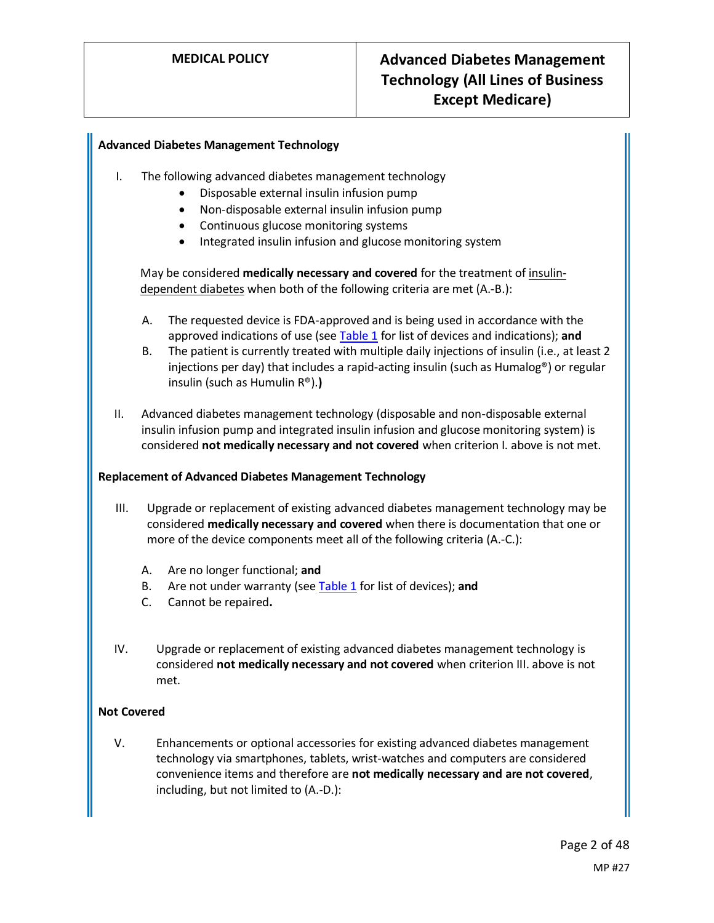## **Advanced Diabetes Management Technology**

- I. The following advanced diabetes management technology
	- Disposable external insulin infusion pump
	- Non-disposable external insulin infusion pump
	- Continuous glucose monitoring systems
	- Integrated insulin infusion and glucose monitoring system

May be considered **medically necessary and covered** for the treatment of insulindependent diabetes when both of the following criteria are met (A.-B.):

- A. The requested device is FDA-approved and is being used in accordance with the approved indications of use (see [Table 1](#page-5-0) for list of devices and indications); **and**
- B. The patient is currently treated with multiple daily injections of insulin (i.e., at least 2 injections per day) that includes a rapid-acting insulin (such as Humalog®) or regular insulin (such as Humulin R®).**)**
- II. Advanced diabetes management technology (disposable and non-disposable external insulin infusion pump and integrated insulin infusion and glucose monitoring system) is considered **not medically necessary and not covered** when criterion I. above is not met.

#### **Replacement of Advanced Diabetes Management Technology**

- III. Upgrade or replacement of existing advanced diabetes management technology may be considered **medically necessary and covered** when there is documentation that one or more of the device components meet all of the following criteria (A.-C.):
	- A. Are no longer functional; **and**
	- B. Are not under warranty (se[e Table 1](#page-5-0) for list of devices); **and**
	- C. Cannot be repaired**.**
- IV. Upgrade or replacement of existing advanced diabetes management technology is considered **not medically necessary and not covered** when criterion III. above is not met.

#### **Not Covered**

V. Enhancements or optional accessories for existing advanced diabetes management technology via smartphones, tablets, wrist-watches and computers are considered convenience items and therefore are **not medically necessary and are not covered**, including, but not limited to (A.-D.):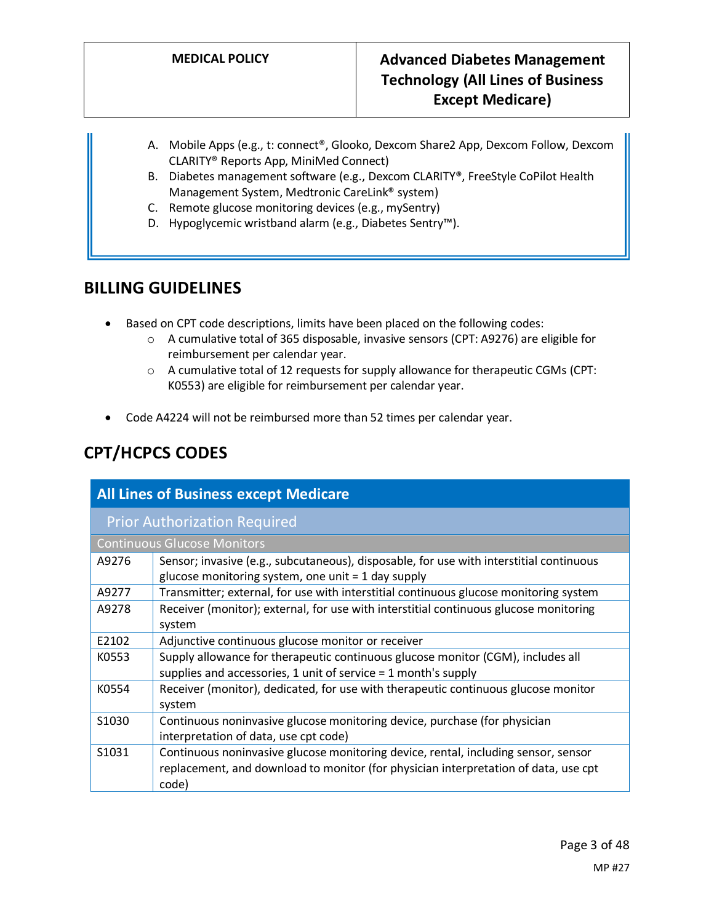- A. Mobile Apps (e.g., t: connect®, Glooko, Dexcom Share2 App, Dexcom Follow, Dexcom CLARITY® Reports App, MiniMed Connect)
- B. Diabetes management software (e.g., Dexcom CLARITY®, FreeStyle CoPilot Health Management System, Medtronic CareLink® system)
- C. Remote glucose monitoring devices (e.g., mySentry)
- D. Hypoglycemic wristband alarm (e.g., Diabetes Sentry™).

# **BILLING GUIDELINES**

- Based on CPT code descriptions, limits have been placed on the following codes:
	- o A cumulative total of 365 disposable, invasive sensors (CPT: A9276) are eligible for reimbursement per calendar year.
	- $\circ$  A cumulative total of 12 requests for supply allowance for therapeutic CGMs (CPT: K0553) are eligible for reimbursement per calendar year.
- Code A4224 will not be reimbursed more than 52 times per calendar year.

# **CPT/HCPCS CODES**

|                   | <b>All Lines of Business except Medicare</b>                                                                                                                                       |  |  |  |  |
|-------------------|------------------------------------------------------------------------------------------------------------------------------------------------------------------------------------|--|--|--|--|
|                   | <b>Prior Authorization Required</b>                                                                                                                                                |  |  |  |  |
|                   | <b>Continuous Glucose Monitors</b>                                                                                                                                                 |  |  |  |  |
| A9276             | Sensor; invasive (e.g., subcutaneous), disposable, for use with interstitial continuous<br>glucose monitoring system, one unit $=$ 1 day supply                                    |  |  |  |  |
| A9277             | Transmitter; external, for use with interstitial continuous glucose monitoring system                                                                                              |  |  |  |  |
| A9278             | Receiver (monitor); external, for use with interstitial continuous glucose monitoring<br>system                                                                                    |  |  |  |  |
| E2102             | Adjunctive continuous glucose monitor or receiver                                                                                                                                  |  |  |  |  |
| K0553             | Supply allowance for therapeutic continuous glucose monitor (CGM), includes all<br>supplies and accessories, 1 unit of service = 1 month's supply                                  |  |  |  |  |
| K0554             | Receiver (monitor), dedicated, for use with therapeutic continuous glucose monitor<br>system                                                                                       |  |  |  |  |
| S <sub>1030</sub> | Continuous noninvasive glucose monitoring device, purchase (for physician<br>interpretation of data, use cpt code)                                                                 |  |  |  |  |
| S <sub>1031</sub> | Continuous noninvasive glucose monitoring device, rental, including sensor, sensor<br>replacement, and download to monitor (for physician interpretation of data, use cpt<br>code) |  |  |  |  |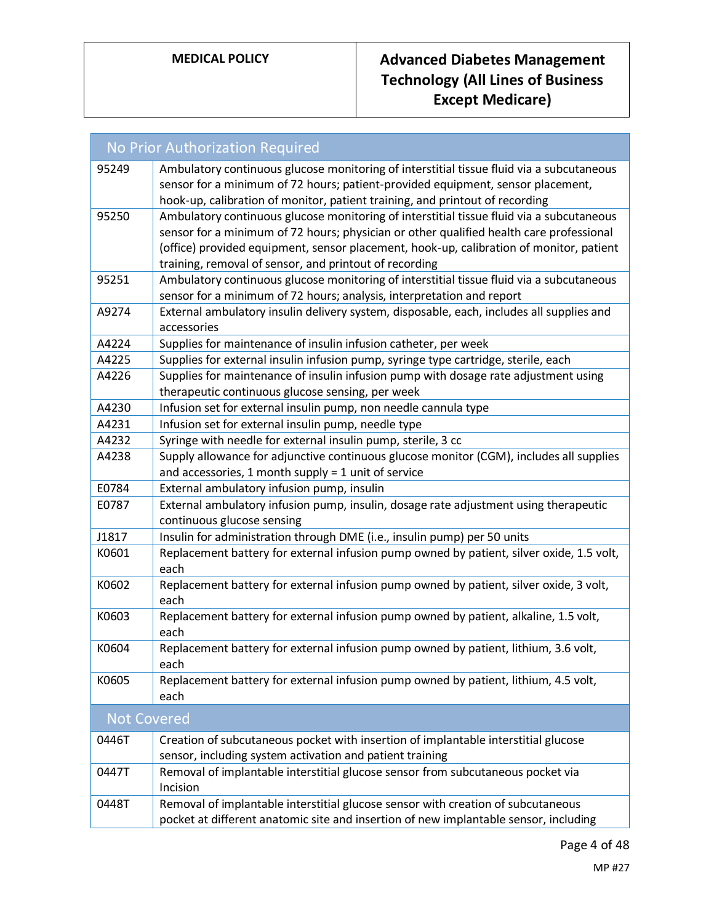|                    | <b>No Prior Authorization Required</b>                                                                                                                                                                                                                                                                                                   |
|--------------------|------------------------------------------------------------------------------------------------------------------------------------------------------------------------------------------------------------------------------------------------------------------------------------------------------------------------------------------|
| 95249              | Ambulatory continuous glucose monitoring of interstitial tissue fluid via a subcutaneous<br>sensor for a minimum of 72 hours; patient-provided equipment, sensor placement,<br>hook-up, calibration of monitor, patient training, and printout of recording                                                                              |
| 95250              | Ambulatory continuous glucose monitoring of interstitial tissue fluid via a subcutaneous<br>sensor for a minimum of 72 hours; physician or other qualified health care professional<br>(office) provided equipment, sensor placement, hook-up, calibration of monitor, patient<br>training, removal of sensor, and printout of recording |
| 95251              | Ambulatory continuous glucose monitoring of interstitial tissue fluid via a subcutaneous<br>sensor for a minimum of 72 hours; analysis, interpretation and report                                                                                                                                                                        |
| A9274              | External ambulatory insulin delivery system, disposable, each, includes all supplies and<br>accessories                                                                                                                                                                                                                                  |
| A4224              | Supplies for maintenance of insulin infusion catheter, per week                                                                                                                                                                                                                                                                          |
| A4225              | Supplies for external insulin infusion pump, syringe type cartridge, sterile, each                                                                                                                                                                                                                                                       |
| A4226              | Supplies for maintenance of insulin infusion pump with dosage rate adjustment using<br>therapeutic continuous glucose sensing, per week                                                                                                                                                                                                  |
| A4230              | Infusion set for external insulin pump, non needle cannula type                                                                                                                                                                                                                                                                          |
| A4231              | Infusion set for external insulin pump, needle type                                                                                                                                                                                                                                                                                      |
| A4232              | Syringe with needle for external insulin pump, sterile, 3 cc                                                                                                                                                                                                                                                                             |
| A4238              | Supply allowance for adjunctive continuous glucose monitor (CGM), includes all supplies<br>and accessories, 1 month supply = 1 unit of service                                                                                                                                                                                           |
| E0784              | External ambulatory infusion pump, insulin                                                                                                                                                                                                                                                                                               |
| E0787              | External ambulatory infusion pump, insulin, dosage rate adjustment using therapeutic<br>continuous glucose sensing                                                                                                                                                                                                                       |
| J1817              | Insulin for administration through DME (i.e., insulin pump) per 50 units                                                                                                                                                                                                                                                                 |
| K0601              | Replacement battery for external infusion pump owned by patient, silver oxide, 1.5 volt,<br>each                                                                                                                                                                                                                                         |
| K0602              | Replacement battery for external infusion pump owned by patient, silver oxide, 3 volt,<br>each                                                                                                                                                                                                                                           |
| K0603              | Replacement battery for external infusion pump owned by patient, alkaline, 1.5 volt,<br>each                                                                                                                                                                                                                                             |
| K0604              | Replacement battery for external infusion pump owned by patient, lithium, 3.6 volt,<br>each                                                                                                                                                                                                                                              |
| K0605              | Replacement battery for external infusion pump owned by patient, lithium, 4.5 volt,<br>each                                                                                                                                                                                                                                              |
| <b>Not Covered</b> |                                                                                                                                                                                                                                                                                                                                          |
| 0446T              | Creation of subcutaneous pocket with insertion of implantable interstitial glucose<br>sensor, including system activation and patient training                                                                                                                                                                                           |
| 0447T              | Removal of implantable interstitial glucose sensor from subcutaneous pocket via<br>Incision                                                                                                                                                                                                                                              |
| 0448T              | Removal of implantable interstitial glucose sensor with creation of subcutaneous<br>pocket at different anatomic site and insertion of new implantable sensor, including                                                                                                                                                                 |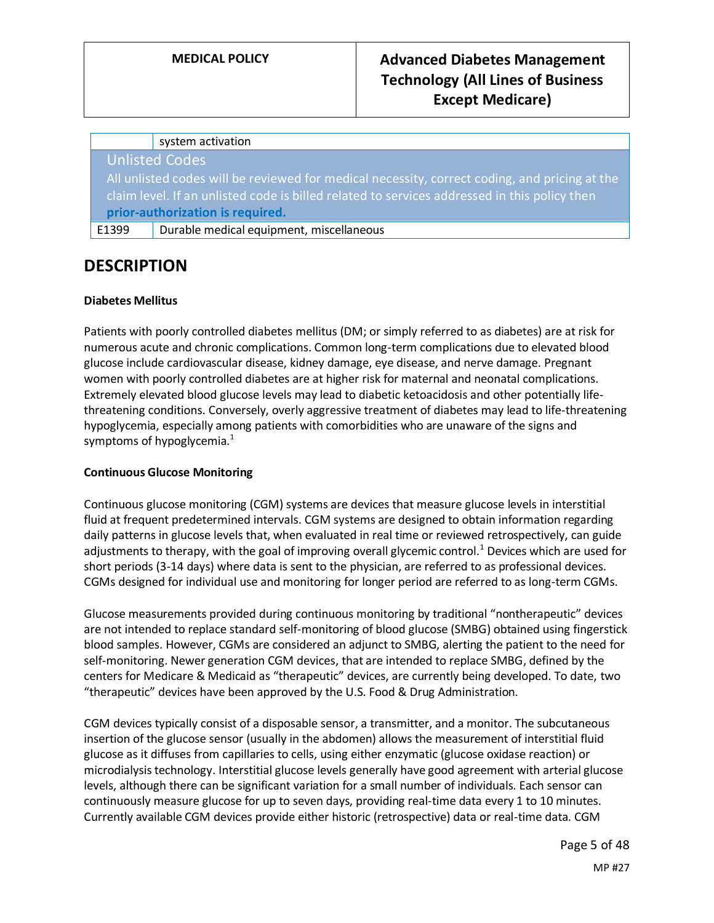#### system activation

Unlisted Codes

All unlisted codes will be reviewed for medical necessity, correct coding, and pricing at the claim level. If an unlisted code is billed related to services addressed in this policy then **prior-authorization is required.**

E1399 Durable medical equipment, miscellaneous

# **DESCRIPTION**

## **Diabetes Mellitus**

Patients with poorly controlled diabetes mellitus (DM; or simply referred to as diabetes) are at risk for numerous acute and chronic complications. Common long-term complications due to elevated blood glucose include cardiovascular disease, kidney damage, eye disease, and nerve damage. Pregnant women with poorly controlled diabetes are at higher risk for maternal and neonatal complications. Extremely elevated blood glucose levels may lead to diabetic ketoacidosis and other potentially lifethreatening conditions. Conversely, overly aggressive treatment of diabetes may lead to life-threatening hypoglycemia, especially among patients with comorbidities who are unaware of the signs and symptoms of hypoglycemia.<sup>1</sup>

#### **Continuous Glucose Monitoring**

Continuous glucose monitoring (CGM) systems are devices that measure glucose levels in interstitial fluid at frequent predetermined intervals. CGM systems are designed to obtain information regarding daily patterns in glucose levels that, when evaluated in real time or reviewed retrospectively, can guide adjustments to therapy, with the goal of improving overall glycemic control.<sup>1</sup> Devices which are used for short periods (3-14 days) where data is sent to the physician, are referred to as professional devices. CGMs designed for individual use and monitoring for longer period are referred to as long-term CGMs.

Glucose measurements provided during continuous monitoring by traditional "nontherapeutic" devices are not intended to replace standard self-monitoring of blood glucose (SMBG) obtained using fingerstick blood samples. However, CGMs are considered an adjunct to SMBG, alerting the patient to the need for self-monitoring. Newer generation CGM devices, that are intended to replace SMBG, defined by the centers for Medicare & Medicaid as "therapeutic" devices, are currently being developed. To date, two "therapeutic" devices have been approved by the U.S. Food & Drug Administration.

CGM devices typically consist of a disposable sensor, a transmitter, and a monitor. The subcutaneous insertion of the glucose sensor (usually in the abdomen) allows the measurement of interstitial fluid glucose as it diffuses from capillaries to cells, using either enzymatic (glucose oxidase reaction) or microdialysis technology. Interstitial glucose levels generally have good agreement with arterial glucose levels, although there can be significant variation for a small number of individuals. Each sensor can continuously measure glucose for up to seven days, providing real-time data every 1 to 10 minutes. Currently available CGM devices provide either historic (retrospective) data or real-time data. CGM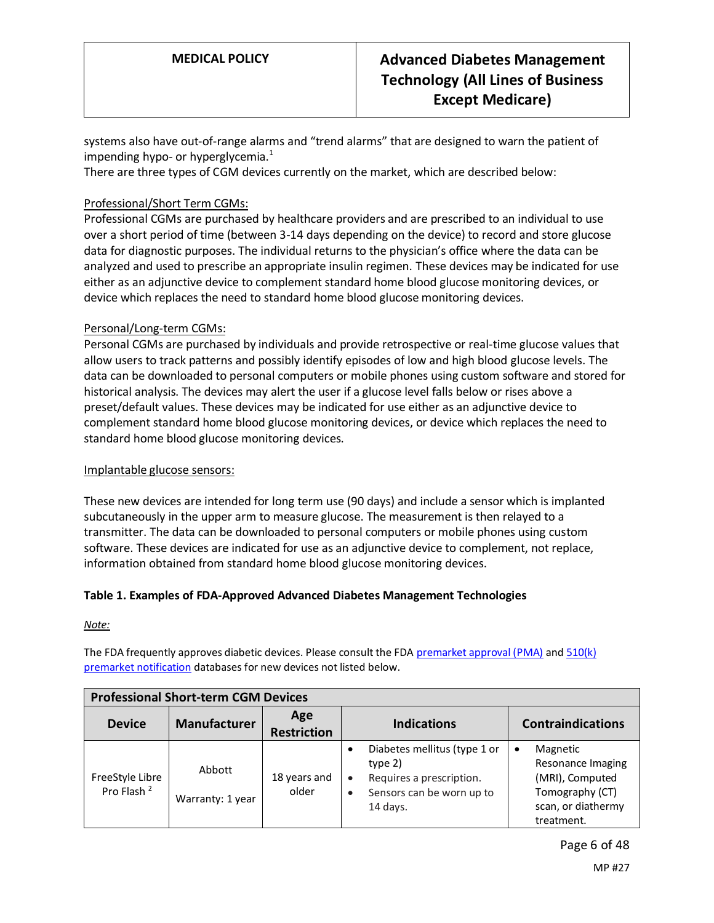systems also have out-of-range alarms and "trend alarms" that are designed to warn the patient of impending hypo- or hyperglycemia. $<sup>1</sup>$ </sup>

There are three types of CGM devices currently on the market, which are described below:

## Professional/Short Term CGMs:

Professional CGMs are purchased by healthcare providers and are prescribed to an individual to use over a short period of time (between 3-14 days depending on the device) to record and store glucose data for diagnostic purposes. The individual returns to the physician's office where the data can be analyzed and used to prescribe an appropriate insulin regimen. These devices may be indicated for use either as an adjunctive device to complement standard home blood glucose monitoring devices, or device which replaces the need to standard home blood glucose monitoring devices.

## Personal/Long-term CGMs:

Personal CGMs are purchased by individuals and provide retrospective or real-time glucose values that allow users to track patterns and possibly identify episodes of low and high blood glucose levels. The data can be downloaded to personal computers or mobile phones using custom software and stored for historical analysis. The devices may alert the user if a glucose level falls below or rises above a preset/default values. These devices may be indicated for use either as an adjunctive device to complement standard home blood glucose monitoring devices, or device which replaces the need to standard home blood glucose monitoring devices.

#### Implantable glucose sensors:

These new devices are intended for long term use (90 days) and include a sensor which is implanted subcutaneously in the upper arm to measure glucose. The measurement is then relayed to a transmitter. The data can be downloaded to personal computers or mobile phones using custom software. These devices are indicated for use as an adjunctive device to complement, not replace, information obtained from standard home blood glucose monitoring devices.

#### <span id="page-5-0"></span>**Table 1. Examples of FDA-Approved Advanced Diabetes Management Technologies**

*Note:* 

The FDA frequently approves diabetic devices. Please consult the FDA [premarket approval \(PMA\)](https://www.accessdata.fda.gov/scripts/cdrh/cfdocs/cfpma/pma.cfm) and 510(k) [premarket notification](https://www.accessdata.fda.gov/scripts/cdrh/cfdocs/cfPMN/pmn.cfm) databases for new devices not listed below.

| <b>Professional Short-term CGM Devices</b> |                            |                           |                                                                                                                                          |                                                                                                              |  |
|--------------------------------------------|----------------------------|---------------------------|------------------------------------------------------------------------------------------------------------------------------------------|--------------------------------------------------------------------------------------------------------------|--|
| <b>Device</b>                              | <b>Manufacturer</b>        | Age<br><b>Restriction</b> | <b>Indications</b>                                                                                                                       | <b>Contraindications</b>                                                                                     |  |
| FreeStyle Libre<br>Pro Flash <sup>2</sup>  | Abbott<br>Warranty: 1 year | 18 years and<br>older     | Diabetes mellitus (type 1 or<br>type $2)$<br>Requires a prescription.<br>$\bullet$<br>Sensors can be worn up to<br>$\bullet$<br>14 days. | Magnetic<br>٠<br>Resonance Imaging<br>(MRI), Computed<br>Tomography (CT)<br>scan, or diathermy<br>treatment. |  |

Page 6 of 48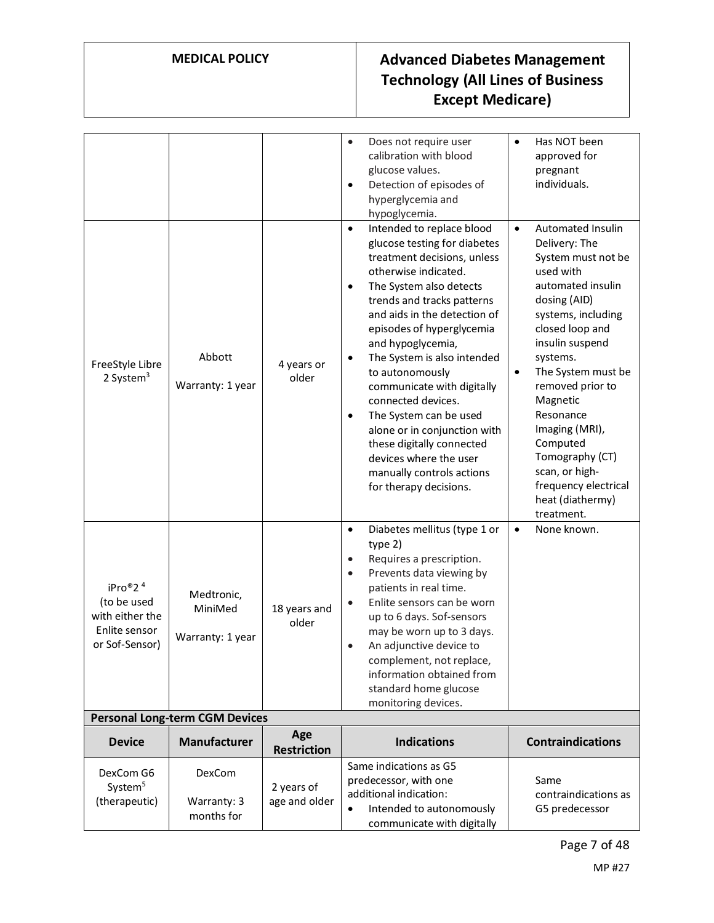|                                                                                          |                                           |                             | Does not require user<br>$\bullet$<br>calibration with blood<br>glucose values.<br>Detection of episodes of<br>$\bullet$<br>hyperglycemia and<br>hypoglycemia.                                                                                                                                                                                                                                                                                                                                                                                                                                | Has NOT been<br>$\bullet$<br>approved for<br>pregnant<br>individuals.                                                                                                                                                                                                                                                                                                                                        |  |  |
|------------------------------------------------------------------------------------------|-------------------------------------------|-----------------------------|-----------------------------------------------------------------------------------------------------------------------------------------------------------------------------------------------------------------------------------------------------------------------------------------------------------------------------------------------------------------------------------------------------------------------------------------------------------------------------------------------------------------------------------------------------------------------------------------------|--------------------------------------------------------------------------------------------------------------------------------------------------------------------------------------------------------------------------------------------------------------------------------------------------------------------------------------------------------------------------------------------------------------|--|--|
| FreeStyle Libre<br>2 System $3$                                                          | Abbott<br>Warranty: 1 year                | 4 years or<br>older         | Intended to replace blood<br>$\bullet$<br>glucose testing for diabetes<br>treatment decisions, unless<br>otherwise indicated.<br>The System also detects<br>$\bullet$<br>trends and tracks patterns<br>and aids in the detection of<br>episodes of hyperglycemia<br>and hypoglycemia,<br>The System is also intended<br>$\bullet$<br>to autonomously<br>communicate with digitally<br>connected devices.<br>The System can be used<br>$\bullet$<br>alone or in conjunction with<br>these digitally connected<br>devices where the user<br>manually controls actions<br>for therapy decisions. | Automated Insulin<br>$\bullet$<br>Delivery: The<br>System must not be<br>used with<br>automated insulin<br>dosing (AID)<br>systems, including<br>closed loop and<br>insulin suspend<br>systems.<br>The System must be<br>$\bullet$<br>removed prior to<br>Magnetic<br>Resonance<br>Imaging (MRI),<br>Computed<br>Tomography (CT)<br>scan, or high-<br>frequency electrical<br>heat (diathermy)<br>treatment. |  |  |
| iPro®2 <sup>4</sup><br>(to be used<br>with either the<br>Enlite sensor<br>or Sof-Sensor) | Medtronic,<br>MiniMed<br>Warranty: 1 year | 18 years and<br>older       | Diabetes mellitus (type 1 or<br>$\bullet$<br>type 2)<br>Requires a prescription.<br>$\bullet$<br>Prevents data viewing by<br>$\bullet$<br>patients in real time.<br>Enlite sensors can be worn<br>$\bullet$<br>up to 6 days. Sof-sensors<br>may be worn up to 3 days.<br>An adjunctive device to<br>complement, not replace,<br>information obtained from<br>standard home glucose<br>monitoring devices.                                                                                                                                                                                     | None known.<br>$\bullet$                                                                                                                                                                                                                                                                                                                                                                                     |  |  |
|                                                                                          | <b>Personal Long-term CGM Devices</b>     |                             |                                                                                                                                                                                                                                                                                                                                                                                                                                                                                                                                                                                               |                                                                                                                                                                                                                                                                                                                                                                                                              |  |  |
| <b>Device</b>                                                                            | <b>Manufacturer</b>                       | Age<br><b>Restriction</b>   | <b>Indications</b>                                                                                                                                                                                                                                                                                                                                                                                                                                                                                                                                                                            | <b>Contraindications</b>                                                                                                                                                                                                                                                                                                                                                                                     |  |  |
| DexCom G6<br>System <sup>5</sup><br>(therapeutic)                                        | DexCom<br>Warranty: 3<br>months for       | 2 years of<br>age and older | Same indications as G5<br>predecessor, with one<br>additional indication:<br>Intended to autonomously<br>$\bullet$<br>communicate with digitally                                                                                                                                                                                                                                                                                                                                                                                                                                              | Same<br>contraindications as<br>G5 predecessor                                                                                                                                                                                                                                                                                                                                                               |  |  |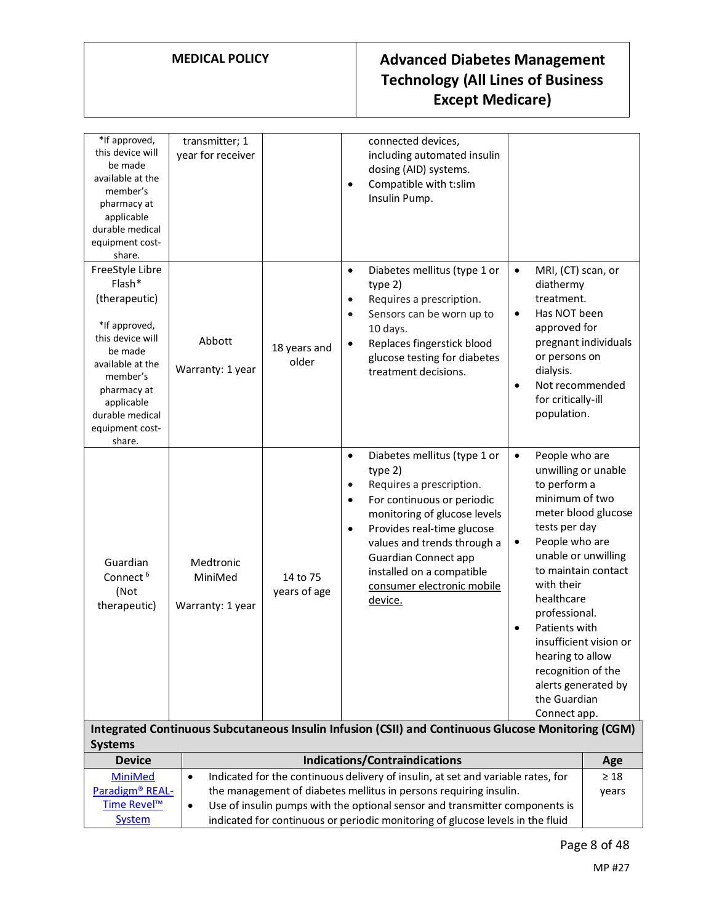| *If approved,<br>this device will<br>be made<br>available at the<br>member's<br>pharmacy at<br>applicable<br>durable medical<br>equipment cost-<br>share.                                               | transmitter; 1<br>year for receiver                                                                                                                                                                                                                        |                          | $\bullet$                                        | connected devices,<br>including automated insulin<br>dosing (AID) systems.<br>Compatible with t:slim<br>Insulin Pump.                                                                                                                                                                               |                                                                                                                                                                                                                                                                                                                                         |                                                                      |
|---------------------------------------------------------------------------------------------------------------------------------------------------------------------------------------------------------|------------------------------------------------------------------------------------------------------------------------------------------------------------------------------------------------------------------------------------------------------------|--------------------------|--------------------------------------------------|-----------------------------------------------------------------------------------------------------------------------------------------------------------------------------------------------------------------------------------------------------------------------------------------------------|-----------------------------------------------------------------------------------------------------------------------------------------------------------------------------------------------------------------------------------------------------------------------------------------------------------------------------------------|----------------------------------------------------------------------|
| FreeStyle Libre<br>Flash*<br>(therapeutic)<br>*If approved,<br>this device will<br>be made<br>available at the<br>member's<br>pharmacy at<br>applicable<br>durable medical<br>equipment cost-<br>share. | Abbott<br>Warranty: 1 year                                                                                                                                                                                                                                 | 18 years and<br>older    | $\bullet$<br>$\bullet$<br>$\bullet$<br>$\bullet$ | Diabetes mellitus (type 1 or<br>type 2)<br>Requires a prescription.<br>Sensors can be worn up to<br>10 days.<br>Replaces fingerstick blood<br>glucose testing for diabetes<br>treatment decisions.                                                                                                  | MRI, (CT) scan, or<br>$\bullet$<br>diathermy<br>treatment.<br>Has NOT been<br>$\bullet$<br>approved for<br>or persons on<br>dialysis.<br>Not recommended<br>$\bullet$<br>for critically-ill<br>population.                                                                                                                              | pregnant individuals                                                 |
| Guardian<br>Connect <sup>6</sup><br>(Not<br>therapeutic)                                                                                                                                                | Medtronic<br>MiniMed<br>Warranty: 1 year                                                                                                                                                                                                                   | 14 to 75<br>years of age | $\bullet$<br>$\bullet$<br>$\bullet$<br>$\bullet$ | Diabetes mellitus (type 1 or<br>type 2)<br>Requires a prescription.<br>For continuous or periodic<br>monitoring of glucose levels<br>Provides real-time glucose<br>values and trends through a<br><b>Guardian Connect app</b><br>installed on a compatible<br>consumer electronic mobile<br>device. | People who are<br>$\bullet$<br>unwilling or unable<br>to perform a<br>minimum of two<br>tests per day<br>People who are<br>$\bullet$<br>unable or unwilling<br>with their<br>healthcare<br>professional.<br>Patients with<br>$\bullet$<br>hearing to allow<br>recognition of the<br>alerts generated by<br>the Guardian<br>Connect app. | meter blood glucose<br>to maintain contact<br>insufficient vision or |
| <b>Systems</b>                                                                                                                                                                                          |                                                                                                                                                                                                                                                            |                          |                                                  | Integrated Continuous Subcutaneous Insulin Infusion (CSII) and Continuous Glucose Monitoring (CGM)                                                                                                                                                                                                  |                                                                                                                                                                                                                                                                                                                                         |                                                                      |
| <b>Device</b>                                                                                                                                                                                           |                                                                                                                                                                                                                                                            |                          |                                                  | <b>Indications/Contraindications</b>                                                                                                                                                                                                                                                                |                                                                                                                                                                                                                                                                                                                                         | Age                                                                  |
| <b>MiniMed</b>                                                                                                                                                                                          | $\bullet$                                                                                                                                                                                                                                                  |                          |                                                  |                                                                                                                                                                                                                                                                                                     |                                                                                                                                                                                                                                                                                                                                         | $\geq 18$                                                            |
| Paradigm® REAL-<br>Time Revel™                                                                                                                                                                          | Indicated for the continuous delivery of insulin, at set and variable rates, for<br>the management of diabetes mellitus in persons requiring insulin.<br>years<br>Use of insulin pumps with the optional sensor and transmitter components is<br>$\bullet$ |                          |                                                  |                                                                                                                                                                                                                                                                                                     |                                                                                                                                                                                                                                                                                                                                         |                                                                      |
| <b>System</b>                                                                                                                                                                                           | indicated for continuous or periodic monitoring of glucose levels in the fluid                                                                                                                                                                             |                          |                                                  |                                                                                                                                                                                                                                                                                                     |                                                                                                                                                                                                                                                                                                                                         |                                                                      |

Page 8 of 48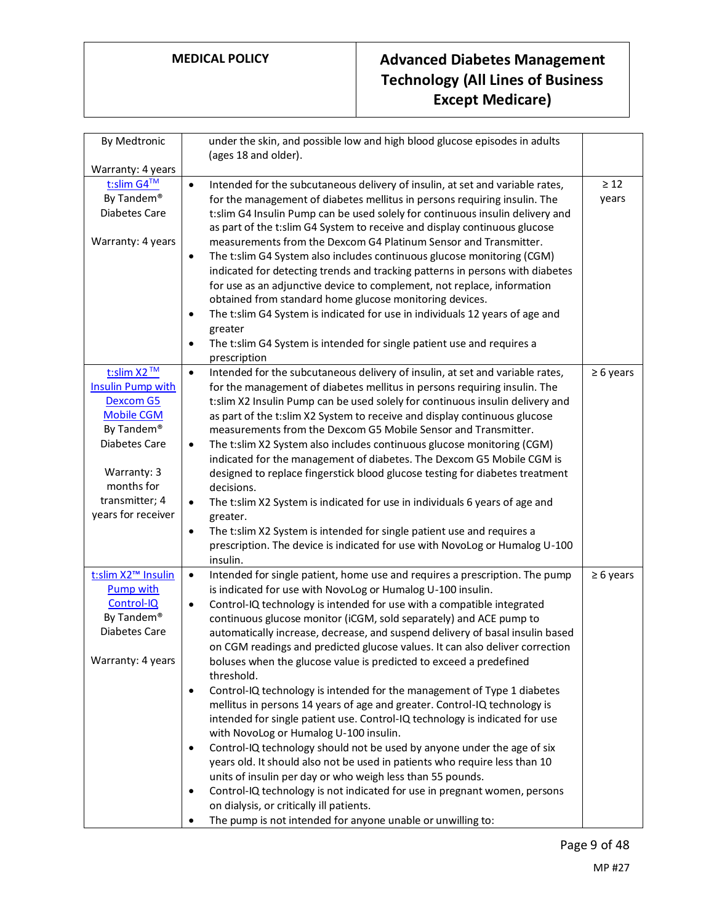| By Medtronic                                       | under the skin, and possible low and high blood glucose episodes in adults<br>(ages 18 and older).                                                  |                |
|----------------------------------------------------|-----------------------------------------------------------------------------------------------------------------------------------------------------|----------------|
| Warranty: 4 years                                  |                                                                                                                                                     |                |
| t:slim G4™                                         | Intended for the subcutaneous delivery of insulin, at set and variable rates,<br>$\bullet$                                                          | $\geq 12$      |
| By Tandem®                                         | for the management of diabetes mellitus in persons requiring insulin. The                                                                           | years          |
| Diabetes Care                                      | t:slim G4 Insulin Pump can be used solely for continuous insulin delivery and                                                                       |                |
|                                                    | as part of the t:slim G4 System to receive and display continuous glucose                                                                           |                |
| Warranty: 4 years                                  | measurements from the Dexcom G4 Platinum Sensor and Transmitter.                                                                                    |                |
|                                                    | The t:slim G4 System also includes continuous glucose monitoring (CGM)<br>$\bullet$                                                                 |                |
|                                                    | indicated for detecting trends and tracking patterns in persons with diabetes                                                                       |                |
|                                                    | for use as an adjunctive device to complement, not replace, information                                                                             |                |
|                                                    | obtained from standard home glucose monitoring devices.                                                                                             |                |
|                                                    | The t:slim G4 System is indicated for use in individuals 12 years of age and<br>$\bullet$                                                           |                |
|                                                    | greater                                                                                                                                             |                |
|                                                    | The t:slim G4 System is intended for single patient use and requires a<br>$\bullet$<br>prescription                                                 |                |
| t:slim X2™                                         | Intended for the subcutaneous delivery of insulin, at set and variable rates,<br>$\bullet$                                                          | $\geq 6$ years |
| <b>Insulin Pump with</b>                           | for the management of diabetes mellitus in persons requiring insulin. The                                                                           |                |
| <b>Dexcom G5</b>                                   | t:slim X2 Insulin Pump can be used solely for continuous insulin delivery and                                                                       |                |
| <b>Mobile CGM</b>                                  | as part of the t:slim X2 System to receive and display continuous glucose                                                                           |                |
| By Tandem®                                         | measurements from the Dexcom G5 Mobile Sensor and Transmitter.                                                                                      |                |
| Diabetes Care                                      | The t:slim X2 System also includes continuous glucose monitoring (CGM)<br>$\bullet$                                                                 |                |
|                                                    | indicated for the management of diabetes. The Dexcom G5 Mobile CGM is                                                                               |                |
| Warranty: 3                                        | designed to replace fingerstick blood glucose testing for diabetes treatment                                                                        |                |
| months for                                         | decisions.                                                                                                                                          |                |
| transmitter; 4                                     | The t:slim X2 System is indicated for use in individuals 6 years of age and<br>$\bullet$                                                            |                |
| years for receiver                                 | greater.                                                                                                                                            |                |
|                                                    | The t:slim X2 System is intended for single patient use and requires a<br>$\bullet$                                                                 |                |
|                                                    | prescription. The device is indicated for use with NovoLog or Humalog U-100                                                                         |                |
|                                                    | insulin.                                                                                                                                            |                |
| t:slim X2 <sup>™</sup> Insulin<br><b>Pump with</b> | Intended for single patient, home use and requires a prescription. The pump<br>$\bullet$                                                            | $\geq 6$ years |
| Control-IQ                                         | is indicated for use with NovoLog or Humalog U-100 insulin.                                                                                         |                |
| By Tandem®                                         | Control-IQ technology is intended for use with a compatible integrated<br>$\bullet$                                                                 |                |
| Diabetes Care                                      | continuous glucose monitor (iCGM, sold separately) and ACE pump to<br>automatically increase, decrease, and suspend delivery of basal insulin based |                |
|                                                    | on CGM readings and predicted glucose values. It can also deliver correction                                                                        |                |
| Warranty: 4 years                                  | boluses when the glucose value is predicted to exceed a predefined                                                                                  |                |
|                                                    | threshold.                                                                                                                                          |                |
|                                                    | Control-IQ technology is intended for the management of Type 1 diabetes<br>$\bullet$                                                                |                |
|                                                    | mellitus in persons 14 years of age and greater. Control-IQ technology is                                                                           |                |
|                                                    | intended for single patient use. Control-IQ technology is indicated for use                                                                         |                |
|                                                    | with NovoLog or Humalog U-100 insulin.                                                                                                              |                |
|                                                    | Control-IQ technology should not be used by anyone under the age of six<br>$\bullet$                                                                |                |
|                                                    | years old. It should also not be used in patients who require less than 10                                                                          |                |
|                                                    | units of insulin per day or who weigh less than 55 pounds.                                                                                          |                |
|                                                    | Control-IQ technology is not indicated for use in pregnant women, persons<br>$\bullet$                                                              |                |
|                                                    | on dialysis, or critically ill patients.                                                                                                            |                |
|                                                    | The pump is not intended for anyone unable or unwilling to:<br>٠                                                                                    |                |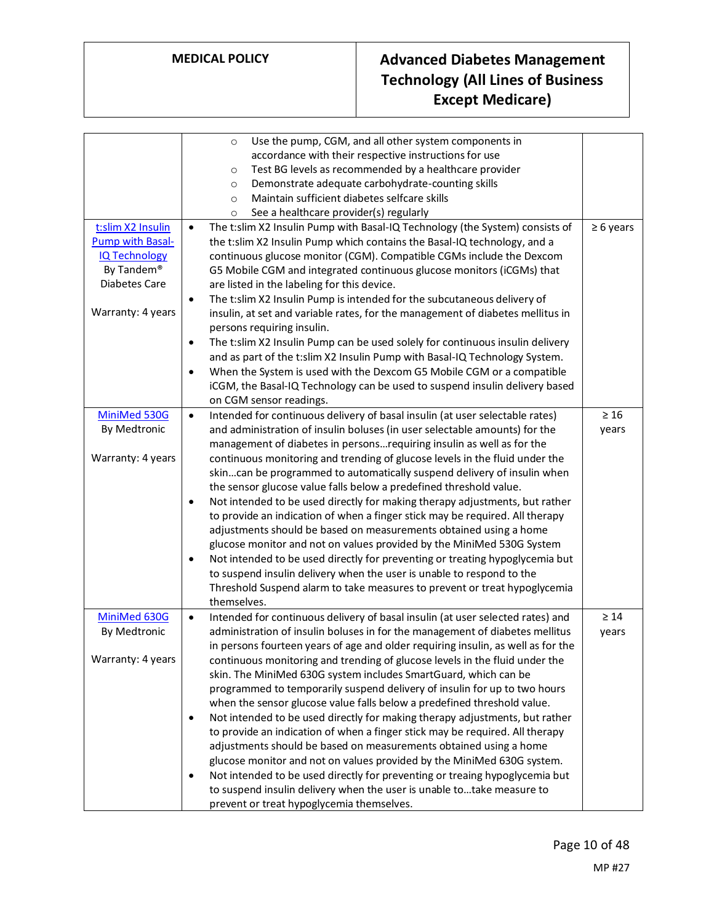|                                                                                                                                 | Use the pump, CGM, and all other system components in<br>$\circ$<br>accordance with their respective instructions for use<br>Test BG levels as recommended by a healthcare provider<br>$\circ$<br>Demonstrate adequate carbohydrate-counting skills<br>$\circ$<br>Maintain sufficient diabetes selfcare skills<br>$\circ$                                                                                                                                                                                                                                                                                                                                                                                                                                                                                                                                                                                                                                                                                                                                                                                               |                    |
|---------------------------------------------------------------------------------------------------------------------------------|-------------------------------------------------------------------------------------------------------------------------------------------------------------------------------------------------------------------------------------------------------------------------------------------------------------------------------------------------------------------------------------------------------------------------------------------------------------------------------------------------------------------------------------------------------------------------------------------------------------------------------------------------------------------------------------------------------------------------------------------------------------------------------------------------------------------------------------------------------------------------------------------------------------------------------------------------------------------------------------------------------------------------------------------------------------------------------------------------------------------------|--------------------|
|                                                                                                                                 | See a healthcare provider(s) regularly<br>$\circ$                                                                                                                                                                                                                                                                                                                                                                                                                                                                                                                                                                                                                                                                                                                                                                                                                                                                                                                                                                                                                                                                       |                    |
| t:slim X2 Insulin<br><b>Pump with Basal-</b><br><b>IQ Technology</b><br>By Tandem®<br><b>Diabetes Care</b><br>Warranty: 4 years | The t:slim X2 Insulin Pump with Basal-IQ Technology (the System) consists of<br>$\bullet$<br>the t:slim X2 Insulin Pump which contains the Basal-IQ technology, and a<br>continuous glucose monitor (CGM). Compatible CGMs include the Dexcom<br>G5 Mobile CGM and integrated continuous glucose monitors (iCGMs) that<br>are listed in the labeling for this device.<br>The t:slim X2 Insulin Pump is intended for the subcutaneous delivery of<br>$\bullet$<br>insulin, at set and variable rates, for the management of diabetes mellitus in<br>persons requiring insulin.<br>The t:slim X2 Insulin Pump can be used solely for continuous insulin delivery<br>$\bullet$<br>and as part of the t:slim X2 Insulin Pump with Basal-IQ Technology System.<br>When the System is used with the Dexcom G5 Mobile CGM or a compatible<br>$\bullet$<br>iCGM, the Basal-IQ Technology can be used to suspend insulin delivery based                                                                                                                                                                                          | $\geq 6$ years     |
|                                                                                                                                 | on CGM sensor readings.                                                                                                                                                                                                                                                                                                                                                                                                                                                                                                                                                                                                                                                                                                                                                                                                                                                                                                                                                                                                                                                                                                 |                    |
| MiniMed 530G<br>By Medtronic<br>Warranty: 4 years                                                                               | Intended for continuous delivery of basal insulin (at user selectable rates)<br>$\bullet$<br>and administration of insulin boluses (in user selectable amounts) for the<br>management of diabetes in personsrequiring insulin as well as for the<br>continuous monitoring and trending of glucose levels in the fluid under the<br>skincan be programmed to automatically suspend delivery of insulin when<br>the sensor glucose value falls below a predefined threshold value.<br>Not intended to be used directly for making therapy adjustments, but rather<br>$\bullet$<br>to provide an indication of when a finger stick may be required. All therapy<br>adjustments should be based on measurements obtained using a home<br>glucose monitor and not on values provided by the MiniMed 530G System<br>Not intended to be used directly for preventing or treating hypoglycemia but<br>$\bullet$<br>to suspend insulin delivery when the user is unable to respond to the<br>Threshold Suspend alarm to take measures to prevent or treat hypoglycemia<br>themselves.                                            | $\geq 16$<br>years |
| MiniMed 630G<br>By Medtronic<br>Warranty: 4 years                                                                               | Intended for continuous delivery of basal insulin (at user selected rates) and<br>$\bullet$<br>administration of insulin boluses in for the management of diabetes mellitus<br>in persons fourteen years of age and older requiring insulin, as well as for the<br>continuous monitoring and trending of glucose levels in the fluid under the<br>skin. The MiniMed 630G system includes SmartGuard, which can be<br>programmed to temporarily suspend delivery of insulin for up to two hours<br>when the sensor glucose value falls below a predefined threshold value.<br>Not intended to be used directly for making therapy adjustments, but rather<br>$\bullet$<br>to provide an indication of when a finger stick may be required. All therapy<br>adjustments should be based on measurements obtained using a home<br>glucose monitor and not on values provided by the MiniMed 630G system.<br>Not intended to be used directly for preventing or treaing hypoglycemia but<br>$\bullet$<br>to suspend insulin delivery when the user is unable to take measure to<br>prevent or treat hypoglycemia themselves. | $\geq 14$<br>years |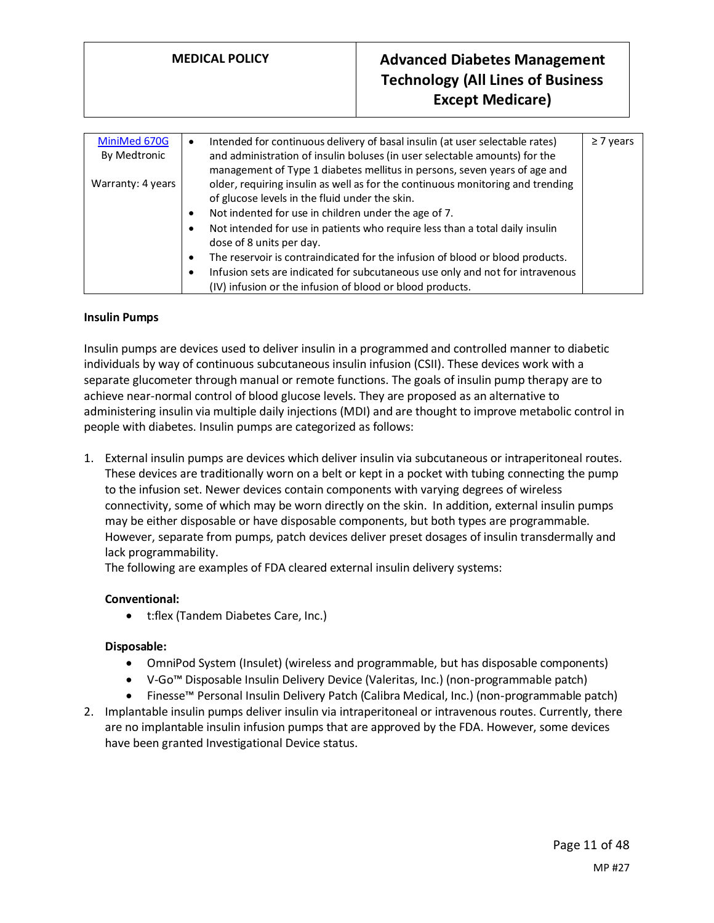| MiniMed 670G      | Intended for continuous delivery of basal insulin (at user selectable rates)<br>$\bullet$  | $\geq 7$ years |
|-------------------|--------------------------------------------------------------------------------------------|----------------|
| By Medtronic      | and administration of insulin boluses (in user selectable amounts) for the                 |                |
|                   | management of Type 1 diabetes mellitus in persons, seven years of age and                  |                |
| Warranty: 4 years | older, requiring insulin as well as for the continuous monitoring and trending             |                |
|                   | of glucose levels in the fluid under the skin.                                             |                |
|                   | Not indented for use in children under the age of 7.<br>$\bullet$                          |                |
|                   | Not intended for use in patients who require less than a total daily insulin<br>$\bullet$  |                |
|                   | dose of 8 units per day.                                                                   |                |
|                   | The reservoir is contraindicated for the infusion of blood or blood products.<br>$\bullet$ |                |
|                   | Infusion sets are indicated for subcutaneous use only and not for intravenous<br>$\bullet$ |                |
|                   | (IV) infusion or the infusion of blood or blood products.                                  |                |

#### **Insulin Pumps**

Insulin pumps are devices used to deliver insulin in a programmed and controlled manner to diabetic individuals by way of continuous subcutaneous insulin infusion (CSII). These devices work with a separate glucometer through manual or remote functions. The goals of insulin pump therapy are to achieve near-normal control of blood glucose levels. They are proposed as an alternative to administering insulin via multiple daily injections (MDI) and are thought to improve metabolic control in people with diabetes. Insulin pumps are categorized as follows:

1. External insulin pumps are devices which deliver insulin via subcutaneous or intraperitoneal routes. These devices are traditionally worn on a belt or kept in a pocket with tubing connecting the pump to the infusion set. Newer devices contain components with varying degrees of wireless connectivity, some of which may be worn directly on the skin. In addition, external insulin pumps may be either disposable or have disposable components, but both types are programmable. However, separate from pumps, patch devices deliver preset dosages of insulin transdermally and lack programmability.

The following are examples of FDA cleared external insulin delivery systems:

#### **Conventional:**

• t:flex (Tandem Diabetes Care, Inc.)

#### **Disposable:**

- OmniPod System (Insulet) (wireless and programmable, but has disposable components)
- V-Go™ Disposable Insulin Delivery Device (Valeritas, Inc.) (non-programmable patch)
- Finesse™ Personal Insulin Delivery Patch (Calibra Medical, Inc.) (non-programmable patch)
- 2. Implantable insulin pumps deliver insulin via intraperitoneal or intravenous routes. Currently, there are no implantable insulin infusion pumps that are approved by the FDA. However, some devices have been granted Investigational Device status.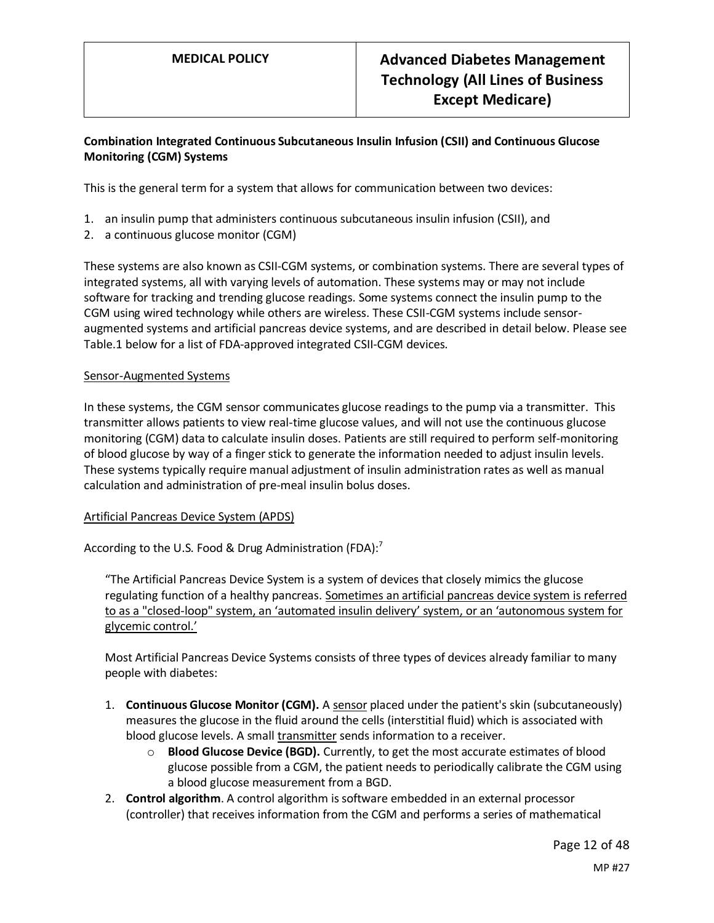# **Combination Integrated Continuous Subcutaneous Insulin Infusion (CSII) and Continuous Glucose Monitoring (CGM) Systems**

This is the general term for a system that allows for communication between two devices:

- 1. an insulin pump that administers continuous subcutaneous insulin infusion (CSII), and
- 2. a continuous glucose monitor (CGM)

These systems are also known as CSII-CGM systems, or combination systems. There are several types of integrated systems, all with varying levels of automation. These systems may or may not include software for tracking and trending glucose readings. Some systems connect the insulin pump to the CGM using wired technology while others are wireless. These CSII-CGM systems include sensoraugmented systems and artificial pancreas device systems, and are described in detail below. Please see Table.1 below for a list of FDA-approved integrated CSII-CGM devices.

#### Sensor-Augmented Systems

In these systems, the CGM sensor communicates glucose readings to the pump via a transmitter. This transmitter allows patients to view real-time glucose values, and will not use the continuous glucose monitoring (CGM) data to calculate insulin doses. Patients are still required to perform self-monitoring of blood glucose by way of a finger stick to generate the information needed to adjust insulin levels. These systems typically require manual adjustment of insulin administration rates as well as manual calculation and administration of pre-meal insulin bolus doses.

# Artificial Pancreas Device System (APDS)

According to the U.S. Food & Drug Administration (FDA): $^7$ 

"The Artificial Pancreas Device System is a system of devices that closely mimics the glucose regulating function of a healthy pancreas. Sometimes an artificial pancreas device system is referred to as a "closed-loop" system, an 'automated insulin delivery' system, or an 'autonomous system for glycemic control.'

Most Artificial Pancreas Device Systems consists of three types of devices already familiar to many people with diabetes:

- 1. **Continuous Glucose Monitor (CGM).** A sensor placed under the patient's skin (subcutaneously) measures the glucose in the fluid around the cells (interstitial fluid) which is associated with blood glucose levels. A small transmitter sends information to a receiver.
	- o **Blood Glucose Device (BGD).** Currently, to get the most accurate estimates of blood glucose possible from a CGM, the patient needs to periodically calibrate the CGM using a blood glucose measurement from a BGD.
- 2. **Control algorithm**. A control algorithm is software embedded in an external processor (controller) that receives information from the CGM and performs a series of mathematical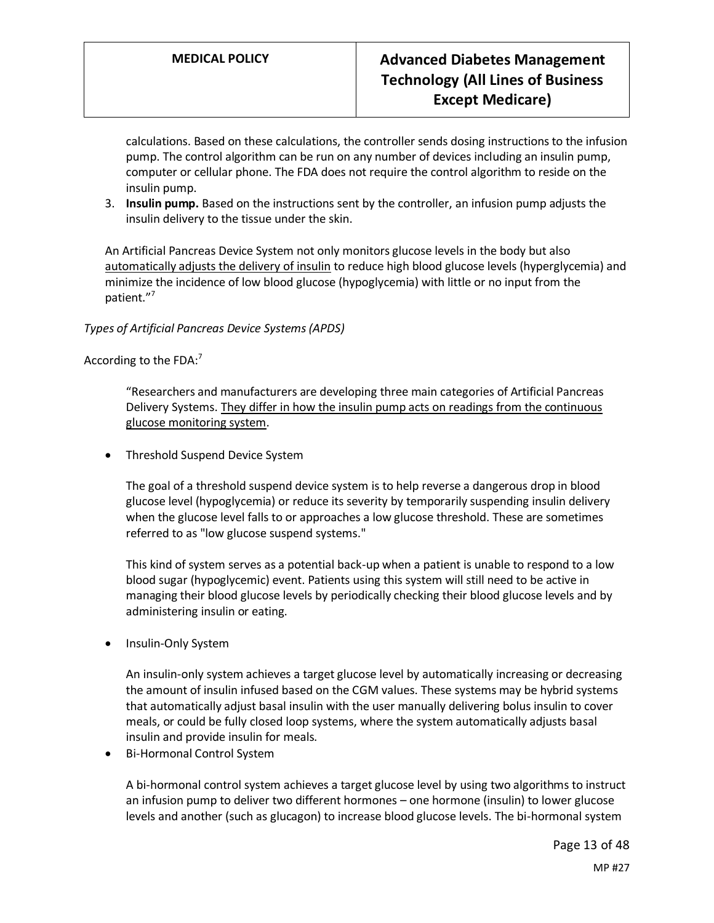calculations. Based on these calculations, the controller sends dosing instructions to the infusion pump. The control algorithm can be run on any number of devices including an insulin pump, computer or cellular phone. The FDA does not require the control algorithm to reside on the insulin pump.

3. **Insulin pump.** Based on the instructions sent by the controller, an infusion pump adjusts the insulin delivery to the tissue under the skin.

An Artificial Pancreas Device System not only monitors glucose levels in the body but also automatically adjusts the delivery of insulin to reduce high blood glucose levels (hyperglycemia) and minimize the incidence of low blood glucose (hypoglycemia) with little or no input from the patient."<sup>7</sup>

*Types of Artificial Pancreas Device Systems (APDS)*

According to the FDA: $<sup>7</sup>$ </sup>

"Researchers and manufacturers are developing three main categories of Artificial Pancreas Delivery Systems. They differ in how the insulin pump acts on readings from the continuous glucose monitoring system.

• Threshold Suspend Device System

The goal of a threshold suspend device system is to help reverse a dangerous drop in blood glucose level (hypoglycemia) or reduce its severity by temporarily suspending insulin delivery when the glucose level falls to or approaches a low glucose threshold. These are sometimes referred to as "low glucose suspend systems."

This kind of system serves as a potential back-up when a patient is unable to respond to a low blood sugar (hypoglycemic) event. Patients using this system will still need to be active in managing their blood glucose levels by periodically checking their blood glucose levels and by administering insulin or eating.

• Insulin-Only System

An insulin-only system achieves a target glucose level by automatically increasing or decreasing the amount of insulin infused based on the CGM values. These systems may be hybrid systems that automatically adjust basal insulin with the user manually delivering bolus insulin to cover meals, or could be fully closed loop systems, where the system automatically adjusts basal insulin and provide insulin for meals.

• Bi-Hormonal Control System

A bi-hormonal control system achieves a target glucose level by using two algorithms to instruct an infusion pump to deliver two different hormones – one hormone (insulin) to lower glucose levels and another (such as glucagon) to increase blood glucose levels. The bi-hormonal system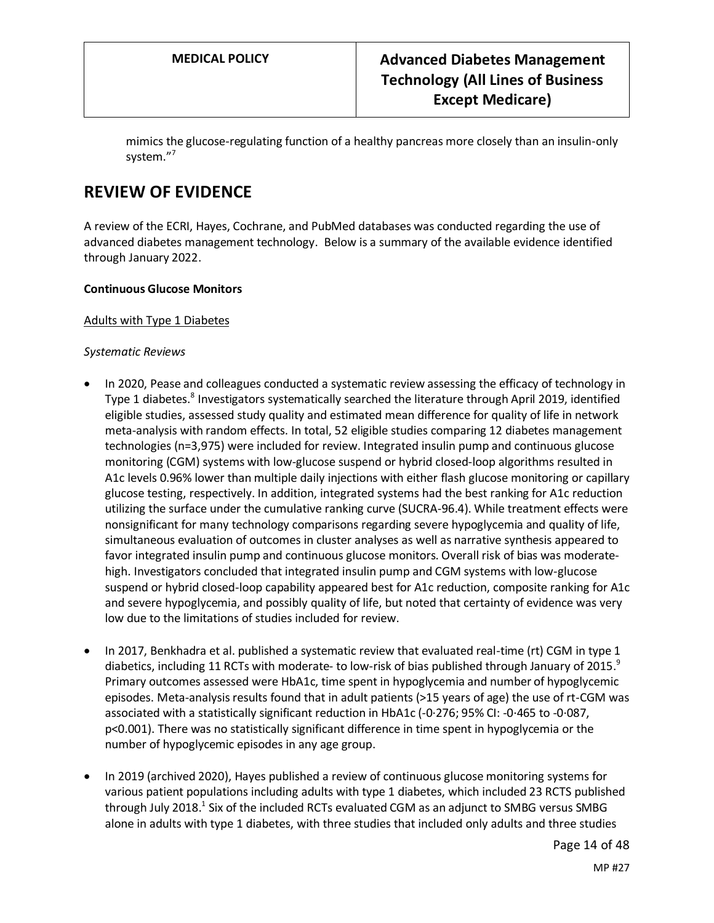mimics the glucose-regulating function of a healthy pancreas more closely than an insulin-only system."<sup>7</sup>

# **REVIEW OF EVIDENCE**

A review of the ECRI, Hayes, Cochrane, and PubMed databases was conducted regarding the use of advanced diabetes management technology. Below is a summary of the available evidence identified through January 2022.

## **Continuous Glucose Monitors**

#### Adults with Type 1 Diabetes

#### *Systematic Reviews*

- In 2020, Pease and colleagues conducted a systematic review assessing the efficacy of technology in Type 1 diabetes.<sup>8</sup> Investigators systematically searched the literature through April 2019, identified eligible studies, assessed study quality and estimated mean difference for quality of life in network meta-analysis with random effects. In total, 52 eligible studies comparing 12 diabetes management technologies (n=3,975) were included for review. Integrated insulin pump and continuous glucose monitoring (CGM) systems with low-glucose suspend or hybrid closed-loop algorithms resulted in A1c levels 0.96% lower than multiple daily injections with either flash glucose monitoring or capillary glucose testing, respectively. In addition, integrated systems had the best ranking for A1c reduction utilizing the surface under the cumulative ranking curve (SUCRA-96.4). While treatment effects were nonsignificant for many technology comparisons regarding severe hypoglycemia and quality of life, simultaneous evaluation of outcomes in cluster analyses as well as narrative synthesis appeared to favor integrated insulin pump and continuous glucose monitors. Overall risk of bias was moderatehigh. Investigators concluded that integrated insulin pump and CGM systems with low-glucose suspend or hybrid closed-loop capability appeared best for A1c reduction, composite ranking for A1c and severe hypoglycemia, and possibly quality of life, but noted that certainty of evidence was very low due to the limitations of studies included for review.
- In 2017, Benkhadra et al. published a systematic review that evaluated real-time (rt) CGM in type 1 diabetics, including 11 RCTs with moderate- to low-risk of bias published through January of 2015. $^9$ Primary outcomes assessed were HbA1c, time spent in hypoglycemia and number of hypoglycemic episodes. Meta-analysis results found that in adult patients (>15 years of age) the use of rt-CGM was associated with a statistically significant reduction in HbA1c (-0·276; 95% CI: -0·465 to -0·087, p<0.001). There was no statistically significant difference in time spent in hypoglycemia or the number of hypoglycemic episodes in any age group.
- In 2019 (archived 2020), Hayes published a review of continuous glucose monitoring systems for various patient populations including adults with type 1 diabetes, which included 23 RCTS published through July 2018.<sup>1</sup> Six of the included RCTs evaluated CGM as an adjunct to SMBG versus SMBG alone in adults with type 1 diabetes, with three studies that included only adults and three studies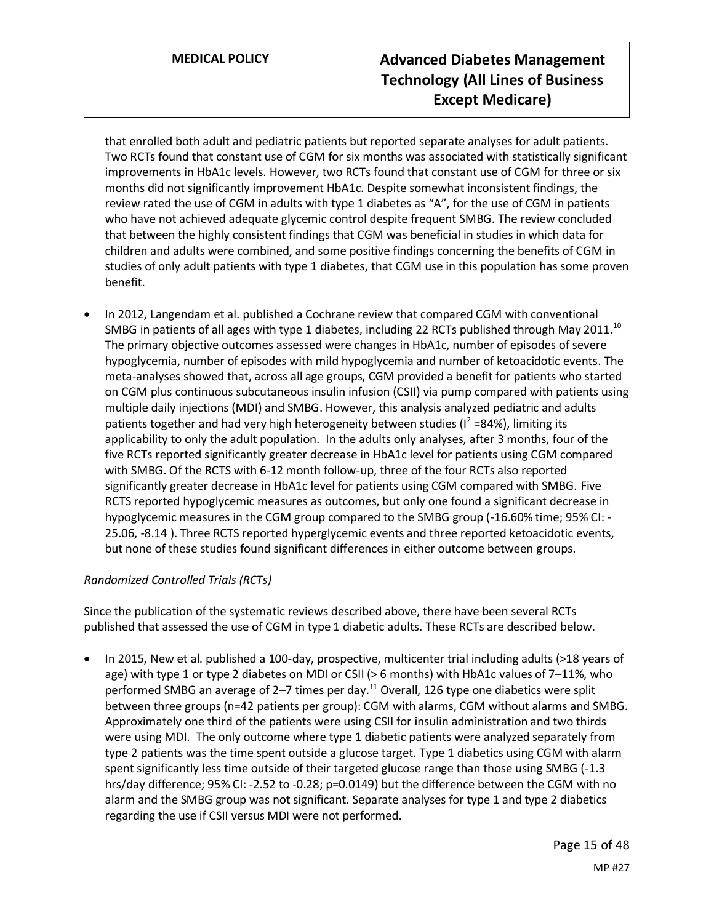that enrolled both adult and pediatric patients but reported separate analyses for adult patients. Two RCTs found that constant use of CGM for six months was associated with statistically significant improvements in HbA1c levels. However, two RCTs found that constant use of CGM for three or six months did not significantly improvement HbA1c. Despite somewhat inconsistent findings, the review rated the use of CGM in adults with type 1 diabetes as "A", for the use of CGM in patients who have not achieved adequate glycemic control despite frequent SMBG. The review concluded that between the highly consistent findings that CGM was beneficial in studies in which data for children and adults were combined, and some positive findings concerning the benefits of CGM in studies of only adult patients with type 1 diabetes, that CGM use in this population has some proven benefit.

• In 2012, Langendam et al. published a Cochrane review that compared CGM with conventional SMBG in patients of all ages with type 1 diabetes, including 22 RCTs published through May 2011.<sup>10</sup> The primary objective outcomes assessed were changes in HbA1c, number of episodes of severe hypoglycemia, number of episodes with mild hypoglycemia and number of ketoacidotic events. The meta-analyses showed that, across all age groups, CGM provided a benefit for patients who started on CGM plus continuous subcutaneous insulin infusion (CSII) via pump compared with patients using multiple daily injections (MDI) and SMBG. However, this analysis analyzed pediatric and adults patients together and had very high heterogeneity between studies ( $I^2$  =84%), limiting its applicability to only the adult population. In the adults only analyses, after 3 months, four of the five RCTs reported significantly greater decrease in HbA1c level for patients using CGM compared with SMBG. Of the RCTS with 6-12 month follow-up, three of the four RCTs also reported significantly greater decrease in HbA1c level for patients using CGM compared with SMBG. Five RCTS reported hypoglycemic measures as outcomes, but only one found a significant decrease in hypoglycemic measures in the CGM group compared to the SMBG group (-16.60% time; 95% CI: - 25.06, -8.14 ). Three RCTS reported hyperglycemic events and three reported ketoacidotic events, but none of these studies found significant differences in either outcome between groups.

# *Randomized Controlled Trials (RCTs)*

Since the publication of the systematic reviews described above, there have been several RCTs published that assessed the use of CGM in type 1 diabetic adults. These RCTs are described below.

• In 2015, New et al. published a 100-day, prospective, multicenter trial including adults (>18 years of age) with type 1 or type 2 diabetes on MDI or CSII (> 6 months) with HbA1c values of 7–11%, who performed SMBG an average of 2–7 times per day.<sup>11</sup> Overall, 126 type one diabetics were split between three groups (n=42 patients per group): CGM with alarms, CGM without alarms and SMBG. Approximately one third of the patients were using CSII for insulin administration and two thirds were using MDI. The only outcome where type 1 diabetic patients were analyzed separately from type 2 patients was the time spent outside a glucose target. Type 1 diabetics using CGM with alarm spent significantly less time outside of their targeted glucose range than those using SMBG (-1.3 hrs/day difference; 95% CI: -2.52 to -0.28; p=0.0149) but the difference between the CGM with no alarm and the SMBG group was not significant. Separate analyses for type 1 and type 2 diabetics regarding the use if CSII versus MDI were not performed.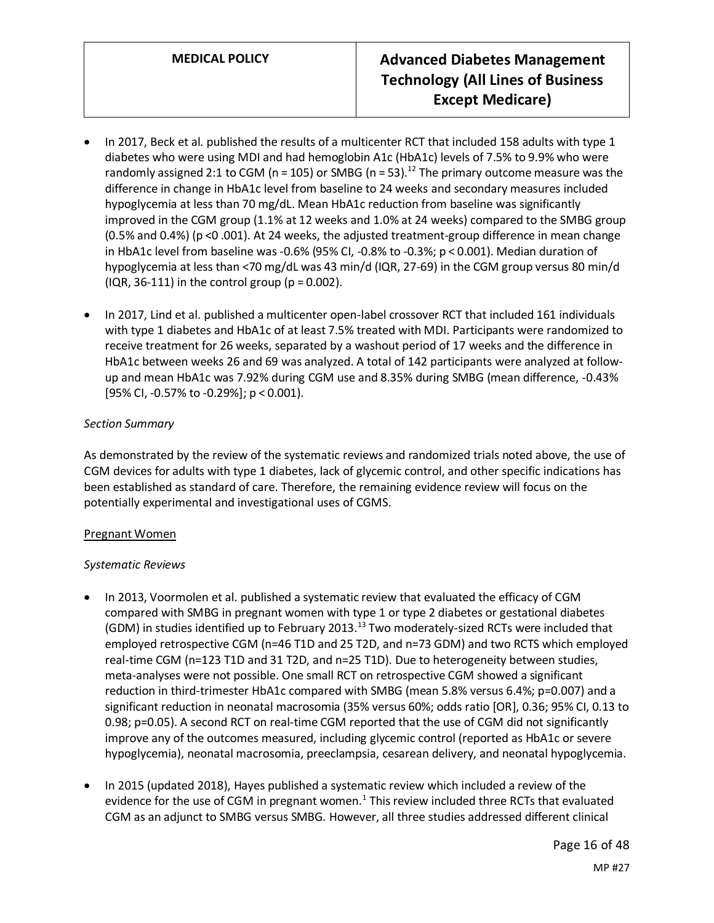- In 2017, Beck et al. published the results of a multicenter RCT that included 158 adults with type 1 diabetes who were using MDI and had hemoglobin A1c (HbA1c) levels of 7.5% to 9.9% who were randomly assigned 2:1 to CGM (n = 105) or SMBG (n = 53).<sup>12</sup> The primary outcome measure was the difference in change in HbA1c level from baseline to 24 weeks and secondary measures included hypoglycemia at less than 70 mg/dL. Mean HbA1c reduction from baseline was significantly improved in the CGM group (1.1% at 12 weeks and 1.0% at 24 weeks) compared to the SMBG group (0.5% and 0.4%) (p <0 .001). At 24 weeks, the adjusted treatment-group difference in mean change in HbA1c level from baseline was -0.6% (95% CI, -0.8% to -0.3%; p < 0.001). Median duration of hypoglycemia at less than <70 mg/dL was 43 min/d (IQR, 27-69) in the CGM group versus 80 min/d  $(IQR, 36-111)$  in the control group  $(p = 0.002)$ .
- In 2017, Lind et al. published a multicenter open-label crossover RCT that included 161 individuals with type 1 diabetes and HbA1c of at least 7.5% treated with MDI. Participants were randomized to receive treatment for 26 weeks, separated by a washout period of 17 weeks and the difference in HbA1c between weeks 26 and 69 was analyzed. A total of 142 participants were analyzed at followup and mean HbA1c was 7.92% during CGM use and 8.35% during SMBG (mean difference, -0.43% [95% CI, -0.57% to -0.29%]; p < 0.001).

# *Section Summary*

As demonstrated by the review of the systematic reviews and randomized trials noted above, the use of CGM devices for adults with type 1 diabetes, lack of glycemic control, and other specific indications has been established as standard of care. Therefore, the remaining evidence review will focus on the potentially experimental and investigational uses of CGMS.

# Pregnant Women

# *Systematic Reviews*

- In 2013, Voormolen et al. published a systematic review that evaluated the efficacy of CGM compared with SMBG in pregnant women with type 1 or type 2 diabetes or gestational diabetes (GDM) in studies identified up to February 2013.<sup>13</sup> Two moderately-sized RCTs were included that employed retrospective CGM (n=46 T1D and 25 T2D, and n=73 GDM) and two RCTS which employed real-time CGM (n=123 T1D and 31 T2D, and n=25 T1D). Due to heterogeneity between studies, meta-analyses were not possible. One small RCT on retrospective CGM showed a significant reduction in third-trimester HbA1c compared with SMBG (mean 5.8% versus 6.4%; p=0.007) and a significant reduction in neonatal macrosomia (35% versus 60%; odds ratio [OR], 0.36; 95% CI, 0.13 to 0.98; p=0.05). A second RCT on real-time CGM reported that the use of CGM did not significantly improve any of the outcomes measured, including glycemic control (reported as HbA1c or severe hypoglycemia), neonatal macrosomia, preeclampsia, cesarean delivery, and neonatal hypoglycemia.
- In 2015 (updated 2018), Hayes published a systematic review which included a review of the evidence for the use of CGM in pregnant women.<sup>1</sup> This review included three RCTs that evaluated CGM as an adjunct to SMBG versus SMBG. However, all three studies addressed different clinical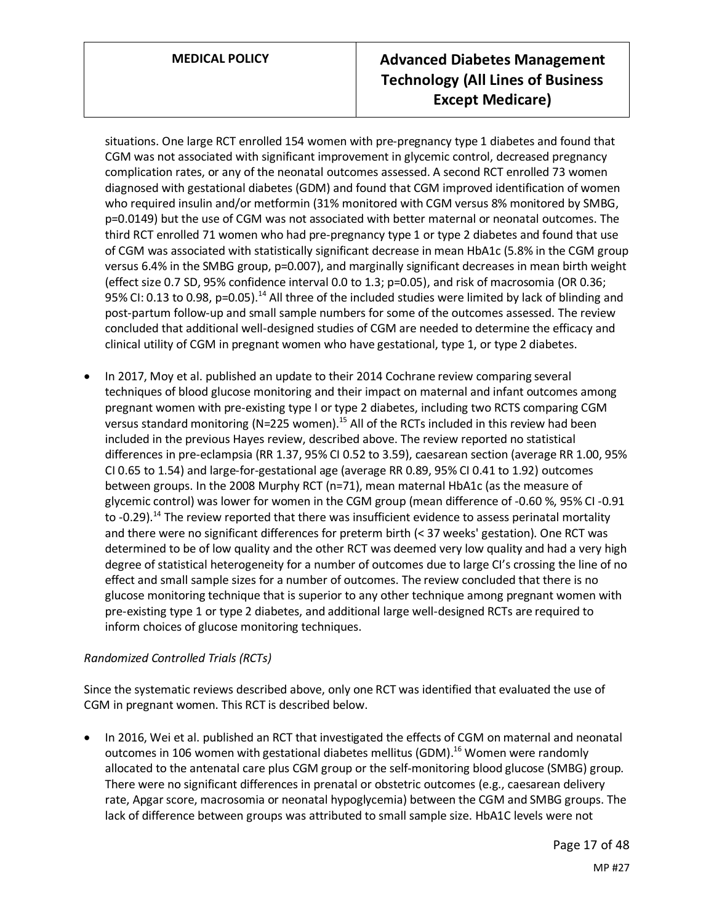situations. One large RCT enrolled 154 women with pre-pregnancy type 1 diabetes and found that CGM was not associated with significant improvement in glycemic control, decreased pregnancy complication rates, or any of the neonatal outcomes assessed. A second RCT enrolled 73 women diagnosed with gestational diabetes (GDM) and found that CGM improved identification of women who required insulin and/or metformin (31% monitored with CGM versus 8% monitored by SMBG, p=0.0149) but the use of CGM was not associated with better maternal or neonatal outcomes. The third RCT enrolled 71 women who had pre-pregnancy type 1 or type 2 diabetes and found that use of CGM was associated with statistically significant decrease in mean HbA1c (5.8% in the CGM group versus 6.4% in the SMBG group, p=0.007), and marginally significant decreases in mean birth weight (effect size 0.7 SD, 95% confidence interval 0.0 to 1.3; p=0.05), and risk of macrosomia (OR 0.36; 95% CI: 0.13 to 0.98, p=0.05).<sup>14</sup> All three of the included studies were limited by lack of blinding and post-partum follow-up and small sample numbers for some of the outcomes assessed. The review concluded that additional well-designed studies of CGM are needed to determine the efficacy and clinical utility of CGM in pregnant women who have gestational, type 1, or type 2 diabetes.

• In 2017, Moy et al. published an update to their 2014 Cochrane review comparing several techniques of blood glucose monitoring and their impact on maternal and infant outcomes among pregnant women with pre-existing type I or type 2 diabetes, including two RCTS comparing CGM versus standard monitoring (N=225 women).<sup>15</sup> All of the RCTs included in this review had been included in the previous Hayes review, described above. The review reported no statistical differences in pre-eclampsia (RR 1.37, 95% CI 0.52 to 3.59), caesarean section (average RR 1.00, 95% CI 0.65 to 1.54) and large-for-gestational age (average RR 0.89, 95% CI 0.41 to 1.92) outcomes between groups. In the 2008 Murphy RCT (n=71), mean maternal HbA1c (as the measure of glycemic control) was lower for women in the CGM group (mean difference of -0.60 %, 95% CI -0.91 to -0.29).<sup>14</sup> The review reported that there was insufficient evidence to assess perinatal mortality and there were no significant differences for preterm birth (< 37 weeks' gestation). One RCT was determined to be of low quality and the other RCT was deemed very low quality and had a very high degree of statistical heterogeneity for a number of outcomes due to large CI's crossing the line of no effect and small sample sizes for a number of outcomes. The review concluded that there is no glucose monitoring technique that is superior to any other technique among pregnant women with pre-existing type 1 or type 2 diabetes, and additional large well-designed RCTs are required to inform choices of glucose monitoring techniques.

# *Randomized Controlled Trials (RCTs)*

Since the systematic reviews described above, only one RCT was identified that evaluated the use of CGM in pregnant women. This RCT is described below.

• In 2016, Wei et al. published an RCT that investigated the effects of CGM on maternal and neonatal outcomes in 106 women with gestational diabetes mellitus (GDM).<sup>16</sup> Women were randomly allocated to the antenatal care plus CGM group or the self-monitoring blood glucose (SMBG) group. There were no significant differences in prenatal or obstetric outcomes (e.g., caesarean delivery rate, Apgar score, macrosomia or neonatal hypoglycemia) between the CGM and SMBG groups. The lack of difference between groups was attributed to small sample size. HbA1C levels were not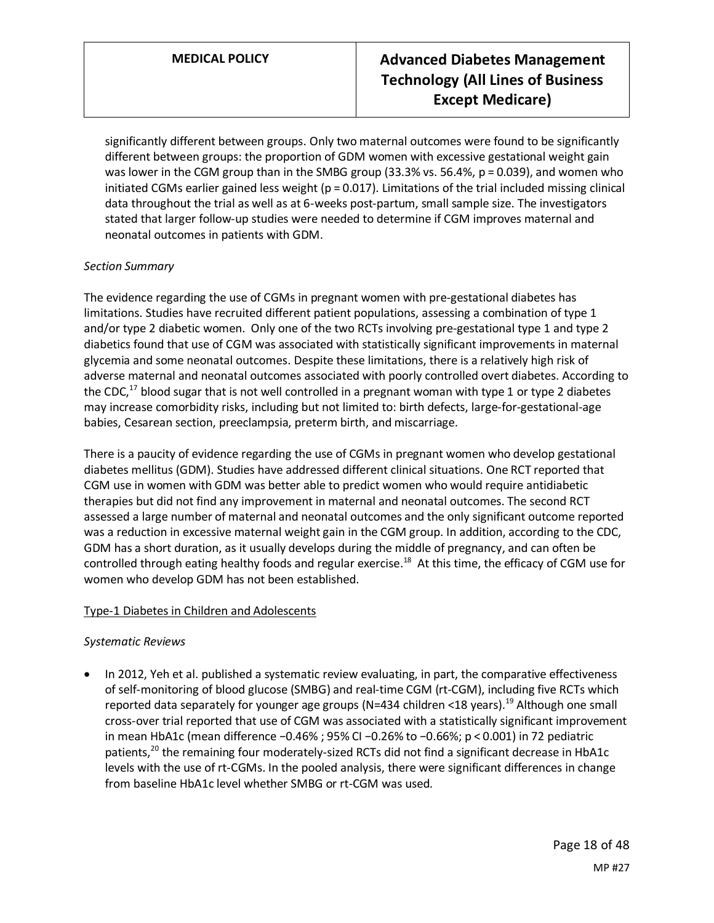significantly different between groups. Only two maternal outcomes were found to be significantly different between groups: the proportion of GDM women with excessive gestational weight gain was lower in the CGM group than in the SMBG group (33.3% vs. 56.4%, p = 0.039), and women who initiated CGMs earlier gained less weight ( $p = 0.017$ ). Limitations of the trial included missing clinical data throughout the trial as well as at 6-weeks post-partum, small sample size. The investigators stated that larger follow-up studies were needed to determine if CGM improves maternal and neonatal outcomes in patients with GDM.

# *Section Summary*

The evidence regarding the use of CGMs in pregnant women with pre-gestational diabetes has limitations. Studies have recruited different patient populations, assessing a combination of type 1 and/or type 2 diabetic women. Only one of the two RCTs involving pre-gestational type 1 and type 2 diabetics found that use of CGM was associated with statistically significant improvements in maternal glycemia and some neonatal outcomes. Despite these limitations, there is a relatively high risk of adverse maternal and neonatal outcomes associated with poorly controlled overt diabetes. According to the CDC,<sup>17</sup> blood sugar that is not well controlled in a pregnant woman with type 1 or type 2 diabetes may increase comorbidity risks, including but not limited to: birth defects, large-for-gestational-age babies, Cesarean section, preeclampsia, preterm birth, and miscarriage.

There is a paucity of evidence regarding the use of CGMs in pregnant women who develop gestational diabetes mellitus (GDM). Studies have addressed different clinical situations. One RCT reported that CGM use in women with GDM was better able to predict women who would require antidiabetic therapies but did not find any improvement in maternal and neonatal outcomes. The second RCT assessed a large number of maternal and neonatal outcomes and the only significant outcome reported was a reduction in excessive maternal weight gain in the CGM group. In addition, according to the CDC, GDM has a short duration, as it usually develops during the middle of pregnancy, and can often be controlled through eating healthy foods and regular exercise.<sup>18</sup> At this time, the efficacy of CGM use for women who develop GDM has not been established.

# Type-1 Diabetes in Children and Adolescents

# *Systematic Reviews*

In 2012, Yeh et al. published a systematic review evaluating, in part, the comparative effectiveness of self-monitoring of blood glucose (SMBG) and real-time CGM (rt-CGM), including five RCTs which reported data separately for younger age groups (N=434 children <18 years).<sup>19</sup> Although one small cross-over trial reported that use of CGM was associated with a statistically significant improvement in mean HbA1c (mean difference −0.46% ; 95% CI −0.26% to −0.66%; p < 0.001) in 72 pediatric patients,<sup>20</sup> the remaining four moderately-sized RCTs did not find a significant decrease in HbA1c levels with the use of rt-CGMs. In the pooled analysis, there were significant differences in change from baseline HbA1c level whether SMBG or rt-CGM was used.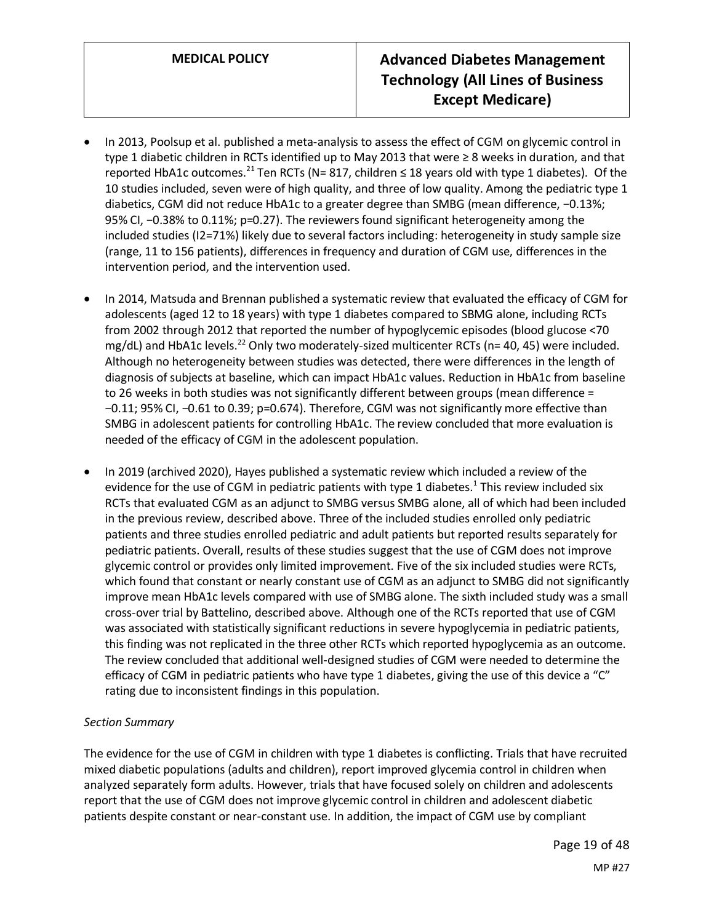- In 2013, Poolsup et al. published a meta-analysis to assess the effect of CGM on glycemic control in type 1 diabetic children in RCTs identified up to May 2013 that were ≥ 8 weeks in duration, and that reported HbA1c outcomes.<sup>21</sup> Ten RCTs (N= 817, children  $\leq$  18 years old with type 1 diabetes). Of the 10 studies included, seven were of high quality, and three of low quality. Among the pediatric type 1 diabetics, CGM did not reduce HbA1c to a greater degree than SMBG (mean difference, −0.13%; 95% CI, −0.38% to 0.11%; p=0.27). The reviewers found significant heterogeneity among the included studies (I2=71%) likely due to several factors including: heterogeneity in study sample size (range, 11 to 156 patients), differences in frequency and duration of CGM use, differences in the intervention period, and the intervention used.
- In 2014, Matsuda and Brennan published a systematic review that evaluated the efficacy of CGM for adolescents (aged 12 to 18 years) with type 1 diabetes compared to SBMG alone, including RCTs from 2002 through 2012 that reported the number of hypoglycemic episodes (blood glucose <70 mg/dL) and HbA1c levels.<sup>22</sup> Only two moderately-sized multicenter RCTs (n= 40, 45) were included. Although no heterogeneity between studies was detected, there were differences in the length of diagnosis of subjects at baseline, which can impact HbA1c values. Reduction in HbA1c from baseline to 26 weeks in both studies was not significantly different between groups (mean difference = −0.11; 95% CI, −0.61 to 0.39; p=0.674). Therefore, CGM was not significantly more effective than SMBG in adolescent patients for controlling HbA1c. The review concluded that more evaluation is needed of the efficacy of CGM in the adolescent population.
- In 2019 (archived 2020), Hayes published a systematic review which included a review of the evidence for the use of CGM in pediatric patients with type 1 diabetes.<sup>1</sup> This review included six RCTs that evaluated CGM as an adjunct to SMBG versus SMBG alone, all of which had been included in the previous review, described above. Three of the included studies enrolled only pediatric patients and three studies enrolled pediatric and adult patients but reported results separately for pediatric patients. Overall, results of these studies suggest that the use of CGM does not improve glycemic control or provides only limited improvement. Five of the six included studies were RCTs, which found that constant or nearly constant use of CGM as an adjunct to SMBG did not significantly improve mean HbA1c levels compared with use of SMBG alone. The sixth included study was a small cross-over trial by Battelino, described above. Although one of the RCTs reported that use of CGM was associated with statistically significant reductions in severe hypoglycemia in pediatric patients, this finding was not replicated in the three other RCTs which reported hypoglycemia as an outcome. The review concluded that additional well-designed studies of CGM were needed to determine the efficacy of CGM in pediatric patients who have type 1 diabetes, giving the use of this device a "C" rating due to inconsistent findings in this population.

# *Section Summary*

The evidence for the use of CGM in children with type 1 diabetes is conflicting. Trials that have recruited mixed diabetic populations (adults and children), report improved glycemia control in children when analyzed separately form adults. However, trials that have focused solely on children and adolescents report that the use of CGM does not improve glycemic control in children and adolescent diabetic patients despite constant or near-constant use. In addition, the impact of CGM use by compliant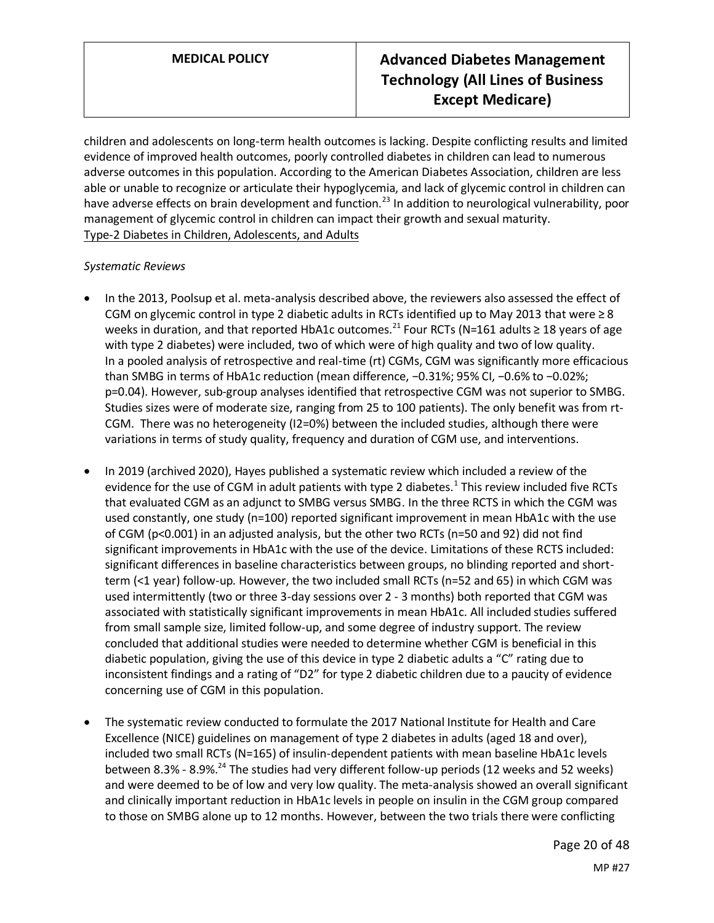children and adolescents on long-term health outcomes is lacking. Despite conflicting results and limited evidence of improved health outcomes, poorly controlled diabetes in children can lead to numerous adverse outcomes in this population. According to the American Diabetes Association, children are less able or unable to recognize or articulate their hypoglycemia, and lack of glycemic control in children can have adverse effects on brain development and function.<sup>23</sup> In addition to neurological vulnerability, poor management of glycemic control in children can impact their growth and sexual maturity. Type-2 Diabetes in Children, Adolescents, and Adults

## *Systematic Reviews*

- In the 2013, Poolsup et al. meta-analysis described above, the reviewers also assessed the effect of CGM on glycemic control in type 2 diabetic adults in RCTs identified up to May 2013 that were  $\geq 8$ weeks in duration, and that reported HbA1c outcomes.<sup>21</sup> Four RCTs (N=161 adults  $\geq$  18 years of age with type 2 diabetes) were included, two of which were of high quality and two of low quality. In a pooled analysis of retrospective and real-time (rt) CGMs, CGM was significantly more efficacious than SMBG in terms of HbA1c reduction (mean difference, −0.31%; 95% CI, −0.6% to −0.02%; p=0.04). However, sub-group analyses identified that retrospective CGM was not superior to SMBG. Studies sizes were of moderate size, ranging from 25 to 100 patients). The only benefit was from rt-CGM. There was no heterogeneity (I2=0%) between the included studies, although there were variations in terms of study quality, frequency and duration of CGM use, and interventions.
- In 2019 (archived 2020), Hayes published a systematic review which included a review of the evidence for the use of CGM in adult patients with type 2 diabetes.<sup>1</sup> This review included five RCTs that evaluated CGM as an adjunct to SMBG versus SMBG. In the three RCTS in which the CGM was used constantly, one study (n=100) reported significant improvement in mean HbA1c with the use of CGM (p<0.001) in an adjusted analysis, but the other two RCTs (n=50 and 92) did not find significant improvements in HbA1c with the use of the device. Limitations of these RCTS included: significant differences in baseline characteristics between groups, no blinding reported and shortterm (<1 year) follow-up. However, the two included small RCTs (n=52 and 65) in which CGM was used intermittently (two or three 3-day sessions over 2 - 3 months) both reported that CGM was associated with statistically significant improvements in mean HbA1c. All included studies suffered from small sample size, limited follow-up, and some degree of industry support. The review concluded that additional studies were needed to determine whether CGM is beneficial in this diabetic population, giving the use of this device in type 2 diabetic adults a "C" rating due to inconsistent findings and a rating of "D2" for type 2 diabetic children due to a paucity of evidence concerning use of CGM in this population.
- The systematic review conducted to formulate the 2017 National Institute for Health and Care Excellence (NICE) guidelines on management of type 2 diabetes in adults (aged 18 and over), included two small RCTs (N=165) of insulin-dependent patients with mean baseline HbA1c levels between 8.3% - 8.9%.<sup>24</sup> The studies had very different follow-up periods (12 weeks and 52 weeks) and were deemed to be of low and very low quality. The meta-analysis showed an overall significant and clinically important reduction in HbA1c levels in people on insulin in the CGM group compared to those on SMBG alone up to 12 months. However, between the two trials there were conflicting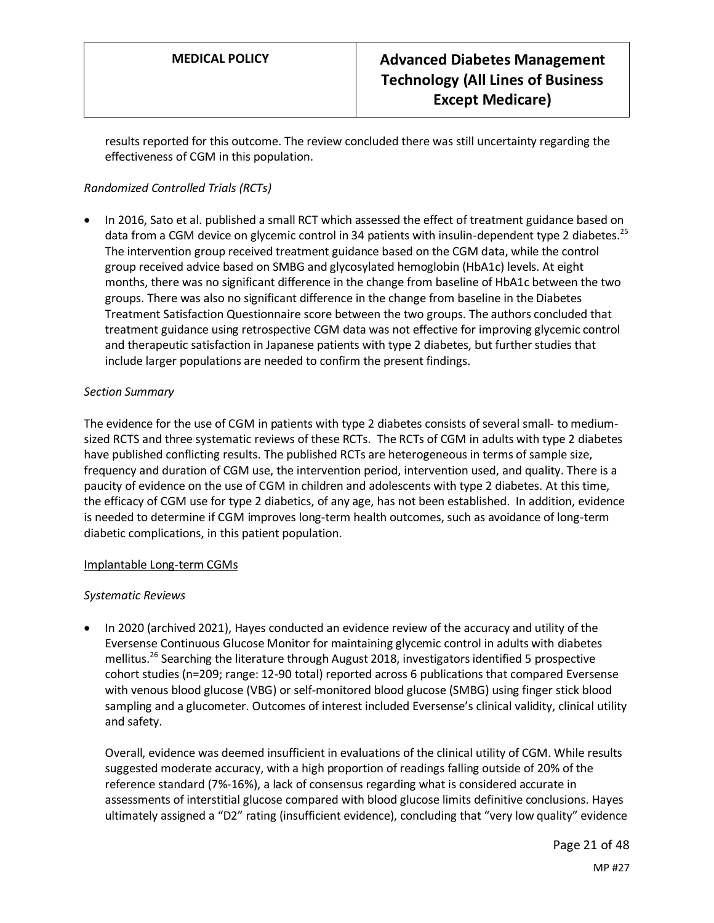results reported for this outcome. The review concluded there was still uncertainty regarding the effectiveness of CGM in this population.

# *Randomized Controlled Trials (RCTs)*

• In 2016, Sato et al. published a small RCT which assessed the effect of treatment guidance based on data from a CGM device on glycemic control in 34 patients with insulin-dependent type 2 diabetes.<sup>25</sup> The intervention group received treatment guidance based on the CGM data, while the control group received advice based on SMBG and glycosylated hemoglobin (HbA1c) levels. At eight months, there was no significant difference in the change from baseline of HbA1c between the two groups. There was also no significant difference in the change from baseline in the Diabetes Treatment Satisfaction Questionnaire score between the two groups. The authors concluded that treatment guidance using retrospective CGM data was not effective for improving glycemic control and therapeutic satisfaction in Japanese patients with type 2 diabetes, but further studies that include larger populations are needed to confirm the present findings.

## *Section Summary*

The evidence for the use of CGM in patients with type 2 diabetes consists of several small- to mediumsized RCTS and three systematic reviews of these RCTs. The RCTs of CGM in adults with type 2 diabetes have published conflicting results. The published RCTs are heterogeneous in terms of sample size, frequency and duration of CGM use, the intervention period, intervention used, and quality. There is a paucity of evidence on the use of CGM in children and adolescents with type 2 diabetes. At this time, the efficacy of CGM use for type 2 diabetics, of any age, has not been established. In addition, evidence is needed to determine if CGM improves long-term health outcomes, such as avoidance of long-term diabetic complications, in this patient population.

#### Implantable Long-term CGMs

#### *Systematic Reviews*

• In 2020 (archived 2021), Hayes conducted an evidence review of the accuracy and utility of the Eversense Continuous Glucose Monitor for maintaining glycemic control in adults with diabetes mellitus.<sup>26</sup> Searching the literature through August 2018, investigators identified 5 prospective cohort studies (n=209; range: 12-90 total) reported across 6 publications that compared Eversense with venous blood glucose (VBG) or self-monitored blood glucose (SMBG) using finger stick blood sampling and a glucometer. Outcomes of interest included Eversense's clinical validity, clinical utility and safety.

Overall, evidence was deemed insufficient in evaluations of the clinical utility of CGM. While results suggested moderate accuracy, with a high proportion of readings falling outside of 20% of the reference standard (7%-16%), a lack of consensus regarding what is considered accurate in assessments of interstitial glucose compared with blood glucose limits definitive conclusions. Hayes ultimately assigned a "D2" rating (insufficient evidence), concluding that "very low quality" evidence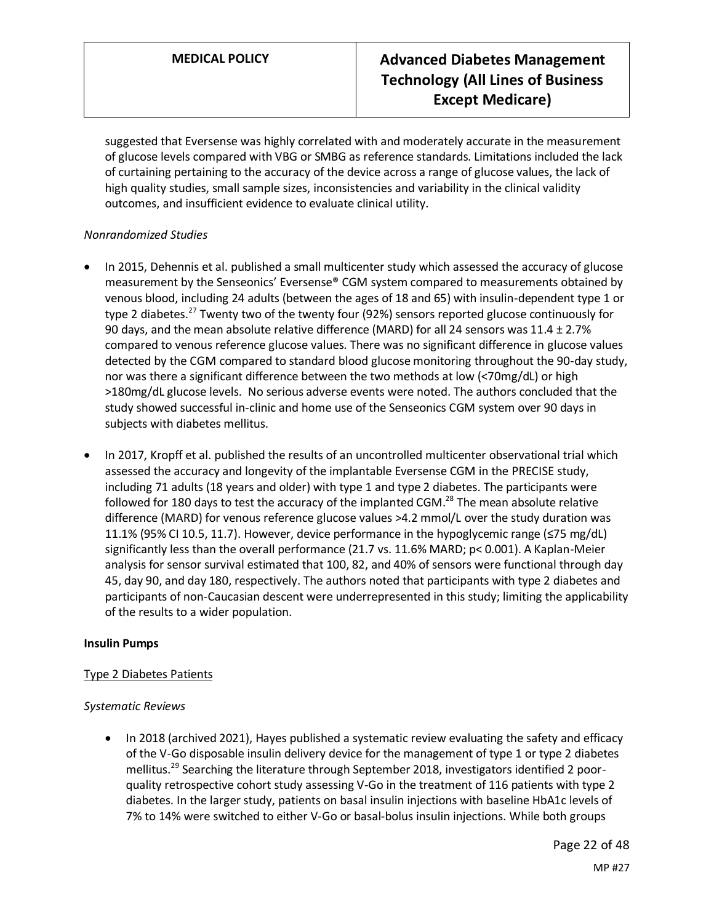suggested that Eversense was highly correlated with and moderately accurate in the measurement of glucose levels compared with VBG or SMBG as reference standards. Limitations included the lack of curtaining pertaining to the accuracy of the device across a range of glucose values, the lack of high quality studies, small sample sizes, inconsistencies and variability in the clinical validity outcomes, and insufficient evidence to evaluate clinical utility.

## *Nonrandomized Studies*

- In 2015, Dehennis et al. published a small multicenter study which assessed the accuracy of glucose measurement by the Senseonics' Eversense® CGM system compared to measurements obtained by venous blood, including 24 adults (between the ages of 18 and 65) with insulin-dependent type 1 or type 2 diabetes.<sup>27</sup> Twenty two of the twenty four (92%) sensors reported glucose continuously for 90 days, and the mean absolute relative difference (MARD) for all 24 sensors was 11.4 ± 2.7% compared to venous reference glucose values. There was no significant difference in glucose values detected by the CGM compared to standard blood glucose monitoring throughout the 90-day study, nor was there a significant difference between the two methods at low (<70mg/dL) or high >180mg/dL glucose levels. No serious adverse events were noted. The authors concluded that the study showed successful in-clinic and home use of the Senseonics CGM system over 90 days in subjects with diabetes mellitus.
- In 2017, Kropff et al. published the results of an uncontrolled multicenter observational trial which assessed the accuracy and longevity of the implantable Eversense CGM in the PRECISE study, including 71 adults (18 years and older) with type 1 and type 2 diabetes. The participants were followed for 180 days to test the accuracy of the implanted CGM.<sup>28</sup> The mean absolute relative difference (MARD) for venous reference glucose values >4.2 mmol/L over the study duration was 11.1% (95% CI 10.5, 11.7). However, device performance in the hypoglycemic range (≤75 mg/dL) significantly less than the overall performance (21.7 vs. 11.6% MARD; p< 0.001). A Kaplan-Meier analysis for sensor survival estimated that 100, 82, and 40% of sensors were functional through day 45, day 90, and day 180, respectively. The authors noted that participants with type 2 diabetes and participants of non-Caucasian descent were underrepresented in this study; limiting the applicability of the results to a wider population.

#### **Insulin Pumps**

# Type 2 Diabetes Patients

#### *Systematic Reviews*

• In 2018 (archived 2021), Hayes published a systematic review evaluating the safety and efficacy of the V-Go disposable insulin delivery device for the management of type 1 or type 2 diabetes mellitus.<sup>29</sup> Searching the literature through September 2018, investigators identified 2 poorquality retrospective cohort study assessing V-Go in the treatment of 116 patients with type 2 diabetes. In the larger study, patients on basal insulin injections with baseline HbA1c levels of 7% to 14% were switched to either V-Go or basal-bolus insulin injections. While both groups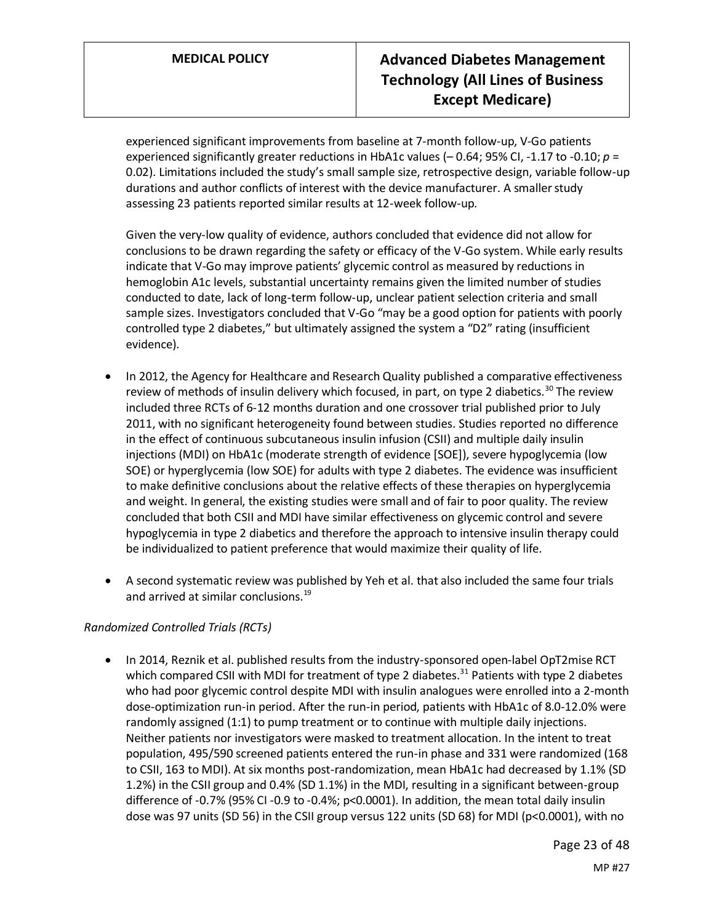experienced significant improvements from baseline at 7-month follow-up, V-Go patients experienced significantly greater reductions in HbA1c values (– 0.64; 95% CI, -1.17 to -0.10; *p* = 0.02). Limitations included the study's small sample size, retrospective design, variable follow-up durations and author conflicts of interest with the device manufacturer. A smaller study assessing 23 patients reported similar results at 12-week follow-up.

Given the very-low quality of evidence, authors concluded that evidence did not allow for conclusions to be drawn regarding the safety or efficacy of the V-Go system. While early results indicate that V-Go may improve patients' glycemic control as measured by reductions in hemoglobin A1c levels, substantial uncertainty remains given the limited number of studies conducted to date, lack of long-term follow-up, unclear patient selection criteria and small sample sizes. Investigators concluded that V-Go "may be a good option for patients with poorly controlled type 2 diabetes," but ultimately assigned the system a "D2" rating (insufficient evidence).

- In 2012, the Agency for Healthcare and Research Quality published a comparative effectiveness review of methods of insulin delivery which focused, in part, on type 2 diabetics.<sup>30</sup> The review included three RCTs of 6-12 months duration and one crossover trial published prior to July 2011, with no significant heterogeneity found between studies. Studies reported no difference in the effect of continuous subcutaneous insulin infusion (CSII) and multiple daily insulin injections (MDI) on HbA1c (moderate strength of evidence [SOE]), severe hypoglycemia (low SOE) or hyperglycemia (low SOE) for adults with type 2 diabetes. The evidence was insufficient to make definitive conclusions about the relative effects of these therapies on hyperglycemia and weight. In general, the existing studies were small and of fair to poor quality. The review concluded that both CSII and MDI have similar effectiveness on glycemic control and severe hypoglycemia in type 2 diabetics and therefore the approach to intensive insulin therapy could be individualized to patient preference that would maximize their quality of life.
- A second systematic review was published by Yeh et al. that also included the same four trials and arrived at similar conclusions.<sup>19</sup>

# *Randomized Controlled Trials (RCTs)*

• In 2014, Reznik et al. published results from the industry-sponsored open-label OpT2mise RCT which compared CSII with MDI for treatment of type 2 diabetes.<sup>31</sup> Patients with type 2 diabetes who had poor glycemic control despite MDI with insulin analogues were enrolled into a 2-month dose-optimization run-in period. After the run-in period, patients with HbA1c of 8.0-12.0% were randomly assigned (1:1) to pump treatment or to continue with multiple daily injections. Neither patients nor investigators were masked to treatment allocation. In the intent to treat population, 495/590 screened patients entered the run-in phase and 331 were randomized (168 to CSII, 163 to MDI). At six months post-randomization, mean HbA1c had decreased by 1.1% (SD 1.2%) in the CSII group and 0.4% (SD 1.1%) in the MDI, resulting in a significant between-group difference of -0.7% (95% CI -0.9 to -0.4%; p<0.0001). In addition, the mean total daily insulin dose was 97 units (SD 56) in the CSII group versus 122 units (SD 68) for MDI (p<0.0001), with no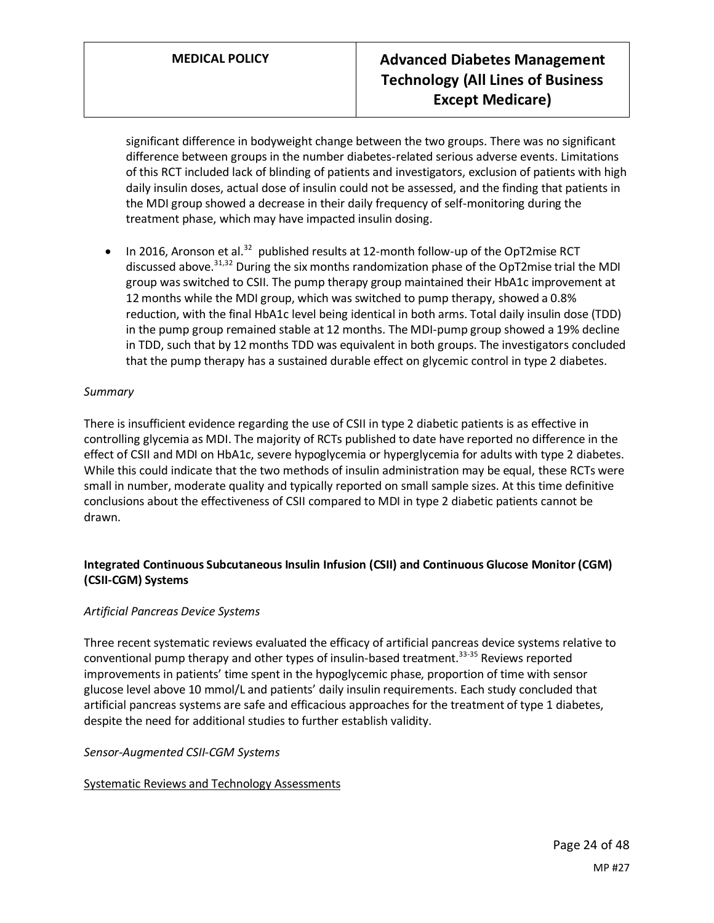significant difference in bodyweight change between the two groups. There was no significant difference between groups in the number diabetes-related serious adverse events. Limitations of this RCT included lack of blinding of patients and investigators, exclusion of patients with high daily insulin doses, actual dose of insulin could not be assessed, and the finding that patients in the MDI group showed a decrease in their daily frequency of self-monitoring during the treatment phase, which may have impacted insulin dosing.

• In 2016, Aronson et al.<sup>32</sup> published results at 12-month follow-up of the OpT2mise RCT discussed above.<sup>31,32</sup> During the six months randomization phase of the OpT2mise trial the MDI group was switched to CSII. The pump therapy group maintained their HbA1c improvement at 12 months while the MDI group, which was switched to pump therapy, showed a 0.8% reduction, with the final HbA1c level being identical in both arms. Total daily insulin dose (TDD) in the pump group remained stable at 12 months. The MDI-pump group showed a 19% decline in TDD, such that by 12 months TDD was equivalent in both groups. The investigators concluded that the pump therapy has a sustained durable effect on glycemic control in type 2 diabetes.

# *Summary*

There is insufficient evidence regarding the use of CSII in type 2 diabetic patients is as effective in controlling glycemia as MDI. The majority of RCTs published to date have reported no difference in the effect of CSII and MDI on HbA1c, severe hypoglycemia or hyperglycemia for adults with type 2 diabetes. While this could indicate that the two methods of insulin administration may be equal, these RCTs were small in number, moderate quality and typically reported on small sample sizes. At this time definitive conclusions about the effectiveness of CSII compared to MDI in type 2 diabetic patients cannot be drawn.

# **Integrated Continuous Subcutaneous Insulin Infusion (CSII) and Continuous Glucose Monitor (CGM) (CSII-CGM) Systems**

# *Artificial Pancreas Device Systems*

Three recent systematic reviews evaluated the efficacy of artificial pancreas device systems relative to conventional pump therapy and other types of insulin-based treatment.<sup>33-35</sup> Reviews reported improvements in patients' time spent in the hypoglycemic phase, proportion of time with sensor glucose level above 10 mmol/L and patients' daily insulin requirements. Each study concluded that artificial pancreas systems are safe and efficacious approaches for the treatment of type 1 diabetes, despite the need for additional studies to further establish validity.

#### *Sensor-Augmented CSII-CGM Systems*

# Systematic Reviews and Technology Assessments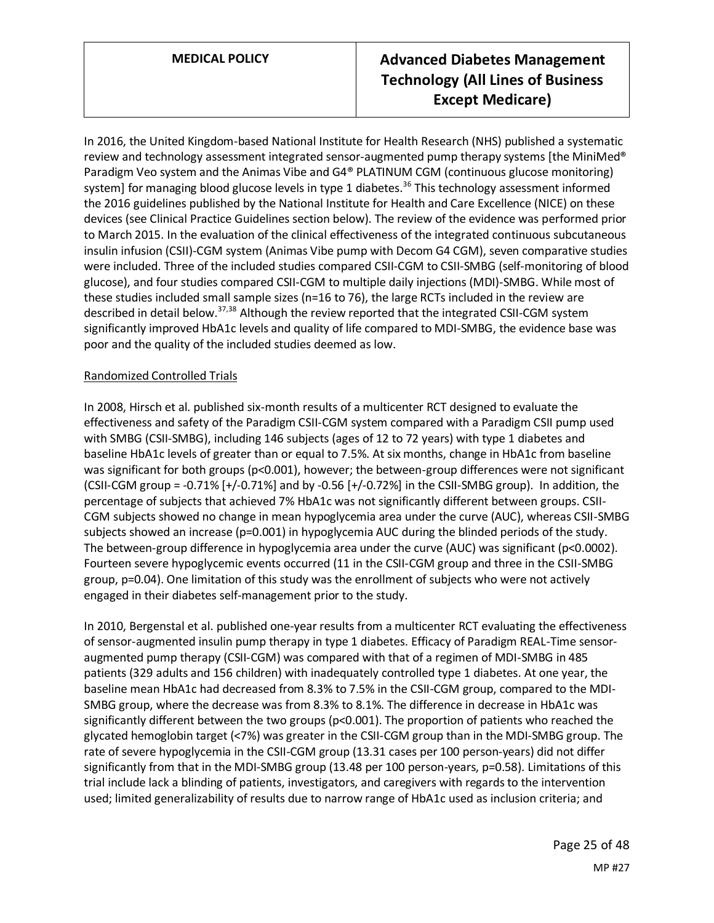In 2016, the United Kingdom-based National Institute for Health Research (NHS) published a systematic review and technology assessment integrated sensor-augmented pump therapy systems [the MiniMed®] Paradigm Veo system and the Animas Vibe and G4® PLATINUM CGM (continuous glucose monitoring) system] for managing blood glucose levels in type 1 diabetes.<sup>36</sup> This technology assessment informed the 2016 guidelines published by the National Institute for Health and Care Excellence (NICE) on these devices (see Clinical Practice Guidelines section below). The review of the evidence was performed prior to March 2015. In the evaluation of the clinical effectiveness of the integrated continuous subcutaneous insulin infusion (CSII)-CGM system (Animas Vibe pump with Decom G4 CGM), seven comparative studies were included. Three of the included studies compared CSII-CGM to CSII-SMBG (self-monitoring of blood glucose), and four studies compared CSII-CGM to multiple daily injections (MDI)-SMBG. While most of these studies included small sample sizes (n=16 to 76), the large RCTs included in the review are described in detail below.<sup>37,38</sup> Although the review reported that the integrated CSII-CGM system significantly improved HbA1c levels and quality of life compared to MDI-SMBG, the evidence base was poor and the quality of the included studies deemed as low.

# Randomized Controlled Trials

In 2008, Hirsch et al. published six-month results of a multicenter RCT designed to evaluate the effectiveness and safety of the Paradigm CSII-CGM system compared with a Paradigm CSII pump used with SMBG (CSII-SMBG), including 146 subjects (ages of 12 to 72 years) with type 1 diabetes and baseline HbA1c levels of greater than or equal to 7.5%. At six months, change in HbA1c from baseline was significant for both groups (p<0.001), however; the between-group differences were not significant (CSII-CGM group = -0.71% [+/-0.71%] and by -0.56 [+/-0.72%] in the CSII-SMBG group). In addition, the percentage of subjects that achieved 7% HbA1c was not significantly different between groups. CSII-CGM subjects showed no change in mean hypoglycemia area under the curve (AUC), whereas CSII-SMBG subjects showed an increase (p=0.001) in hypoglycemia AUC during the blinded periods of the study. The between-group difference in hypoglycemia area under the curve (AUC) was significant (p<0.0002). Fourteen severe hypoglycemic events occurred (11 in the CSII-CGM group and three in the CSII-SMBG group, p=0.04). One limitation of this study was the enrollment of subjects who were not actively engaged in their diabetes self-management prior to the study.

In 2010, Bergenstal et al. published one-year results from a multicenter RCT evaluating the effectiveness of sensor-augmented insulin pump therapy in type 1 diabetes. Efficacy of Paradigm REAL-Time sensoraugmented pump therapy (CSII-CGM) was compared with that of a regimen of MDI-SMBG in 485 patients (329 adults and 156 children) with inadequately controlled type 1 diabetes. At one year, the baseline mean HbA1c had decreased from 8.3% to 7.5% in the CSII-CGM group, compared to the MDI-SMBG group, where the decrease was from 8.3% to 8.1%. The difference in decrease in HbA1c was significantly different between the two groups (p<0.001). The proportion of patients who reached the glycated hemoglobin target (<7%) was greater in the CSII-CGM group than in the MDI-SMBG group. The rate of severe hypoglycemia in the CSII-CGM group (13.31 cases per 100 person-years) did not differ significantly from that in the MDI-SMBG group (13.48 per 100 person-years, p=0.58). Limitations of this trial include lack a blinding of patients, investigators, and caregivers with regards to the intervention used; limited generalizability of results due to narrow range of HbA1c used as inclusion criteria; and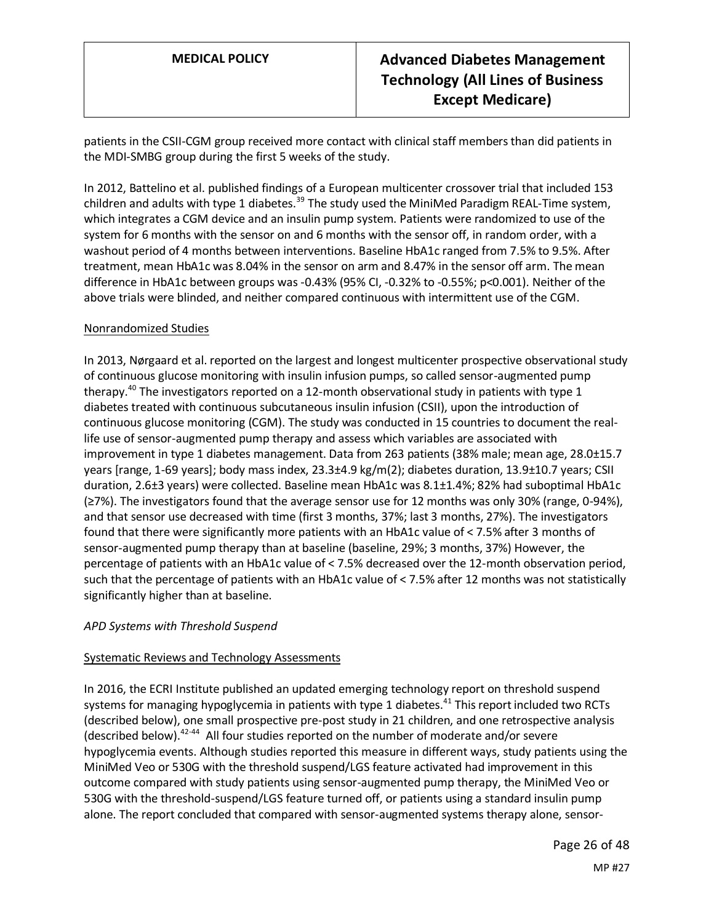patients in the CSII-CGM group received more contact with clinical staff members than did patients in the MDI-SMBG group during the first 5 weeks of the study.

In 2012, Battelino et al. published findings of a European multicenter crossover trial that included 153 children and adults with type 1 diabetes.<sup>39</sup> The study used the MiniMed Paradigm REAL-Time system, which integrates a CGM device and an insulin pump system. Patients were randomized to use of the system for 6 months with the sensor on and 6 months with the sensor off, in random order, with a washout period of 4 months between interventions. Baseline HbA1c ranged from 7.5% to 9.5%. After treatment, mean HbA1c was 8.04% in the sensor on arm and 8.47% in the sensor off arm. The mean difference in HbA1c between groups was -0.43% (95% CI, -0.32% to -0.55%; p<0.001). Neither of the above trials were blinded, and neither compared continuous with intermittent use of the CGM.

## Nonrandomized Studies

In 2013, Nørgaard et al. reported on the largest and longest multicenter prospective observational study of continuous glucose monitoring with insulin infusion pumps, so called sensor-augmented pump therapy.<sup>40</sup> The investigators reported on a 12-month observational study in patients with type 1 diabetes treated with continuous subcutaneous insulin infusion (CSII), upon the introduction of continuous glucose monitoring (CGM). The study was conducted in 15 countries to document the reallife use of sensor-augmented pump therapy and assess which variables are associated with improvement in type 1 diabetes management. Data from 263 patients (38% male; mean age, 28.0±15.7 years [range, 1-69 years]; body mass index, 23.3±4.9 kg/m(2); diabetes duration, 13.9±10.7 years; CSII duration, 2.6±3 years) were collected. Baseline mean HbA1c was 8.1±1.4%; 82% had suboptimal HbA1c (≥7%). The investigators found that the average sensor use for 12 months was only 30% (range, 0-94%), and that sensor use decreased with time (first 3 months, 37%; last 3 months, 27%). The investigators found that there were significantly more patients with an HbA1c value of < 7.5% after 3 months of sensor-augmented pump therapy than at baseline (baseline, 29%; 3 months, 37%) However, the percentage of patients with an HbA1c value of < 7.5% decreased over the 12-month observation period, such that the percentage of patients with an HbA1c value of < 7.5% after 12 months was not statistically significantly higher than at baseline.

# *APD Systems with Threshold Suspend*

# Systematic Reviews and Technology Assessments

In 2016, the ECRI Institute published an updated emerging technology report on threshold suspend systems for managing hypoglycemia in patients with type 1 diabetes.<sup>41</sup> This report included two RCTs (described below), one small prospective pre-post study in 21 children, and one retrospective analysis (described below). $42-44$  All four studies reported on the number of moderate and/or severe hypoglycemia events. Although studies reported this measure in different ways, study patients using the MiniMed Veo or 530G with the threshold suspend/LGS feature activated had improvement in this outcome compared with study patients using sensor-augmented pump therapy, the MiniMed Veo or 530G with the threshold-suspend/LGS feature turned off, or patients using a standard insulin pump alone. The report concluded that compared with sensor-augmented systems therapy alone, sensor-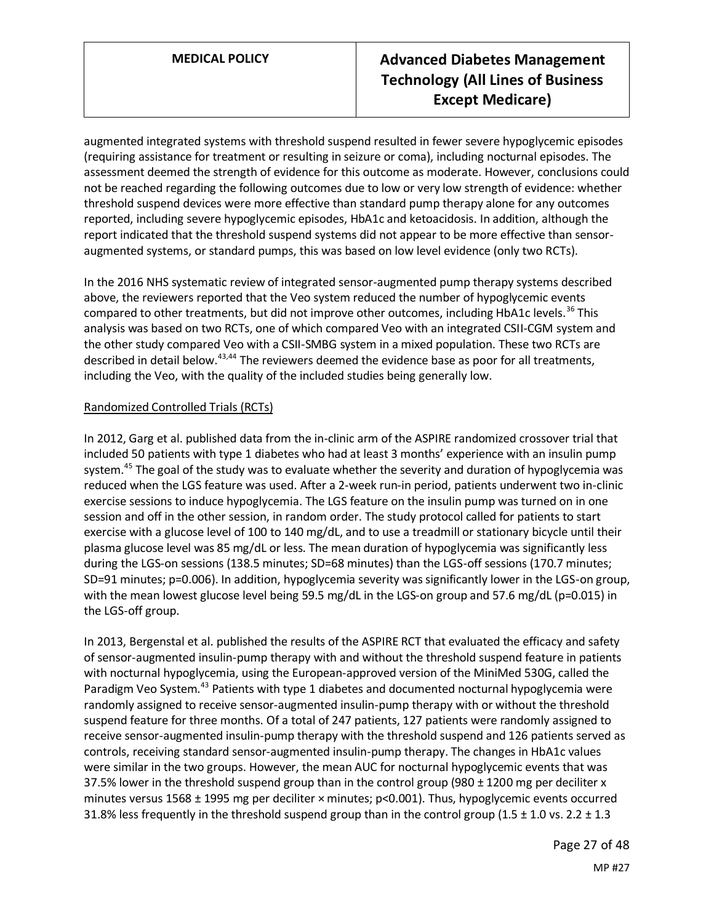augmented integrated systems with threshold suspend resulted in fewer severe hypoglycemic episodes (requiring assistance for treatment or resulting in seizure or coma), including nocturnal episodes. The assessment deemed the strength of evidence for this outcome as moderate. However, conclusions could not be reached regarding the following outcomes due to low or very low strength of evidence: whether threshold suspend devices were more effective than standard pump therapy alone for any outcomes reported, including severe hypoglycemic episodes, HbA1c and ketoacidosis. In addition, although the report indicated that the threshold suspend systems did not appear to be more effective than sensoraugmented systems, or standard pumps, this was based on low level evidence (only two RCTs).

In the 2016 NHS systematic review of integrated sensor-augmented pump therapy systems described above, the reviewers reported that the Veo system reduced the number of hypoglycemic events compared to other treatments, but did not improve other outcomes, including HbA1c levels.<sup>36</sup> This analysis was based on two RCTs, one of which compared Veo with an integrated CSII-CGM system and the other study compared Veo with a CSII-SMBG system in a mixed population. These two RCTs are described in detail below.<sup>43,44</sup> The reviewers deemed the evidence base as poor for all treatments, including the Veo, with the quality of the included studies being generally low.

# Randomized Controlled Trials (RCTs)

In 2012, Garg et al. published data from the in-clinic arm of the ASPIRE randomized crossover trial that included 50 patients with type 1 diabetes who had at least 3 months' experience with an insulin pump system.<sup>45</sup> The goal of the study was to evaluate whether the severity and duration of hypoglycemia was reduced when the LGS feature was used. After a 2-week run-in period, patients underwent two in-clinic exercise sessions to induce hypoglycemia. The LGS feature on the insulin pump was turned on in one session and off in the other session, in random order. The study protocol called for patients to start exercise with a glucose level of 100 to 140 mg/dL, and to use a treadmill or stationary bicycle until their plasma glucose level was 85 mg/dL or less. The mean duration of hypoglycemia was significantly less during the LGS-on sessions (138.5 minutes; SD=68 minutes) than the LGS-off sessions (170.7 minutes; SD=91 minutes; p=0.006). In addition, hypoglycemia severity was significantly lower in the LGS-on group, with the mean lowest glucose level being 59.5 mg/dL in the LGS-on group and 57.6 mg/dL (p=0.015) in the LGS-off group.

In 2013, Bergenstal et al. published the results of the ASPIRE RCT that evaluated the efficacy and safety of sensor-augmented insulin-pump therapy with and without the threshold suspend feature in patients with nocturnal hypoglycemia, using the European-approved version of the MiniMed 530G, called the Paradigm Veo System.<sup>43</sup> Patients with type 1 diabetes and documented nocturnal hypoglycemia were randomly assigned to receive sensor-augmented insulin-pump therapy with or without the threshold suspend feature for three months. Of a total of 247 patients, 127 patients were randomly assigned to receive sensor-augmented insulin-pump therapy with the threshold suspend and 126 patients served as controls, receiving standard sensor-augmented insulin-pump therapy. The changes in HbA1c values were similar in the two groups. However, the mean AUC for nocturnal hypoglycemic events that was 37.5% lower in the threshold suspend group than in the control group (980  $\pm$  1200 mg per deciliter x minutes versus 1568 ± 1995 mg per deciliter × minutes; p<0.001). Thus, hypoglycemic events occurred 31.8% less frequently in the threshold suspend group than in the control group (1.5  $\pm$  1.0 vs. 2.2  $\pm$  1.3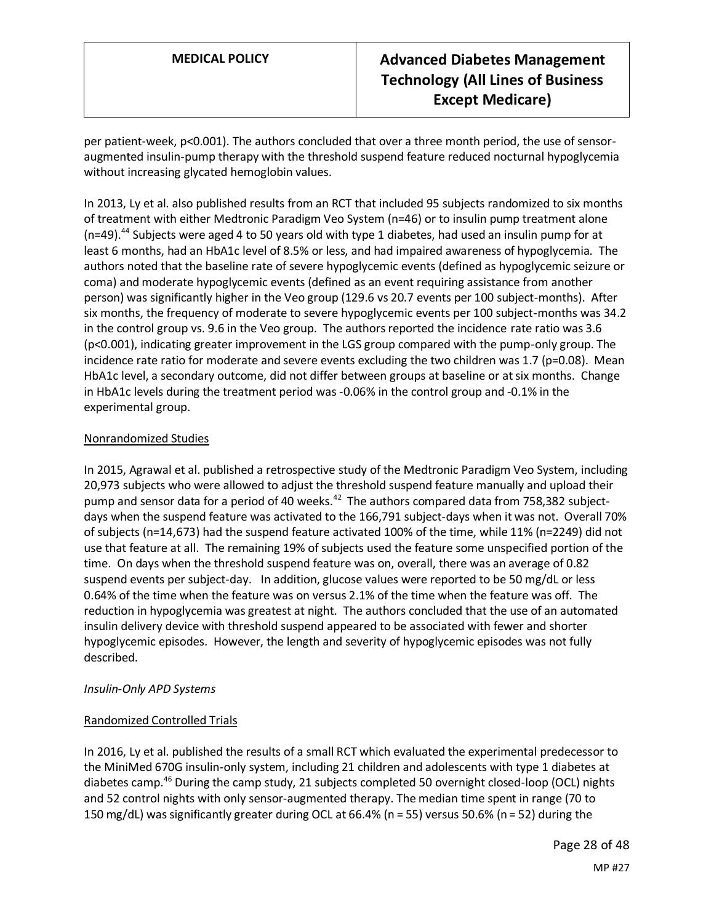per patient-week, p<0.001). The authors concluded that over a three month period, the use of sensoraugmented insulin-pump therapy with the threshold suspend feature reduced nocturnal hypoglycemia without increasing glycated hemoglobin values.

In 2013, Ly et al. also published results from an RCT that included 95 subjects randomized to six months of treatment with either Medtronic Paradigm Veo System (n=46) or to insulin pump treatment alone (n=49).<sup>44</sup> Subjects were aged 4 to 50 years old with type 1 diabetes, had used an insulin pump for at least 6 months, had an HbA1c level of 8.5% or less, and had impaired awareness of hypoglycemia. The authors noted that the baseline rate of severe hypoglycemic events (defined as hypoglycemic seizure or coma) and moderate hypoglycemic events (defined as an event requiring assistance from another person) was significantly higher in the Veo group (129.6 vs 20.7 events per 100 subject-months). After six months, the frequency of moderate to severe hypoglycemic events per 100 subject-months was 34.2 in the control group vs. 9.6 in the Veo group. The authors reported the incidence rate ratio was 3.6 (p<0.001), indicating greater improvement in the LGS group compared with the pump-only group. The incidence rate ratio for moderate and severe events excluding the two children was 1.7 ( $p=0.08$ ). Mean HbA1c level, a secondary outcome, did not differ between groups at baseline or at six months. Change in HbA1c levels during the treatment period was -0.06% in the control group and -0.1% in the experimental group.

# Nonrandomized Studies

In 2015, Agrawal et al. published a retrospective study of the Medtronic Paradigm Veo System, including 20,973 subjects who were allowed to adjust the threshold suspend feature manually and upload their pump and sensor data for a period of 40 weeks.<sup>42</sup> The authors compared data from 758,382 subjectdays when the suspend feature was activated to the 166,791 subject-days when it was not. Overall 70% of subjects (n=14,673) had the suspend feature activated 100% of the time, while 11% (n=2249) did not use that feature at all. The remaining 19% of subjects used the feature some unspecified portion of the time. On days when the threshold suspend feature was on, overall, there was an average of 0.82 suspend events per subject-day. In addition, glucose values were reported to be 50 mg/dL or less 0.64% of the time when the feature was on versus 2.1% of the time when the feature was off. The reduction in hypoglycemia was greatest at night. The authors concluded that the use of an automated insulin delivery device with threshold suspend appeared to be associated with fewer and shorter hypoglycemic episodes. However, the length and severity of hypoglycemic episodes was not fully described.

# *Insulin-Only APD Systems*

# Randomized Controlled Trials

In 2016, Ly et al. published the results of a small RCT which evaluated the experimental predecessor to the MiniMed 670G insulin-only system, including 21 children and adolescents with type 1 diabetes at diabetes camp.<sup>46</sup> During the camp study, 21 subjects completed 50 overnight closed-loop (OCL) nights and 52 control nights with only sensor-augmented therapy. The median time spent in range (70 to 150 mg/dL) was significantly greater during OCL at 66.4% (n = 55) versus 50.6% (n = 52) during the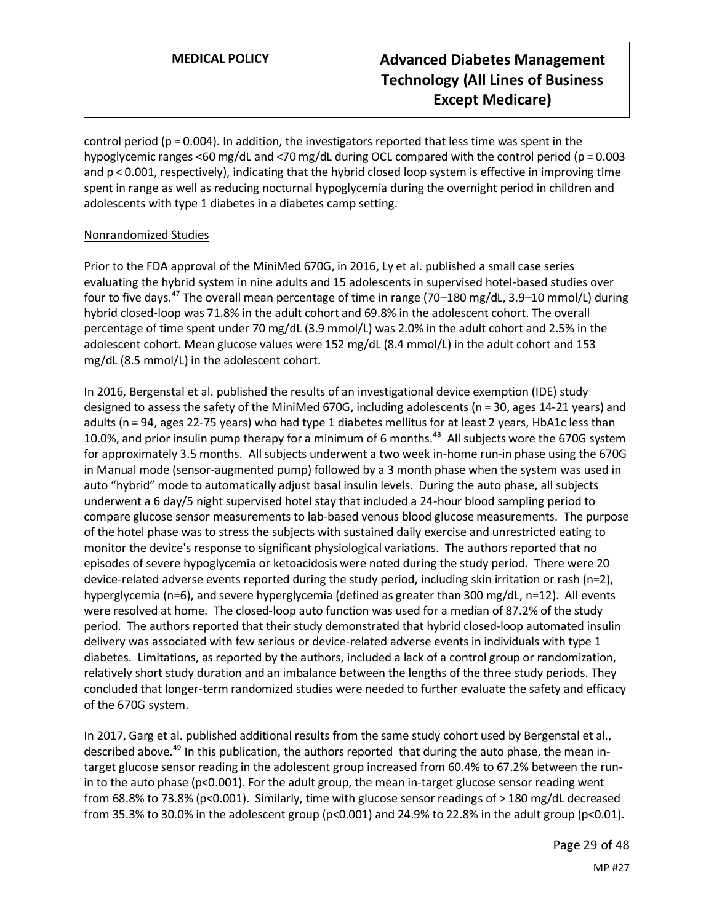control period ( $p = 0.004$ ). In addition, the investigators reported that less time was spent in the hypoglycemic ranges <60 mg/dL and <70 mg/dL during OCL compared with the control period (p = 0.003 and  $p < 0.001$ , respectively), indicating that the hybrid closed loop system is effective in improving time spent in range as well as reducing nocturnal hypoglycemia during the overnight period in children and adolescents with type 1 diabetes in a diabetes camp setting.

# Nonrandomized Studies

Prior to the FDA approval of the MiniMed 670G, in 2016, Ly et al. published a small case series evaluating the hybrid system in nine adults and 15 adolescents in supervised hotel-based studies over four to five days.<sup>47</sup> The overall mean percentage of time in range (70–180 mg/dL, 3.9–10 mmol/L) during hybrid closed-loop was 71.8% in the adult cohort and 69.8% in the adolescent cohort. The overall percentage of time spent under 70 mg/dL (3.9 mmol/L) was 2.0% in the adult cohort and 2.5% in the adolescent cohort. Mean glucose values were 152 mg/dL (8.4 mmol/L) in the adult cohort and 153 mg/dL (8.5 mmol/L) in the adolescent cohort.

In 2016, Bergenstal et al. published the results of an investigational device exemption (IDE) study designed to assess the safety of the MiniMed 670G, including adolescents (n = 30, ages 14-21 years) and adults (n = 94, ages 22-75 years) who had type 1 diabetes mellitus for at least 2 years, HbA1c less than 10.0%, and prior insulin pump therapy for a minimum of 6 months.<sup>48</sup> All subjects wore the 670G system for approximately 3.5 months. All subjects underwent a two week in-home run-in phase using the 670G in Manual mode (sensor-augmented pump) followed by a 3 month phase when the system was used in auto "hybrid" mode to automatically adjust basal insulin levels. During the auto phase, all subjects underwent a 6 day/5 night supervised hotel stay that included a 24-hour blood sampling period to compare glucose sensor measurements to lab-based venous blood glucose measurements. The purpose of the hotel phase was to stress the subjects with sustained daily exercise and unrestricted eating to monitor the device's response to significant physiological variations. The authors reported that no episodes of severe hypoglycemia or ketoacidosis were noted during the study period. There were 20 device-related adverse events reported during the study period, including skin irritation or rash (n=2), hyperglycemia (n=6), and severe hyperglycemia (defined as greater than 300 mg/dL, n=12). All events were resolved at home. The closed-loop auto function was used for a median of 87.2% of the study period. The authors reported that their study demonstrated that hybrid closed-loop automated insulin delivery was associated with few serious or device-related adverse events in individuals with type 1 diabetes. Limitations, as reported by the authors, included a lack of a control group or randomization, relatively short study duration and an imbalance between the lengths of the three study periods. They concluded that longer-term randomized studies were needed to further evaluate the safety and efficacy of the 670G system.

In 2017, Garg et al. published additional results from the same study cohort used by Bergenstal et al., described above.<sup>49</sup> In this publication, the authors reported that during the auto phase, the mean intarget glucose sensor reading in the adolescent group increased from 60.4% to 67.2% between the runin to the auto phase ( $p<0.001$ ). For the adult group, the mean in-target glucose sensor reading went from 68.8% to 73.8% (p<0.001). Similarly, time with glucose sensor readings of > 180 mg/dL decreased from 35.3% to 30.0% in the adolescent group ( $p<0.001$ ) and 24.9% to 22.8% in the adult group ( $p<0.01$ ).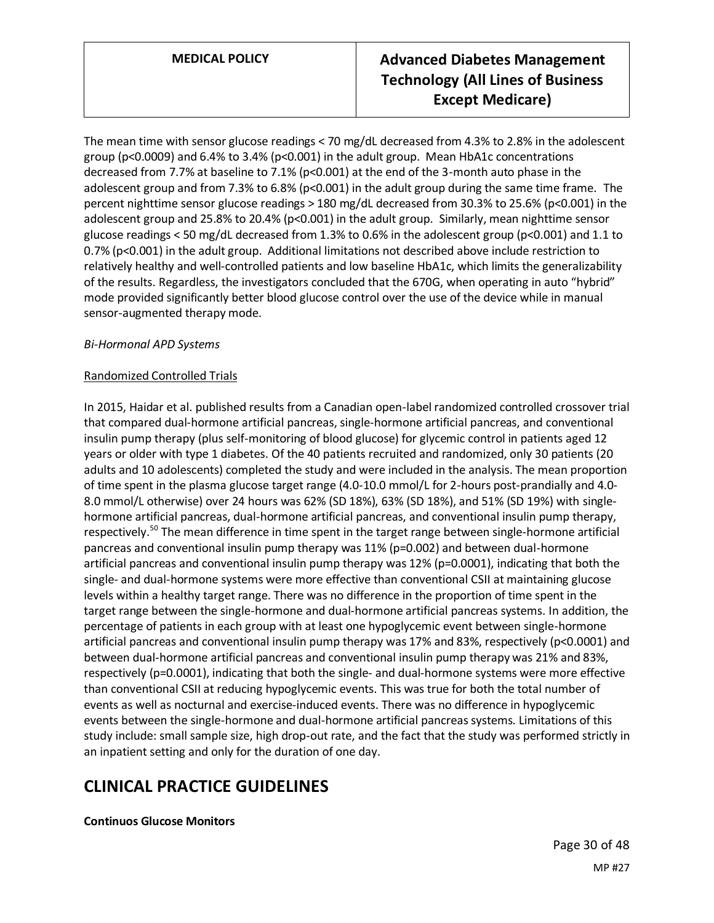The mean time with sensor glucose readings < 70 mg/dL decreased from 4.3% to 2.8% in the adolescent group (p<0.0009) and 6.4% to 3.4% (p<0.001) in the adult group. Mean HbA1c concentrations decreased from 7.7% at baseline to 7.1% (p<0.001) at the end of the 3-month auto phase in the adolescent group and from 7.3% to 6.8% ( $p<0.001$ ) in the adult group during the same time frame. The percent nighttime sensor glucose readings > 180 mg/dL decreased from 30.3% to 25.6% (p<0.001) in the adolescent group and 25.8% to 20.4% (p<0.001) in the adult group. Similarly, mean nighttime sensor glucose readings < 50 mg/dL decreased from 1.3% to 0.6% in the adolescent group ( $p$ <0.001) and 1.1 to 0.7% (p<0.001) in the adult group. Additional limitations not described above include restriction to relatively healthy and well-controlled patients and low baseline HbA1c, which limits the generalizability of the results. Regardless, the investigators concluded that the 670G, when operating in auto "hybrid" mode provided significantly better blood glucose control over the use of the device while in manual sensor-augmented therapy mode.

## *Bi-Hormonal APD Systems*

## Randomized Controlled Trials

In 2015, Haidar et al. published results from a Canadian open-label randomized controlled crossover trial that compared dual-hormone artificial pancreas, single-hormone artificial pancreas, and conventional insulin pump therapy (plus self-monitoring of blood glucose) for glycemic control in patients aged 12 years or older with type 1 diabetes. Of the 40 patients recruited and randomized, only 30 patients (20 adults and 10 adolescents) completed the study and were included in the analysis. The mean proportion of time spent in the plasma glucose target range (4.0-10.0 mmol/L for 2-hours post-prandially and 4.0- 8.0 mmol/L otherwise) over 24 hours was 62% (SD 18%), 63% (SD 18%), and 51% (SD 19%) with singlehormone artificial pancreas, dual-hormone artificial pancreas, and conventional insulin pump therapy, respectively.<sup>50</sup> The mean difference in time spent in the target range between single-hormone artificial pancreas and conventional insulin pump therapy was 11% (p=0.002) and between dual-hormone artificial pancreas and conventional insulin pump therapy was 12% (p=0.0001), indicating that both the single- and dual-hormone systems were more effective than conventional CSII at maintaining glucose levels within a healthy target range. There was no difference in the proportion of time spent in the target range between the single-hormone and dual-hormone artificial pancreas systems. In addition, the percentage of patients in each group with at least one hypoglycemic event between single-hormone artificial pancreas and conventional insulin pump therapy was 17% and 83%, respectively (p<0.0001) and between dual-hormone artificial pancreas and conventional insulin pump therapy was 21% and 83%, respectively (p=0.0001), indicating that both the single- and dual-hormone systems were more effective than conventional CSII at reducing hypoglycemic events. This was true for both the total number of events as well as nocturnal and exercise-induced events. There was no difference in hypoglycemic events between the single-hormone and dual-hormone artificial pancreas systems. Limitations of this study include: small sample size, high drop-out rate, and the fact that the study was performed strictly in an inpatient setting and only for the duration of one day.

# **CLINICAL PRACTICE GUIDELINES**

**Continuos Glucose Monitors**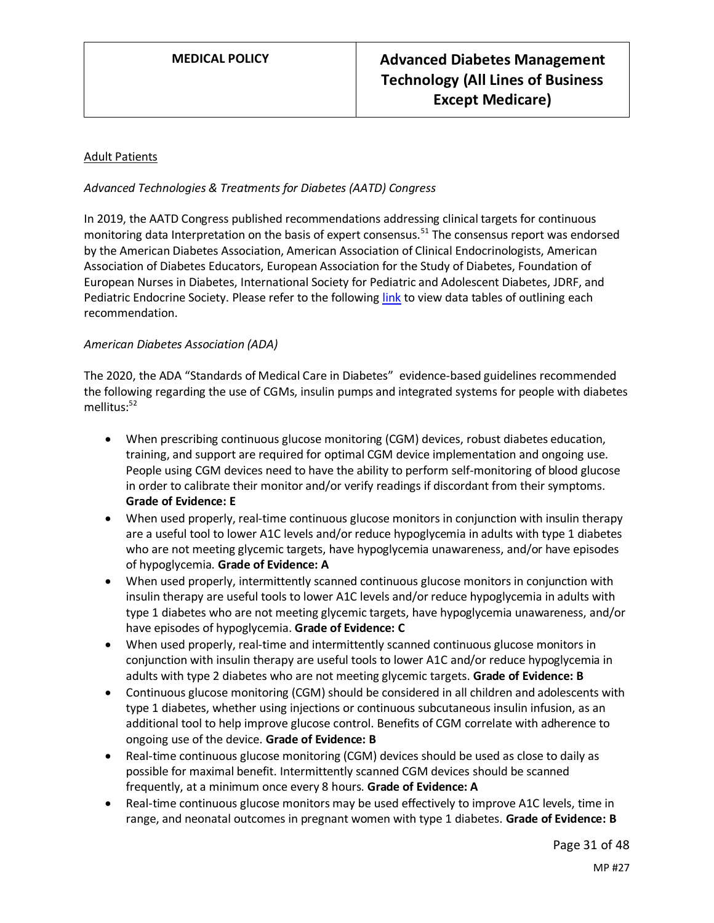## Adult Patients

## *Advanced Technologies & Treatments for Diabetes (AATD) Congress*

In 2019, the AATD Congress published recommendations addressing clinical targets for continuous monitoring data Interpretation on the basis of expert consensus.<sup>51</sup> The consensus report was endorsed by the American Diabetes Association, American Association of Clinical Endocrinologists, American Association of Diabetes Educators, European Association for the Study of Diabetes, Foundation of European Nurses in Diabetes, International Society for Pediatric and Adolescent Diabetes, JDRF, and Pediatric Endocrine Society. Please refer to the followin[g link](https://care.diabetesjournals.org/content/diacare/42/8/1593.full.pdf) to view data tables of outlining each recommendation.

#### *American Diabetes Association (ADA)*

The 2020, the ADA "Standards of Medical Care in Diabetes" evidence-based guidelines recommended the following regarding the use of CGMs, insulin pumps and integrated systems for people with diabetes mellitus:<sup>52</sup>

- When prescribing continuous glucose monitoring (CGM) devices, robust diabetes education, training, and support are required for optimal CGM device implementation and ongoing use. People using CGM devices need to have the ability to perform self-monitoring of blood glucose in order to calibrate their monitor and/or verify readings if discordant from their symptoms. **Grade of Evidence: E**
- When used properly, real-time continuous glucose monitors in conjunction with insulin therapy are a useful tool to lower A1C levels and/or reduce hypoglycemia in adults with type 1 diabetes who are not meeting glycemic targets, have hypoglycemia unawareness, and/or have episodes of hypoglycemia. **Grade of Evidence: A**
- When used properly, intermittently scanned continuous glucose monitors in conjunction with insulin therapy are useful tools to lower A1C levels and/or reduce hypoglycemia in adults with type 1 diabetes who are not meeting glycemic targets, have hypoglycemia unawareness, and/or have episodes of hypoglycemia. **Grade of Evidence: C**
- When used properly, real-time and intermittently scanned continuous glucose monitors in conjunction with insulin therapy are useful tools to lower A1C and/or reduce hypoglycemia in adults with type 2 diabetes who are not meeting glycemic targets. **Grade of Evidence: B**
- Continuous glucose monitoring (CGM) should be considered in all children and adolescents with type 1 diabetes, whether using injections or continuous subcutaneous insulin infusion, as an additional tool to help improve glucose control. Benefits of CGM correlate with adherence to ongoing use of the device. **Grade of Evidence: B**
- Real-time continuous glucose monitoring (CGM) devices should be used as close to daily as possible for maximal benefit. Intermittently scanned CGM devices should be scanned frequently, at a minimum once every 8 hours. **Grade of Evidence: A**
- Real-time continuous glucose monitors may be used effectively to improve A1C levels, time in range, and neonatal outcomes in pregnant women with type 1 diabetes. **Grade of Evidence: B**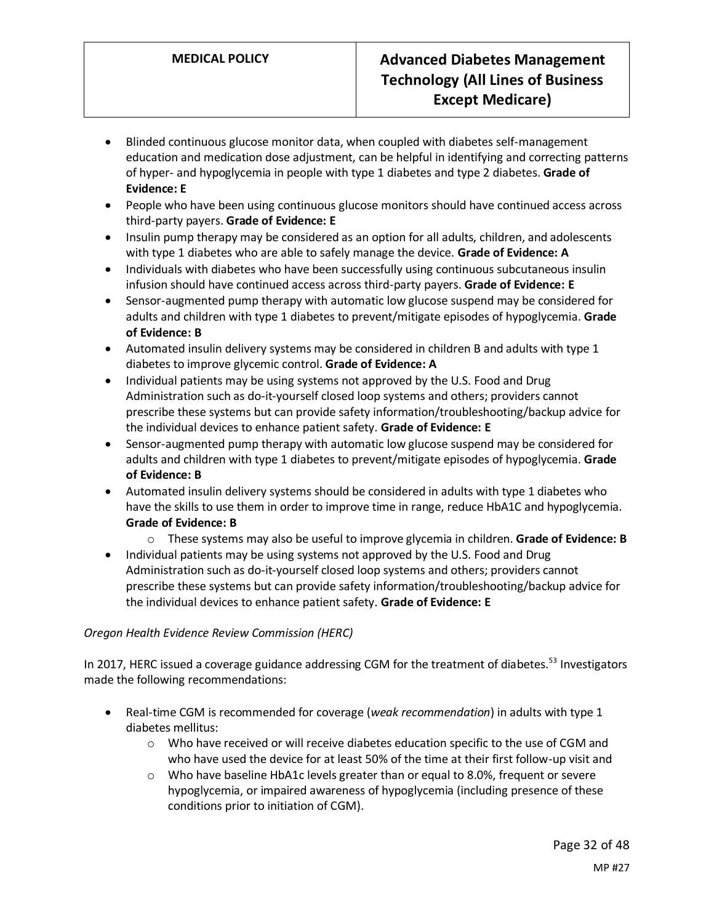- Blinded continuous glucose monitor data, when coupled with diabetes self-management education and medication dose adjustment, can be helpful in identifying and correcting patterns of hyper- and hypoglycemia in people with type 1 diabetes and type 2 diabetes. **Grade of Evidence: E**
- People who have been using continuous glucose monitors should have continued access across third-party payers. **Grade of Evidence: E**
- Insulin pump therapy may be considered as an option for all adults, children, and adolescents with type 1 diabetes who are able to safely manage the device. **Grade of Evidence: A**
- Individuals with diabetes who have been successfully using continuous subcutaneous insulin infusion should have continued access across third-party payers. **Grade of Evidence: E**
- Sensor-augmented pump therapy with automatic low glucose suspend may be considered for adults and children with type 1 diabetes to prevent/mitigate episodes of hypoglycemia. **Grade of Evidence: B**
- Automated insulin delivery systems may be considered in children B and adults with type 1 diabetes to improve glycemic control. **Grade of Evidence: A**
- Individual patients may be using systems not approved by the U.S. Food and Drug Administration such as do-it-yourself closed loop systems and others; providers cannot prescribe these systems but can provide safety information/troubleshooting/backup advice for the individual devices to enhance patient safety. **Grade of Evidence: E**
- Sensor-augmented pump therapy with automatic low glucose suspend may be considered for adults and children with type 1 diabetes to prevent/mitigate episodes of hypoglycemia. **Grade of Evidence: B**
- Automated insulin delivery systems should be considered in adults with type 1 diabetes who have the skills to use them in order to improve time in range, reduce HbA1C and hypoglycemia. **Grade of Evidence: B**
	- o These systems may also be useful to improve glycemia in children. **Grade of Evidence: B**
- Individual patients may be using systems not approved by the U.S. Food and Drug Administration such as do-it-yourself closed loop systems and others; providers cannot prescribe these systems but can provide safety information/troubleshooting/backup advice for the individual devices to enhance patient safety. **Grade of Evidence: E**

# *Oregon Health Evidence Review Commission (HERC)*

In 2017, HERC issued a coverage guidance addressing CGM for the treatment of diabetes.<sup>53</sup> Investigators made the following recommendations:

- Real-time CGM is recommended for coverage (*weak recommendation*) in adults with type 1 diabetes mellitus:
	- $\circ$  Who have received or will receive diabetes education specific to the use of CGM and who have used the device for at least 50% of the time at their first follow-up visit and
	- $\circ$  Who have baseline HbA1c levels greater than or equal to 8.0%, frequent or severe hypoglycemia, or impaired awareness of hypoglycemia (including presence of these conditions prior to initiation of CGM).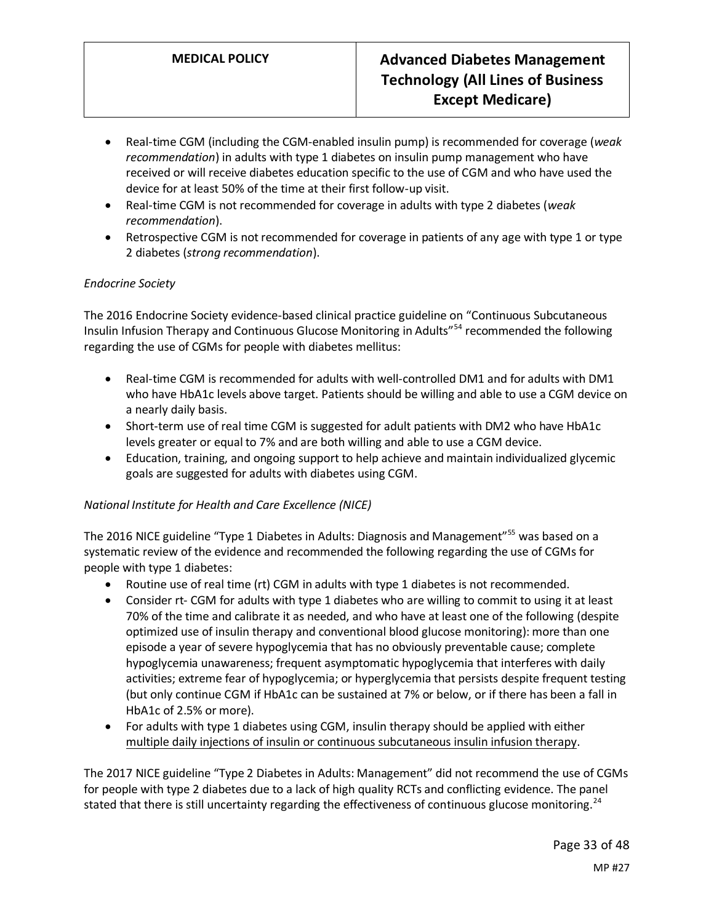- Real-time CGM (including the CGM-enabled insulin pump) is recommended for coverage (*weak recommendation*) in adults with type 1 diabetes on insulin pump management who have received or will receive diabetes education specific to the use of CGM and who have used the device for at least 50% of the time at their first follow-up visit.
- Real-time CGM is not recommended for coverage in adults with type 2 diabetes (*weak recommendation*).
- Retrospective CGM is not recommended for coverage in patients of any age with type 1 or type 2 diabetes (*strong recommendation*).

## *Endocrine Society*

The 2016 Endocrine Society evidence-based clinical practice guideline on "Continuous Subcutaneous Insulin Infusion Therapy and Continuous Glucose Monitoring in Adults"<sup>54</sup> recommended the following regarding the use of CGMs for people with diabetes mellitus:

- Real-time CGM is recommended for adults with well-controlled DM1 and for adults with DM1 who have HbA1c levels above target. Patients should be willing and able to use a CGM device on a nearly daily basis.
- Short-term use of real time CGM is suggested for adult patients with DM2 who have HbA1c levels greater or equal to 7% and are both willing and able to use a CGM device.
- Education, training, and ongoing support to help achieve and maintain individualized glycemic goals are suggested for adults with diabetes using CGM.

# *National Institute for Health and Care Excellence (NICE)*

The 2016 NICE guideline "Type 1 Diabetes in Adults: Diagnosis and Management"<sup>55</sup> was based on a systematic review of the evidence and recommended the following regarding the use of CGMs for people with type 1 diabetes:

- Routine use of real time (rt) CGM in adults with type 1 diabetes is not recommended.
- Consider rt- CGM for adults with type 1 diabetes who are willing to commit to using it at least 70% of the time and calibrate it as needed, and who have at least one of the following (despite optimized use of insulin therapy and conventional blood glucose monitoring): more than one episode a year of severe hypoglycemia that has no obviously preventable cause; complete hypoglycemia unawareness; frequent asymptomatic hypoglycemia that interferes with daily activities; extreme fear of hypoglycemia; or hyperglycemia that persists despite frequent testing (but only continue CGM if HbA1c can be sustained at 7% or below, or if there has been a fall in HbA1c of 2.5% or more).
- For adults with type 1 diabetes using CGM, insulin therapy should be applied with either multiple daily injections of insulin or continuous subcutaneous insulin infusion therapy.

The 2017 NICE guideline "Type 2 Diabetes in Adults: Management" did not recommend the use of CGMs for people with type 2 diabetes due to a lack of high quality RCTs and conflicting evidence. The panel stated that there is still uncertainty regarding the effectiveness of continuous glucose monitoring.<sup>24</sup>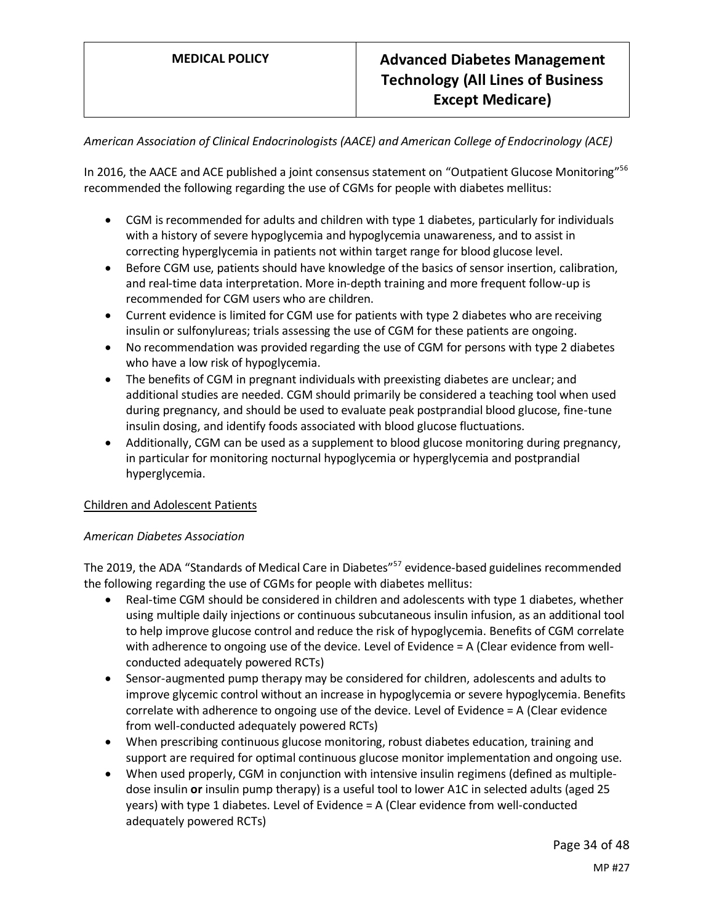*American Association of Clinical Endocrinologists (AACE) and American College of Endocrinology (ACE)*

In 2016, the AACE and ACE published a joint consensus statement on "Outpatient Glucose Monitoring"<sup>56</sup> recommended the following regarding the use of CGMs for people with diabetes mellitus:

- CGM is recommended for adults and children with type 1 diabetes, particularly for individuals with a history of severe hypoglycemia and hypoglycemia unawareness, and to assist in correcting hyperglycemia in patients not within target range for blood glucose level.
- Before CGM use, patients should have knowledge of the basics of sensor insertion, calibration, and real-time data interpretation. More in-depth training and more frequent follow-up is recommended for CGM users who are children.
- Current evidence is limited for CGM use for patients with type 2 diabetes who are receiving insulin or sulfonylureas; trials assessing the use of CGM for these patients are ongoing.
- No recommendation was provided regarding the use of CGM for persons with type 2 diabetes who have a low risk of hypoglycemia.
- The benefits of CGM in pregnant individuals with preexisting diabetes are unclear; and additional studies are needed. CGM should primarily be considered a teaching tool when used during pregnancy, and should be used to evaluate peak postprandial blood glucose, fine-tune insulin dosing, and identify foods associated with blood glucose fluctuations.
- Additionally, CGM can be used as a supplement to blood glucose monitoring during pregnancy, in particular for monitoring nocturnal hypoglycemia or hyperglycemia and postprandial hyperglycemia.

# Children and Adolescent Patients

# *American Diabetes Association*

The 2019, the ADA "Standards of Medical Care in Diabetes"<sup>57</sup> evidence-based guidelines recommended the following regarding the use of CGMs for people with diabetes mellitus:

- Real-time CGM should be considered in children and adolescents with type 1 diabetes, whether using multiple daily injections or continuous subcutaneous insulin infusion, as an additional tool to help improve glucose control and reduce the risk of hypoglycemia. Benefits of CGM correlate with adherence to ongoing use of the device. Level of Evidence = A (Clear evidence from wellconducted adequately powered RCTs)
- Sensor-augmented pump therapy may be considered for children, adolescents and adults to improve glycemic control without an increase in hypoglycemia or severe hypoglycemia. Benefits correlate with adherence to ongoing use of the device. Level of Evidence = A (Clear evidence from well-conducted adequately powered RCTs)
- When prescribing continuous glucose monitoring, robust diabetes education, training and support are required for optimal continuous glucose monitor implementation and ongoing use.
- When used properly, CGM in conjunction with intensive insulin regimens (defined as multipledose insulin **or** insulin pump therapy) is a useful tool to lower A1C in selected adults (aged 25 years) with type 1 diabetes. Level of Evidence = A (Clear evidence from well-conducted adequately powered RCTs)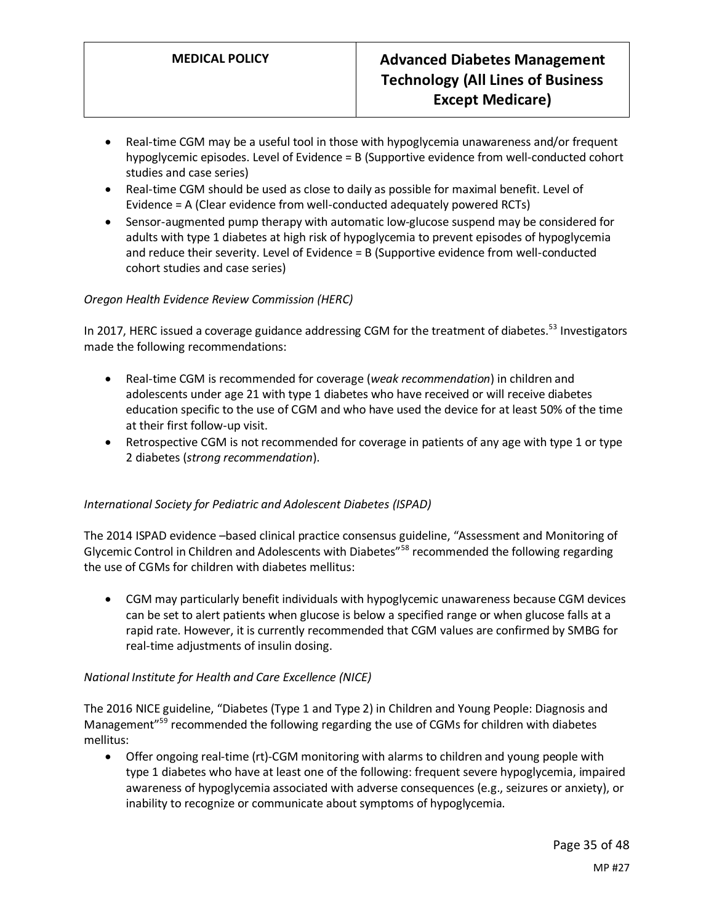- Real-time CGM may be a useful tool in those with hypoglycemia unawareness and/or frequent hypoglycemic episodes. Level of Evidence = B (Supportive evidence from well-conducted cohort studies and case series)
- Real-time CGM should be used as close to daily as possible for maximal benefit. Level of Evidence = A (Clear evidence from well-conducted adequately powered RCTs)
- Sensor-augmented pump therapy with automatic low-glucose suspend may be considered for adults with type 1 diabetes at high risk of hypoglycemia to prevent episodes of hypoglycemia and reduce their severity. Level of Evidence = B (Supportive evidence from well-conducted cohort studies and case series)

# *Oregon Health Evidence Review Commission (HERC)*

In 2017, HERC issued a coverage guidance addressing CGM for the treatment of diabetes.<sup>53</sup> Investigators made the following recommendations:

- Real-time CGM is recommended for coverage (*weak recommendation*) in children and adolescents under age 21 with type 1 diabetes who have received or will receive diabetes education specific to the use of CGM and who have used the device for at least 50% of the time at their first follow-up visit.
- Retrospective CGM is not recommended for coverage in patients of any age with type 1 or type 2 diabetes (*strong recommendation*).

# *International Society for Pediatric and Adolescent Diabetes (ISPAD)*

The 2014 ISPAD evidence –based clinical practice consensus guideline, "Assessment and Monitoring of Glycemic Control in Children and Adolescents with Diabetes"<sup>58</sup> recommended the following regarding the use of CGMs for children with diabetes mellitus:

• CGM may particularly benefit individuals with hypoglycemic unawareness because CGM devices can be set to alert patients when glucose is below a specified range or when glucose falls at a rapid rate. However, it is currently recommended that CGM values are confirmed by SMBG for real-time adjustments of insulin dosing.

# *National Institute for Health and Care Excellence (NICE)*

The 2016 NICE guideline, "Diabetes (Type 1 and Type 2) in Children and Young People: Diagnosis and Management<sup>"59</sup> recommended the following regarding the use of CGMs for children with diabetes mellitus:

• Offer ongoing real-time (rt)-CGM monitoring with alarms to children and young people with type 1 diabetes who have at least one of the following: frequent severe hypoglycemia, impaired awareness of hypoglycemia associated with adverse consequences (e.g., seizures or anxiety), or inability to recognize or communicate about symptoms of hypoglycemia.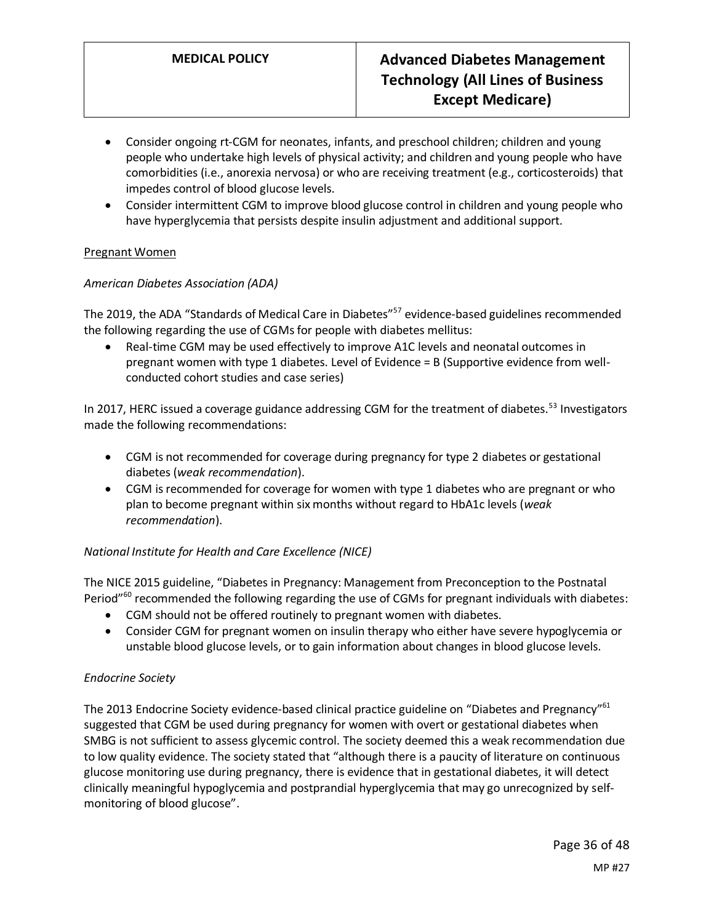- Consider ongoing rt-CGM for neonates, infants, and preschool children; children and young people who undertake high levels of physical activity; and children and young people who have comorbidities (i.e., anorexia nervosa) or who are receiving treatment (e.g., corticosteroids) that impedes control of blood glucose levels.
- Consider intermittent CGM to improve blood glucose control in children and young people who have hyperglycemia that persists despite insulin adjustment and additional support.

## Pregnant Women

## *American Diabetes Association (ADA)*

The 2019, the ADA "Standards of Medical Care in Diabetes"<sup>57</sup> evidence-based guidelines recommended the following regarding the use of CGMs for people with diabetes mellitus:

• Real-time CGM may be used effectively to improve A1C levels and neonatal outcomes in pregnant women with type 1 diabetes. Level of Evidence = B (Supportive evidence from wellconducted cohort studies and case series)

In 2017, HERC issued a coverage guidance addressing CGM for the treatment of diabetes.<sup>53</sup> Investigators made the following recommendations:

- CGM is not recommended for coverage during pregnancy for type 2 diabetes or gestational diabetes (*weak recommendation*).
- CGM is recommended for coverage for women with type 1 diabetes who are pregnant or who plan to become pregnant within six months without regard to HbA1c levels (*weak recommendation*).

# *National Institute for Health and Care Excellence (NICE)*

The NICE 2015 guideline, "Diabetes in Pregnancy: Management from Preconception to the Postnatal Period"<sup>60</sup> recommended the following regarding the use of CGMs for pregnant individuals with diabetes:

- CGM should not be offered routinely to pregnant women with diabetes.
- Consider CGM for pregnant women on insulin therapy who either have severe hypoglycemia or unstable blood glucose levels, or to gain information about changes in blood glucose levels.

#### *Endocrine Society*

The 2013 Endocrine Society evidence-based clinical practice guideline on "Diabetes and Pregnancy"<sup>61</sup> suggested that CGM be used during pregnancy for women with overt or gestational diabetes when SMBG is not sufficient to assess glycemic control. The society deemed this a weak recommendation due to low quality evidence. The society stated that "although there is a paucity of literature on continuous glucose monitoring use during pregnancy, there is evidence that in gestational diabetes, it will detect clinically meaningful hypoglycemia and postprandial hyperglycemia that may go unrecognized by selfmonitoring of blood glucose".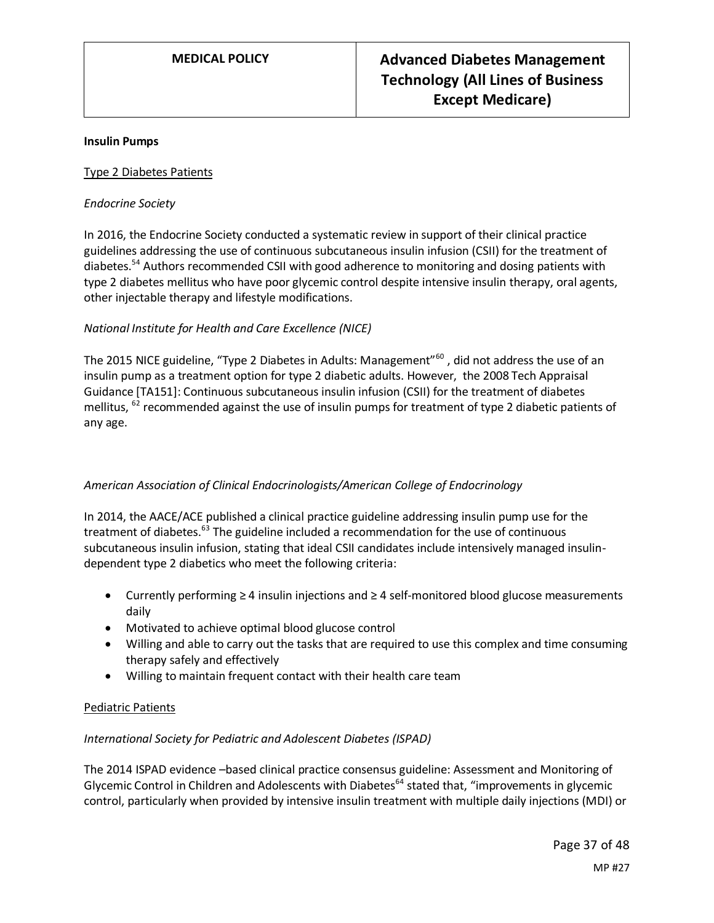#### **Insulin Pumps**

#### Type 2 Diabetes Patients

#### *Endocrine Society*

In 2016, the Endocrine Society conducted a systematic review in support of their clinical practice guidelines addressing the use of continuous subcutaneous insulin infusion (CSII) for the treatment of diabetes.<sup>54</sup> Authors recommended CSII with good adherence to monitoring and dosing patients with type 2 diabetes mellitus who have poor glycemic control despite intensive insulin therapy, oral agents, other injectable therapy and lifestyle modifications.

## *National Institute for Health and Care Excellence (NICE)*

The 2015 NICE guideline, "Type 2 Diabetes in Adults: Management"<sup>60</sup>, did not address the use of an insulin pump as a treatment option for type 2 diabetic adults. However, the 2008 Tech Appraisal Guidance [TA151]: Continuous subcutaneous insulin infusion (CSII) for the treatment of diabetes mellitus, <sup>62</sup> recommended against the use of insulin pumps for treatment of type 2 diabetic patients of any age.

# *American Association of Clinical Endocrinologists/American College of Endocrinology*

In 2014, the AACE/ACE published a clinical practice guideline addressing insulin pump use for the treatment of diabetes.<sup>63</sup> The guideline included a recommendation for the use of continuous subcutaneous insulin infusion, stating that ideal CSII candidates include intensively managed insulindependent type 2 diabetics who meet the following criteria:

- Currently performing ≥ 4 insulin injections and ≥ 4 self-monitored blood glucose measurements daily
- Motivated to achieve optimal blood glucose control
- Willing and able to carry out the tasks that are required to use this complex and time consuming therapy safely and effectively
- Willing to maintain frequent contact with their health care team

#### Pediatric Patients

#### *International Society for Pediatric and Adolescent Diabetes (ISPAD)*

The 2014 ISPAD evidence –based clinical practice consensus guideline: Assessment and Monitoring of Glycemic Control in Children and Adolescents with Diabetes<sup>64</sup> stated that, "improvements in glycemic control, particularly when provided by intensive insulin treatment with multiple daily injections (MDI) or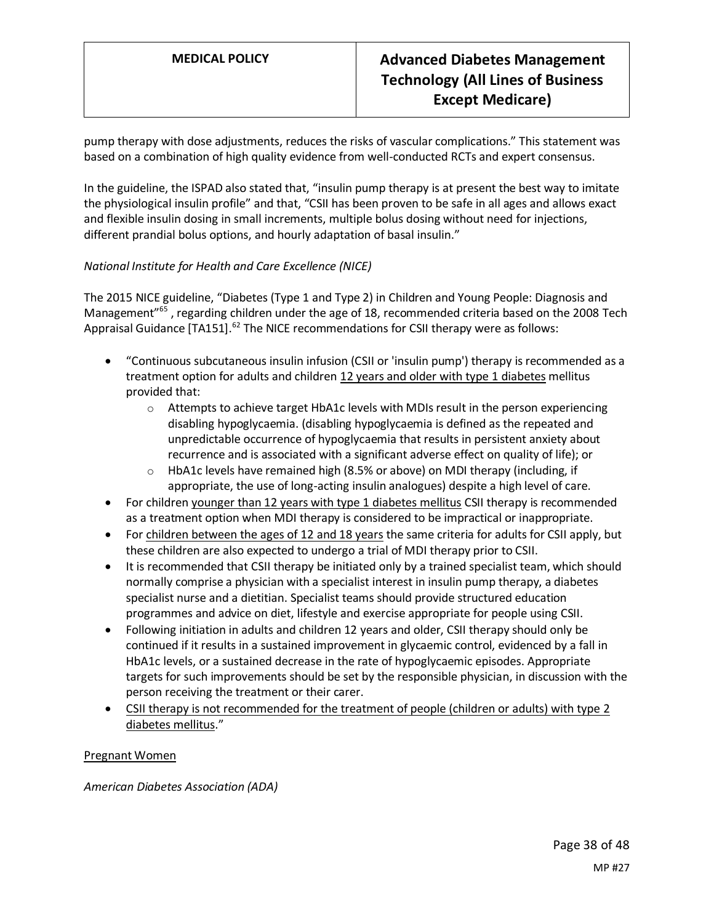pump therapy with dose adjustments, reduces the risks of vascular complications." This statement was based on a combination of high quality evidence from well-conducted RCTs and expert consensus.

In the guideline, the ISPAD also stated that, "insulin pump therapy is at present the best way to imitate the physiological insulin profile" and that, "CSII has been proven to be safe in all ages and allows exact and flexible insulin dosing in small increments, multiple bolus dosing without need for injections, different prandial bolus options, and hourly adaptation of basal insulin."

## *National Institute for Health and Care Excellence (NICE)*

The 2015 NICE guideline, "Diabetes (Type 1 and Type 2) in Children and Young People: Diagnosis and Management<sup>"65</sup>, regarding children under the age of 18, recommended criteria based on the 2008 Tech Appraisal Guidance  $[TA151]$ .<sup>62</sup> The NICE recommendations for CSII therapy were as follows:

- "Continuous subcutaneous insulin infusion (CSII or 'insulin pump') therapy is recommended as a treatment option for adults and children 12 years and older with type 1 diabetes mellitus provided that:
	- $\circ$  Attempts to achieve target HbA1c levels with MDIs result in the person experiencing disabling hypoglycaemia. (disabling hypoglycaemia is defined as the repeated and unpredictable occurrence of hypoglycaemia that results in persistent anxiety about recurrence and is associated with a significant adverse effect on quality of life); or
	- $\circ$  HbA1c levels have remained high (8.5% or above) on MDI therapy (including, if appropriate, the use of long-acting insulin analogues) despite a high level of care.
- For children younger than 12 years with type 1 diabetes mellitus CSII therapy is recommended as a treatment option when MDI therapy is considered to be impractical or inappropriate.
- For children between the ages of 12 and 18 years the same criteria for adults for CSII apply, but these children are also expected to undergo a trial of MDI therapy prior to CSII.
- It is recommended that CSII therapy be initiated only by a trained specialist team, which should normally comprise a physician with a specialist interest in insulin pump therapy, a diabetes specialist nurse and a dietitian. Specialist teams should provide structured education programmes and advice on diet, lifestyle and exercise appropriate for people using CSII.
- Following initiation in adults and children 12 years and older, CSII therapy should only be continued if it results in a sustained improvement in glycaemic control, evidenced by a fall in HbA1c levels, or a sustained decrease in the rate of hypoglycaemic episodes. Appropriate targets for such improvements should be set by the responsible physician, in discussion with the person receiving the treatment or their carer.
- CSII therapy is not recommended for the treatment of people (children or adults) with type 2 diabetes mellitus."

Pregnant Women

*American Diabetes Association (ADA)*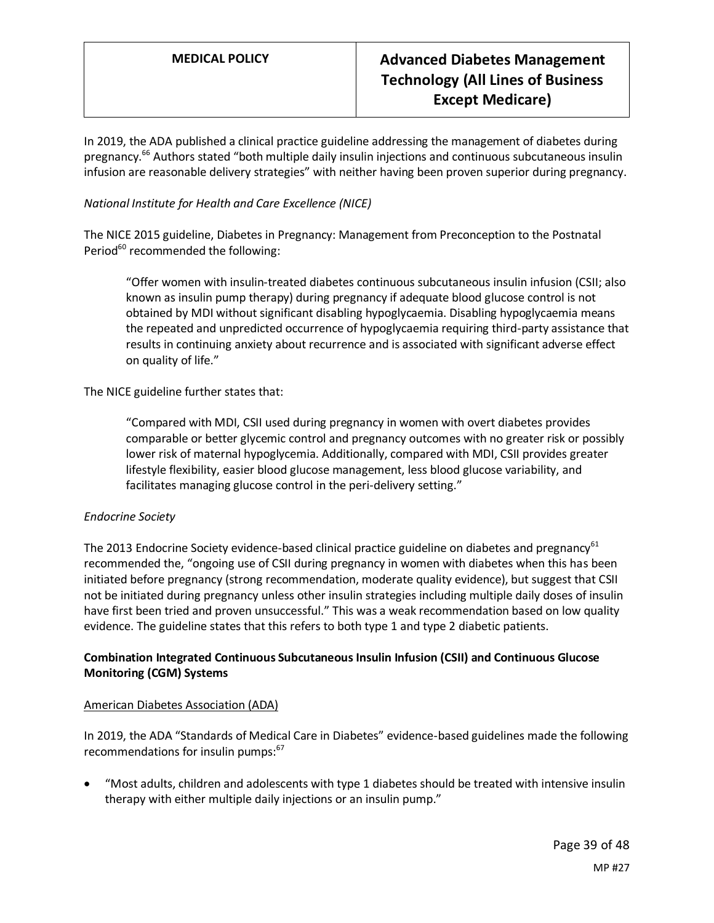In 2019, the ADA published a clinical practice guideline addressing the management of diabetes during pregnancy.<sup>66</sup> Authors stated "both multiple daily insulin injections and continuous subcutaneous insulin infusion are reasonable delivery strategies" with neither having been proven superior during pregnancy.

## *National Institute for Health and Care Excellence (NICE)*

The NICE 2015 guideline, Diabetes in Pregnancy: Management from Preconception to the Postnatal Period $60$  recommended the following:

"Offer women with insulin-treated diabetes continuous subcutaneous insulin infusion (CSII; also known as insulin pump therapy) during pregnancy if adequate blood glucose control is not obtained by MDI without significant disabling hypoglycaemia. Disabling hypoglycaemia means the repeated and unpredicted occurrence of hypoglycaemia requiring third-party assistance that results in continuing anxiety about recurrence and is associated with significant adverse effect on quality of life."

## The NICE guideline further states that:

"Compared with MDI, CSII used during pregnancy in women with overt diabetes provides comparable or better glycemic control and pregnancy outcomes with no greater risk or possibly lower risk of maternal hypoglycemia. Additionally, compared with MDI, CSII provides greater lifestyle flexibility, easier blood glucose management, less blood glucose variability, and facilitates managing glucose control in the peri-delivery setting."

#### *Endocrine Society*

The 2013 Endocrine Society evidence-based clinical practice guideline on diabetes and pregnancy<sup>61</sup> recommended the, "ongoing use of CSII during pregnancy in women with diabetes when this has been initiated before pregnancy (strong recommendation, moderate quality evidence), but suggest that CSII not be initiated during pregnancy unless other insulin strategies including multiple daily doses of insulin have first been tried and proven unsuccessful." This was a weak recommendation based on low quality evidence. The guideline states that this refers to both type 1 and type 2 diabetic patients.

# **Combination Integrated Continuous Subcutaneous Insulin Infusion (CSII) and Continuous Glucose Monitoring (CGM) Systems**

#### American Diabetes Association (ADA)

In 2019, the ADA "Standards of Medical Care in Diabetes" evidence-based guidelines made the following recommendations for insulin pumps:<sup>67</sup>

• "Most adults, children and adolescents with type 1 diabetes should be treated with intensive insulin therapy with either multiple daily injections or an insulin pump."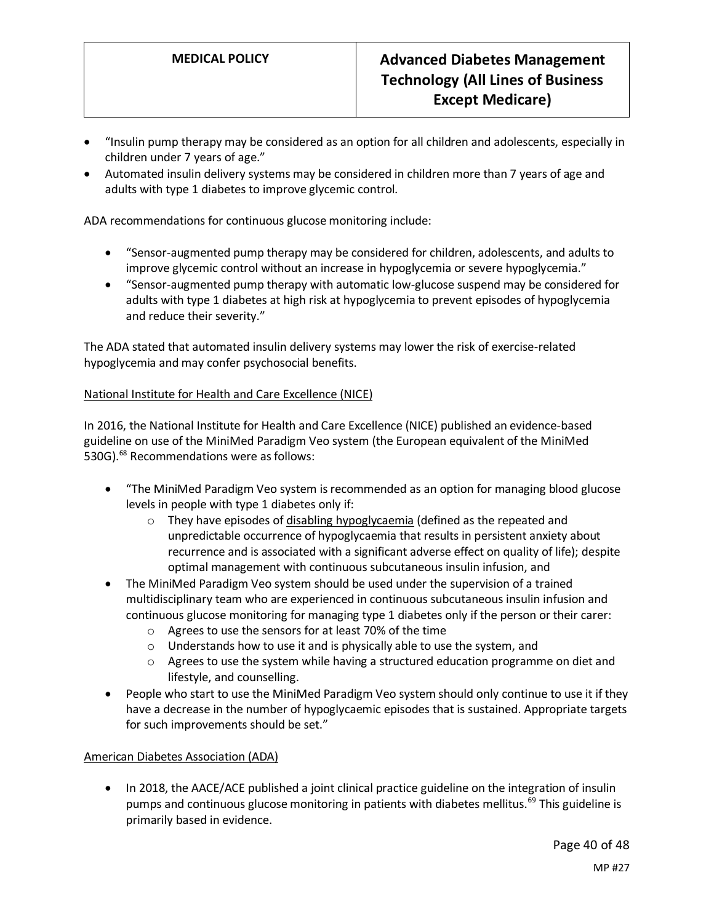- "Insulin pump therapy may be considered as an option for all children and adolescents, especially in children under 7 years of age."
- Automated insulin delivery systems may be considered in children more than 7 years of age and adults with type 1 diabetes to improve glycemic control.

ADA recommendations for continuous glucose monitoring include:

- "Sensor-augmented pump therapy may be considered for children, adolescents, and adults to improve glycemic control without an increase in hypoglycemia or severe hypoglycemia."
- "Sensor-augmented pump therapy with automatic low-glucose suspend may be considered for adults with type 1 diabetes at high risk at hypoglycemia to prevent episodes of hypoglycemia and reduce their severity."

The ADA stated that automated insulin delivery systems may lower the risk of exercise-related hypoglycemia and may confer psychosocial benefits.

## National Institute for Health and Care Excellence (NICE)

In 2016, the National Institute for Health and Care Excellence (NICE) published an evidence-based guideline on use of the MiniMed Paradigm Veo system (the European equivalent of the MiniMed 530G).<sup>68</sup> Recommendations were as follows:

- "The MiniMed Paradigm Veo system is recommended as an option for managing blood glucose levels in people with type 1 diabetes only if:
	- o They have episodes of disabling hypoglycaemia (defined as the repeated and unpredictable occurrence of hypoglycaemia that results in persistent anxiety about recurrence and is associated with a significant adverse effect on quality of life); despite optimal management with continuous subcutaneous insulin infusion, and
- The MiniMed Paradigm Veo system should be used under the supervision of a trained multidisciplinary team who are experienced in continuous subcutaneous insulin infusion and continuous glucose monitoring for managing type 1 diabetes only if the person or their carer:
	- o Agrees to use the sensors for at least 70% of the time
	- o Understands how to use it and is physically able to use the system, and
	- $\circ$  Agrees to use the system while having a structured education programme on diet and lifestyle, and counselling.
- People who start to use the MiniMed Paradigm Veo system should only continue to use it if they have a decrease in the number of hypoglycaemic episodes that is sustained. Appropriate targets for such improvements should be set."

#### American Diabetes Association (ADA)

• In 2018, the AACE/ACE published a joint clinical practice guideline on the integration of insulin pumps and continuous glucose monitoring in patients with diabetes mellitus.<sup>69</sup> This guideline is primarily based in evidence.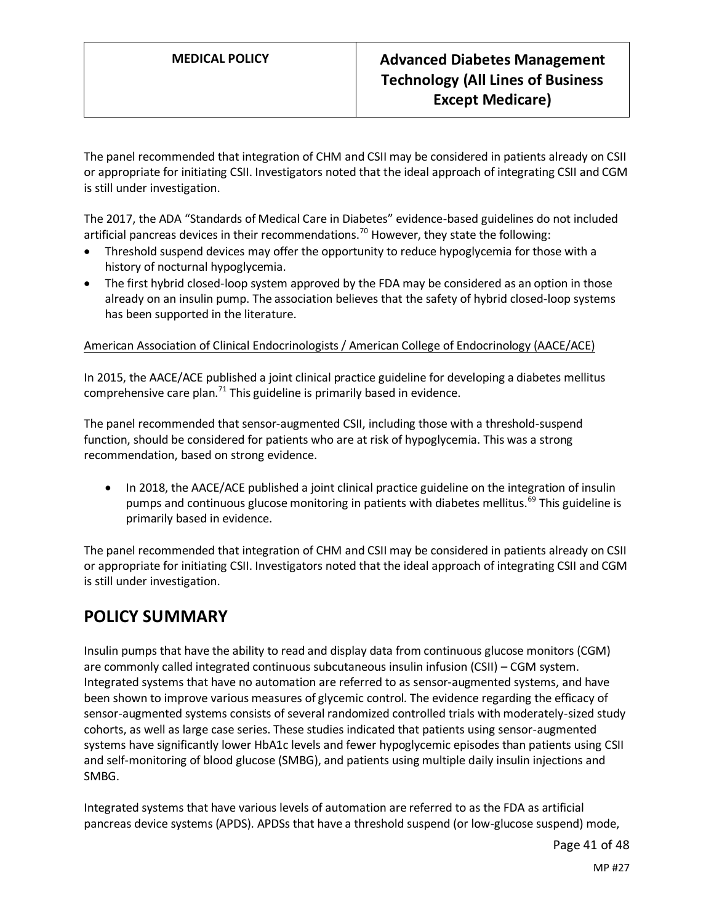The panel recommended that integration of CHM and CSII may be considered in patients already on CSII or appropriate for initiating CSII. Investigators noted that the ideal approach of integrating CSII and CGM is still under investigation.

The 2017, the ADA "Standards of Medical Care in Diabetes" evidence-based guidelines do not included artificial pancreas devices in their recommendations.<sup>70</sup> However, they state the following:

- Threshold suspend devices may offer the opportunity to reduce hypoglycemia for those with a history of nocturnal hypoglycemia.
- The first hybrid closed-loop system approved by the FDA may be considered as an option in those already on an insulin pump. The association believes that the safety of hybrid closed-loop systems has been supported in the literature.

## American Association of Clinical Endocrinologists / American College of Endocrinology (AACE/ACE)

In 2015, the AACE/ACE published a joint clinical practice guideline for developing a diabetes mellitus comprehensive care plan.<sup>71</sup> This guideline is primarily based in evidence.

The panel recommended that sensor-augmented CSII, including those with a threshold-suspend function, should be considered for patients who are at risk of hypoglycemia. This was a strong recommendation, based on strong evidence.

• In 2018, the AACE/ACE published a joint clinical practice guideline on the integration of insulin pumps and continuous glucose monitoring in patients with diabetes mellitus.<sup>69</sup> This guideline is primarily based in evidence.

The panel recommended that integration of CHM and CSII may be considered in patients already on CSII or appropriate for initiating CSII. Investigators noted that the ideal approach of integrating CSII and CGM is still under investigation.

# **POLICY SUMMARY**

Insulin pumps that have the ability to read and display data from continuous glucose monitors (CGM) are commonly called integrated continuous subcutaneous insulin infusion (CSII) – CGM system. Integrated systems that have no automation are referred to as sensor-augmented systems, and have been shown to improve various measures of glycemic control. The evidence regarding the efficacy of sensor-augmented systems consists of several randomized controlled trials with moderately-sized study cohorts, as well as large case series. These studies indicated that patients using sensor-augmented systems have significantly lower HbA1c levels and fewer hypoglycemic episodes than patients using CSII and self-monitoring of blood glucose (SMBG), and patients using multiple daily insulin injections and SMBG.

Integrated systems that have various levels of automation are referred to as the FDA as artificial pancreas device systems (APDS). APDSs that have a threshold suspend (or low-glucose suspend) mode,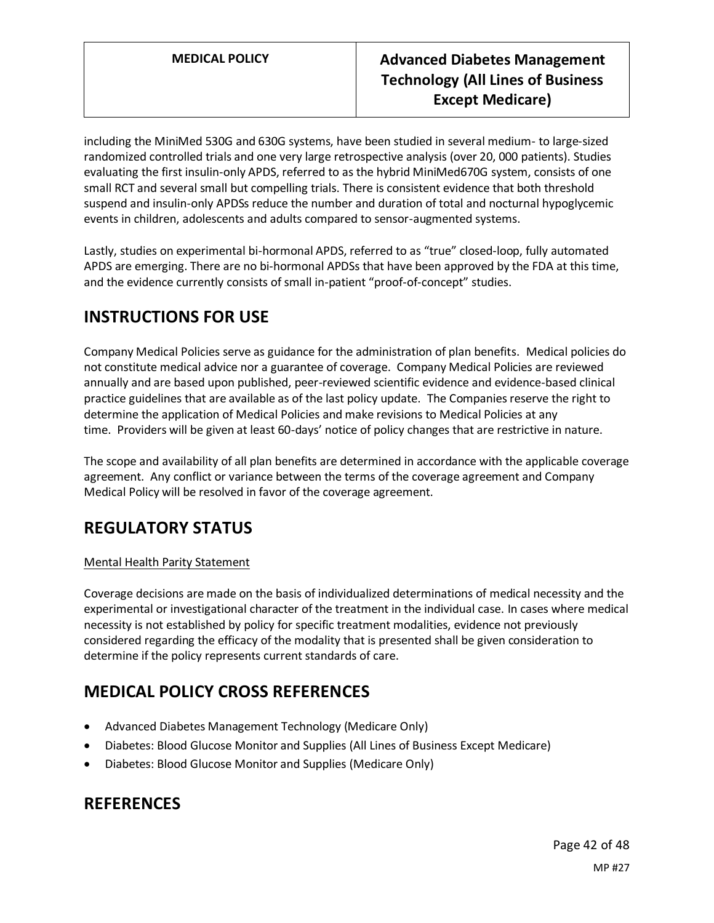including the MiniMed 530G and 630G systems, have been studied in several medium- to large-sized randomized controlled trials and one very large retrospective analysis (over 20, 000 patients). Studies evaluating the first insulin-only APDS, referred to as the hybrid MiniMed670G system, consists of one small RCT and several small but compelling trials. There is consistent evidence that both threshold suspend and insulin-only APDSs reduce the number and duration of total and nocturnal hypoglycemic events in children, adolescents and adults compared to sensor-augmented systems.

Lastly, studies on experimental bi-hormonal APDS, referred to as "true" closed-loop, fully automated APDS are emerging. There are no bi-hormonal APDSs that have been approved by the FDA at this time, and the evidence currently consists of small in-patient "proof-of-concept" studies.

# **INSTRUCTIONS FOR USE**

Company Medical Policies serve as guidance for the administration of plan benefits. Medical policies do not constitute medical advice nor a guarantee of coverage. Company Medical Policies are reviewed annually and are based upon published, peer-reviewed scientific evidence and evidence-based clinical practice guidelines that are available as of the last policy update. The Companies reserve the right to determine the application of Medical Policies and make revisions to Medical Policies at any time. Providers will be given at least 60-days' notice of policy changes that are restrictive in nature.

The scope and availability of all plan benefits are determined in accordance with the applicable coverage agreement. Any conflict or variance between the terms of the coverage agreement and Company Medical Policy will be resolved in favor of the coverage agreement.

# **REGULATORY STATUS**

# Mental Health Parity Statement

Coverage decisions are made on the basis of individualized determinations of medical necessity and the experimental or investigational character of the treatment in the individual case. In cases where medical necessity is not established by policy for specific treatment modalities, evidence not previously considered regarding the efficacy of the modality that is presented shall be given consideration to determine if the policy represents current standards of care.

# **MEDICAL POLICY CROSS REFERENCES**

- Advanced Diabetes Management Technology (Medicare Only)
- Diabetes: Blood Glucose Monitor and Supplies (All Lines of Business Except Medicare)
- Diabetes: Blood Glucose Monitor and Supplies (Medicare Only)

# **REFERENCES**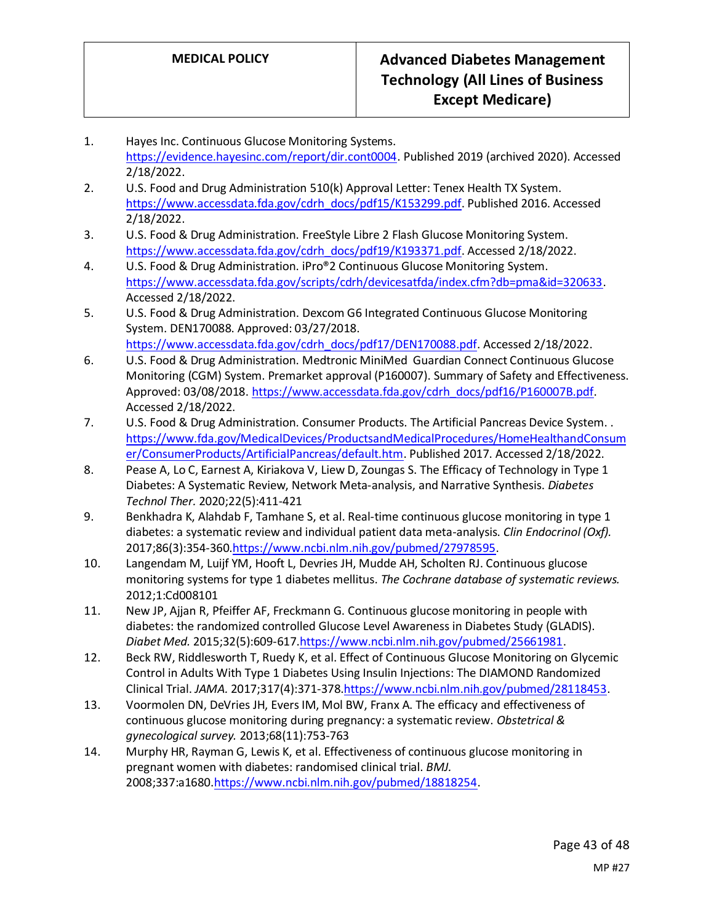- 1. Hayes Inc. Continuous Glucose Monitoring Systems. [https://evidence.hayesinc.com/report/dir.cont0004.](https://evidence.hayesinc.com/report/dir.cont0004) Published 2019 (archived 2020). Accessed 2/18/2022.
- 2. U.S. Food and Drug Administration 510(k) Approval Letter: Tenex Health TX System. [https://www.accessdata.fda.gov/cdrh\\_docs/pdf15/K153299.pdf.](https://www.accessdata.fda.gov/cdrh_docs/pdf15/K153299.pdf) Published 2016. Accessed 2/18/2022.
- 3. U.S. Food & Drug Administration. FreeStyle Libre 2 Flash Glucose Monitoring System. [https://www.accessdata.fda.gov/cdrh\\_docs/pdf19/K193371.pdf.](https://www.accessdata.fda.gov/cdrh_docs/pdf19/K193371.pdf) Accessed 2/18/2022.
- 4. U.S. Food & Drug Administration. iPro®2 Continuous Glucose Monitoring System. [https://www.accessdata.fda.gov/scripts/cdrh/devicesatfda/index.cfm?db=pma&id=320633.](https://www.accessdata.fda.gov/scripts/cdrh/devicesatfda/index.cfm?db=pma&id=320633) Accessed 2/18/2022.
- 5. U.S. Food & Drug Administration. Dexcom G6 Integrated Continuous Glucose Monitoring System. DEN170088. Approved: 03/27/2018. [https://www.accessdata.fda.gov/cdrh\\_docs/pdf17/DEN170088.pdf.](https://www.accessdata.fda.gov/cdrh_docs/pdf17/DEN170088.pdf) Accessed 2/18/2022.
- 6. U.S. Food & Drug Administration. Medtronic MiniMed Guardian Connect Continuous Glucose Monitoring (CGM) System. Premarket approval (P160007). Summary of Safety and Effectiveness. Approved: 03/08/2018[. https://www.accessdata.fda.gov/cdrh\\_docs/pdf16/P160007B.pdf.](https://www.accessdata.fda.gov/cdrh_docs/pdf16/P160007B.pdf) Accessed 2/18/2022.
- 7. U.S. Food & Drug Administration. Consumer Products. The Artificial Pancreas Device System. . [https://www.fda.gov/MedicalDevices/ProductsandMedicalProcedures/HomeHealthandConsum](https://www.fda.gov/MedicalDevices/ProductsandMedicalProcedures/HomeHealthandConsumer/ConsumerProducts/ArtificialPancreas/default.htm) [er/ConsumerProducts/ArtificialPancreas/default.htm.](https://www.fda.gov/MedicalDevices/ProductsandMedicalProcedures/HomeHealthandConsumer/ConsumerProducts/ArtificialPancreas/default.htm) Published 2017. Accessed 2/18/2022.
- 8. Pease A, Lo C, Earnest A, Kiriakova V, Liew D, Zoungas S. The Efficacy of Technology in Type 1 Diabetes: A Systematic Review, Network Meta-analysis, and Narrative Synthesis. *Diabetes Technol Ther.* 2020;22(5):411-421
- 9. Benkhadra K, Alahdab F, Tamhane S, et al. Real-time continuous glucose monitoring in type 1 diabetes: a systematic review and individual patient data meta-analysis. *Clin Endocrinol (Oxf).*  2017;86(3):354-360[.https://www.ncbi.nlm.nih.gov/pubmed/27978595.](https://www.ncbi.nlm.nih.gov/pubmed/27978595)
- 10. Langendam M, Luijf YM, Hooft L, Devries JH, Mudde AH, Scholten RJ. Continuous glucose monitoring systems for type 1 diabetes mellitus. *The Cochrane database of systematic reviews.*  2012;1:Cd008101
- 11. New JP, Ajjan R, Pfeiffer AF, Freckmann G. Continuous glucose monitoring in people with diabetes: the randomized controlled Glucose Level Awareness in Diabetes Study (GLADIS). *Diabet Med.* 2015;32(5):609-617[.https://www.ncbi.nlm.nih.gov/pubmed/25661981.](https://www.ncbi.nlm.nih.gov/pubmed/25661981)
- 12. Beck RW, Riddlesworth T, Ruedy K, et al. Effect of Continuous Glucose Monitoring on Glycemic Control in Adults With Type 1 Diabetes Using Insulin Injections: The DIAMOND Randomized Clinical Trial. *JAMA.* 2017;317(4):371-37[8.https://www.ncbi.nlm.nih.gov/pubmed/28118453.](https://www.ncbi.nlm.nih.gov/pubmed/28118453)
- 13. Voormolen DN, DeVries JH, Evers IM, Mol BW, Franx A. The efficacy and effectiveness of continuous glucose monitoring during pregnancy: a systematic review. *Obstetrical & gynecological survey.* 2013;68(11):753-763
- 14. Murphy HR, Rayman G, Lewis K, et al. Effectiveness of continuous glucose monitoring in pregnant women with diabetes: randomised clinical trial. *BMJ.*  2008;337:a1680[.https://www.ncbi.nlm.nih.gov/pubmed/18818254.](https://www.ncbi.nlm.nih.gov/pubmed/18818254)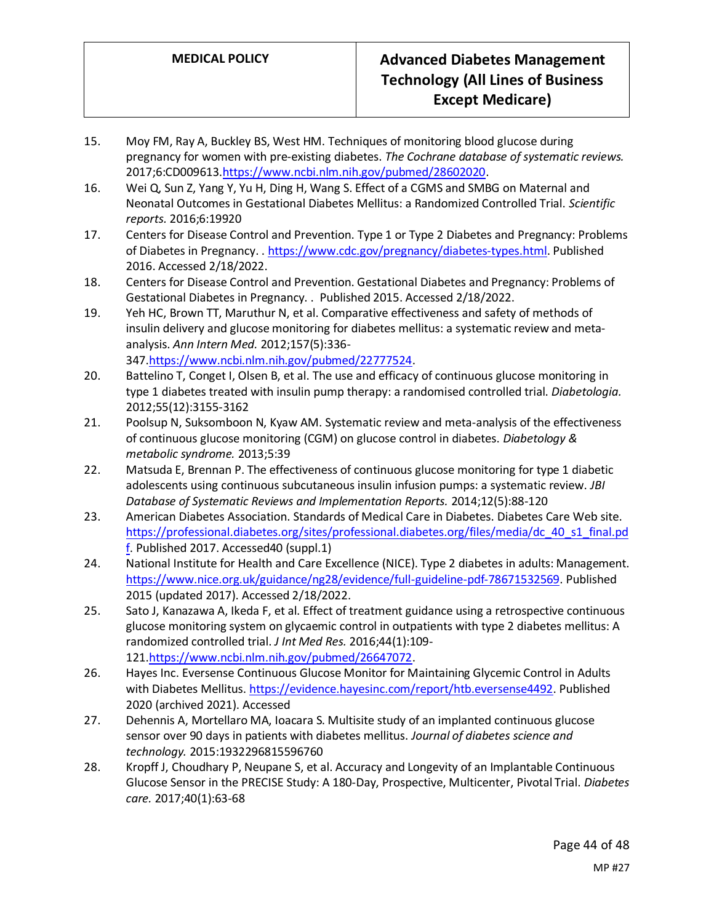- 15. Moy FM, Ray A, Buckley BS, West HM. Techniques of monitoring blood glucose during pregnancy for women with pre-existing diabetes. *The Cochrane database of systematic reviews.*  2017;6:CD00961[3.https://www.ncbi.nlm.nih.gov/pubmed/28602020.](https://www.ncbi.nlm.nih.gov/pubmed/28602020)
- 16. Wei Q, Sun Z, Yang Y, Yu H, Ding H, Wang S. Effect of a CGMS and SMBG on Maternal and Neonatal Outcomes in Gestational Diabetes Mellitus: a Randomized Controlled Trial. *Scientific reports.* 2016;6:19920
- 17. Centers for Disease Control and Prevention. Type 1 or Type 2 Diabetes and Pregnancy: Problems of Diabetes in Pregnancy. [. https://www.cdc.gov/pregnancy/diabetes-types.html.](https://www.cdc.gov/pregnancy/diabetes-types.html) Published 2016. Accessed 2/18/2022.
- 18. Centers for Disease Control and Prevention. Gestational Diabetes and Pregnancy: Problems of Gestational Diabetes in Pregnancy. . Published 2015. Accessed 2/18/2022.
- 19. Yeh HC, Brown TT, Maruthur N, et al. Comparative effectiveness and safety of methods of insulin delivery and glucose monitoring for diabetes mellitus: a systematic review and metaanalysis. *Ann Intern Med.* 2012;157(5):336- 347[.https://www.ncbi.nlm.nih.gov/pubmed/22777524.](https://www.ncbi.nlm.nih.gov/pubmed/22777524)
- 20. Battelino T, Conget I, Olsen B, et al. The use and efficacy of continuous glucose monitoring in type 1 diabetes treated with insulin pump therapy: a randomised controlled trial. *Diabetologia.*  2012;55(12):3155-3162
- 21. Poolsup N, Suksomboon N, Kyaw AM. Systematic review and meta-analysis of the effectiveness of continuous glucose monitoring (CGM) on glucose control in diabetes. *Diabetology & metabolic syndrome.* 2013;5:39
- 22. Matsuda E, Brennan P. The effectiveness of continuous glucose monitoring for type 1 diabetic adolescents using continuous subcutaneous insulin infusion pumps: a systematic review. *JBI Database of Systematic Reviews and Implementation Reports.* 2014;12(5):88-120
- 23. American Diabetes Association. Standards of Medical Care in Diabetes. Diabetes Care Web site. [https://professional.diabetes.org/sites/professional.diabetes.org/files/media/dc\\_40\\_s1\\_final.pd](https://professional.diabetes.org/sites/professional.diabetes.org/files/media/dc_40_s1_final.pdf) [f.](https://professional.diabetes.org/sites/professional.diabetes.org/files/media/dc_40_s1_final.pdf) Published 2017. Accessed40 (suppl.1)
- 24. National Institute for Health and Care Excellence (NICE). Type 2 diabetes in adults: Management. [https://www.nice.org.uk/guidance/ng28/evidence/full-guideline-pdf-78671532569.](https://www.nice.org.uk/guidance/ng28/evidence/full-guideline-pdf-78671532569) Published 2015 (updated 2017). Accessed 2/18/2022.
- 25. Sato J, Kanazawa A, Ikeda F, et al. Effect of treatment guidance using a retrospective continuous glucose monitoring system on glycaemic control in outpatients with type 2 diabetes mellitus: A randomized controlled trial. *J Int Med Res.* 2016;44(1):109- 121[.https://www.ncbi.nlm.nih.gov/pubmed/26647072.](https://www.ncbi.nlm.nih.gov/pubmed/26647072)
- 26. Hayes Inc. Eversense Continuous Glucose Monitor for Maintaining Glycemic Control in Adults with Diabetes Mellitus[. https://evidence.hayesinc.com/report/htb.eversense4492.](https://evidence.hayesinc.com/report/htb.eversense4492) Published 2020 (archived 2021). Accessed
- 27. Dehennis A, Mortellaro MA, Ioacara S. Multisite study of an implanted continuous glucose sensor over 90 days in patients with diabetes mellitus. *Journal of diabetes science and technology.* 2015:1932296815596760
- 28. Kropff J, Choudhary P, Neupane S, et al. Accuracy and Longevity of an Implantable Continuous Glucose Sensor in the PRECISE Study: A 180-Day, Prospective, Multicenter, Pivotal Trial. *Diabetes care.* 2017;40(1):63-68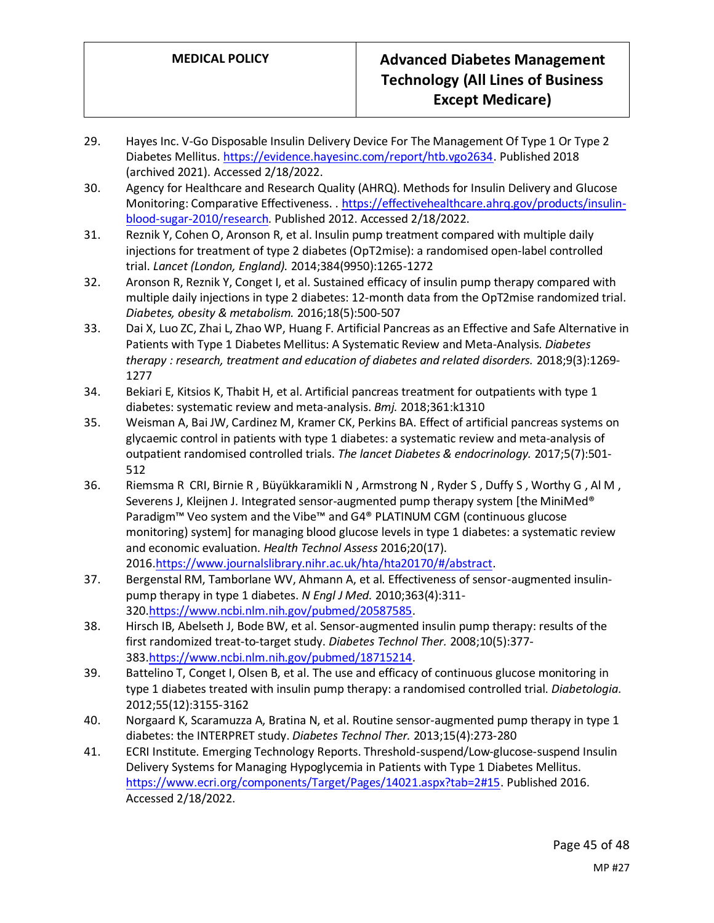- 29. Hayes Inc. V-Go Disposable Insulin Delivery Device For The Management Of Type 1 Or Type 2 Diabetes Mellitus[. https://evidence.hayesinc.com/report/htb.vgo2634.](https://evidence.hayesinc.com/report/htb.vgo2634) Published 2018 (archived 2021). Accessed 2/18/2022.
- 30. Agency for Healthcare and Research Quality (AHRQ). Methods for Insulin Delivery and Glucose Monitoring: Comparative Effectiveness. [. https://effectivehealthcare.ahrq.gov/products/insulin](https://effectivehealthcare.ahrq.gov/products/insulin-blood-sugar-2010/research)[blood-sugar-2010/research.](https://effectivehealthcare.ahrq.gov/products/insulin-blood-sugar-2010/research) Published 2012. Accessed 2/18/2022.
- 31. Reznik Y, Cohen O, Aronson R, et al. Insulin pump treatment compared with multiple daily injections for treatment of type 2 diabetes (OpT2mise): a randomised open-label controlled trial. *Lancet (London, England).* 2014;384(9950):1265-1272
- 32. Aronson R, Reznik Y, Conget I, et al. Sustained efficacy of insulin pump therapy compared with multiple daily injections in type 2 diabetes: 12-month data from the OpT2mise randomized trial. *Diabetes, obesity & metabolism.* 2016;18(5):500-507
- 33. Dai X, Luo ZC, Zhai L, Zhao WP, Huang F. Artificial Pancreas as an Effective and Safe Alternative in Patients with Type 1 Diabetes Mellitus: A Systematic Review and Meta-Analysis. *Diabetes therapy : research, treatment and education of diabetes and related disorders.* 2018;9(3):1269- 1277
- 34. Bekiari E, Kitsios K, Thabit H, et al. Artificial pancreas treatment for outpatients with type 1 diabetes: systematic review and meta-analysis. *Bmj.* 2018;361:k1310
- 35. Weisman A, Bai JW, Cardinez M, Kramer CK, Perkins BA. Effect of artificial pancreas systems on glycaemic control in patients with type 1 diabetes: a systematic review and meta-analysis of outpatient randomised controlled trials. *The lancet Diabetes & endocrinology.* 2017;5(7):501- 512
- 36. Riemsma R CRI, Birnie R , Büyükkaramikli N , Armstrong N , Ryder S , Duffy S , Worthy G , Al M , Severens J, Kleijnen J. Integrated sensor-augmented pump therapy system [the MiniMed® Paradigm™ Veo system and the Vibe™ and G4® PLATINUM CGM (continuous glucose monitoring) system] for managing blood glucose levels in type 1 diabetes: a systematic review and economic evaluation. *Health Technol Assess* 2016;20(17). 2016[.https://www.journalslibrary.nihr.ac.uk/hta/hta20170/#/abstract.](https://www.journalslibrary.nihr.ac.uk/hta/hta20170/#/abstract)
- 37. Bergenstal RM, Tamborlane WV, Ahmann A, et al. Effectiveness of sensor-augmented insulinpump therapy in type 1 diabetes. *N Engl J Med.* 2010;363(4):311- 320[.https://www.ncbi.nlm.nih.gov/pubmed/20587585.](https://www.ncbi.nlm.nih.gov/pubmed/20587585)
- 38. Hirsch IB, Abelseth J, Bode BW, et al. Sensor-augmented insulin pump therapy: results of the first randomized treat-to-target study. *Diabetes Technol Ther.* 2008;10(5):377- 383[.https://www.ncbi.nlm.nih.gov/pubmed/18715214.](https://www.ncbi.nlm.nih.gov/pubmed/18715214)
- 39. Battelino T, Conget I, Olsen B, et al. The use and efficacy of continuous glucose monitoring in type 1 diabetes treated with insulin pump therapy: a randomised controlled trial. *Diabetologia.*  2012;55(12):3155-3162
- 40. Norgaard K, Scaramuzza A, Bratina N, et al. Routine sensor-augmented pump therapy in type 1 diabetes: the INTERPRET study. *Diabetes Technol Ther.* 2013;15(4):273-280
- 41. ECRI Institute. Emerging Technology Reports. Threshold-suspend/Low-glucose-suspend Insulin Delivery Systems for Managing Hypoglycemia in Patients with Type 1 Diabetes Mellitus. [https://www.ecri.org/components/Target/Pages/14021.aspx?tab=2#15.](https://www.ecri.org/components/Target/Pages/14021.aspx?tab=2#15) Published 2016. Accessed 2/18/2022.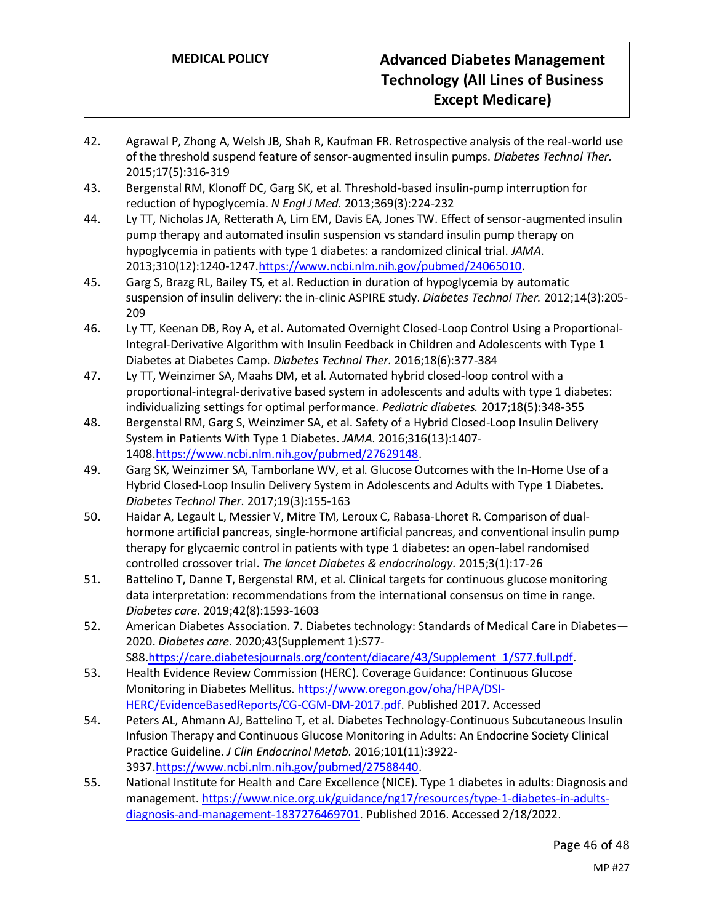- 42. Agrawal P, Zhong A, Welsh JB, Shah R, Kaufman FR. Retrospective analysis of the real-world use of the threshold suspend feature of sensor-augmented insulin pumps. *Diabetes Technol Ther.*  2015;17(5):316-319
- 43. Bergenstal RM, Klonoff DC, Garg SK, et al. Threshold-based insulin-pump interruption for reduction of hypoglycemia. *N Engl J Med.* 2013;369(3):224-232
- 44. Ly TT, Nicholas JA, Retterath A, Lim EM, Davis EA, Jones TW. Effect of sensor-augmented insulin pump therapy and automated insulin suspension vs standard insulin pump therapy on hypoglycemia in patients with type 1 diabetes: a randomized clinical trial. *JAMA.*  2013;310(12):1240-1247[.https://www.ncbi.nlm.nih.gov/pubmed/24065010.](https://www.ncbi.nlm.nih.gov/pubmed/24065010)
- 45. Garg S, Brazg RL, Bailey TS, et al. Reduction in duration of hypoglycemia by automatic suspension of insulin delivery: the in-clinic ASPIRE study. *Diabetes Technol Ther.* 2012;14(3):205- 209
- 46. Ly TT, Keenan DB, Roy A, et al. Automated Overnight Closed-Loop Control Using a Proportional-Integral-Derivative Algorithm with Insulin Feedback in Children and Adolescents with Type 1 Diabetes at Diabetes Camp. *Diabetes Technol Ther.* 2016;18(6):377-384
- 47. Ly TT, Weinzimer SA, Maahs DM, et al. Automated hybrid closed-loop control with a proportional-integral-derivative based system in adolescents and adults with type 1 diabetes: individualizing settings for optimal performance. *Pediatric diabetes.* 2017;18(5):348-355
- 48. Bergenstal RM, Garg S, Weinzimer SA, et al. Safety of a Hybrid Closed-Loop Insulin Delivery System in Patients With Type 1 Diabetes. *JAMA.* 2016;316(13):1407- 1408[.https://www.ncbi.nlm.nih.gov/pubmed/27629148.](https://www.ncbi.nlm.nih.gov/pubmed/27629148)
- 49. Garg SK, Weinzimer SA, Tamborlane WV, et al. Glucose Outcomes with the In-Home Use of a Hybrid Closed-Loop Insulin Delivery System in Adolescents and Adults with Type 1 Diabetes. *Diabetes Technol Ther.* 2017;19(3):155-163
- 50. Haidar A, Legault L, Messier V, Mitre TM, Leroux C, Rabasa-Lhoret R. Comparison of dualhormone artificial pancreas, single-hormone artificial pancreas, and conventional insulin pump therapy for glycaemic control in patients with type 1 diabetes: an open-label randomised controlled crossover trial. *The lancet Diabetes & endocrinology.* 2015;3(1):17-26
- 51. Battelino T, Danne T, Bergenstal RM, et al. Clinical targets for continuous glucose monitoring data interpretation: recommendations from the international consensus on time in range. *Diabetes care.* 2019;42(8):1593-1603
- 52. American Diabetes Association. 7. Diabetes technology: Standards of Medical Care in Diabetes— 2020. *Diabetes care.* 2020;43(Supplement 1):S77- S88[.https://care.diabetesjournals.org/content/diacare/43/Supplement\\_1/S77.full.pdf.](https://care.diabetesjournals.org/content/diacare/43/Supplement_1/S77.full.pdf)
- 53. Health Evidence Review Commission (HERC). Coverage Guidance: Continuous Glucose Monitoring in Diabetes Mellitus. [https://www.oregon.gov/oha/HPA/DSI-](https://www.oregon.gov/oha/HPA/DSI-HERC/EvidenceBasedReports/CG-CGM-DM-2017.pdf)[HERC/EvidenceBasedReports/CG-CGM-DM-2017.pdf.](https://www.oregon.gov/oha/HPA/DSI-HERC/EvidenceBasedReports/CG-CGM-DM-2017.pdf) Published 2017. Accessed
- 54. Peters AL, Ahmann AJ, Battelino T, et al. Diabetes Technology-Continuous Subcutaneous Insulin Infusion Therapy and Continuous Glucose Monitoring in Adults: An Endocrine Society Clinical Practice Guideline. *J Clin Endocrinol Metab.* 2016;101(11):3922- 3937[.https://www.ncbi.nlm.nih.gov/pubmed/27588440.](https://www.ncbi.nlm.nih.gov/pubmed/27588440)
- 55. National Institute for Health and Care Excellence (NICE). Type 1 diabetes in adults: Diagnosis and management[. https://www.nice.org.uk/guidance/ng17/resources/type-1-diabetes-in-adults](https://www.nice.org.uk/guidance/ng17/resources/type-1-diabetes-in-adults-diagnosis-and-management-1837276469701)[diagnosis-and-management-1837276469701.](https://www.nice.org.uk/guidance/ng17/resources/type-1-diabetes-in-adults-diagnosis-and-management-1837276469701) Published 2016. Accessed 2/18/2022.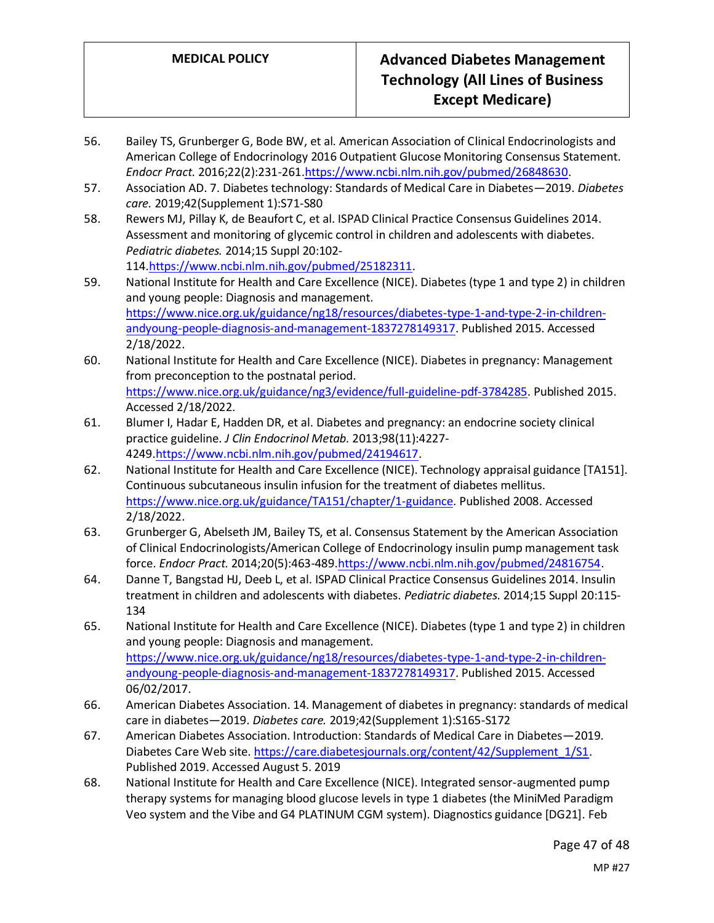- 56. Bailey TS, Grunberger G, Bode BW, et al. American Association of Clinical Endocrinologists and American College of Endocrinology 2016 Outpatient Glucose Monitoring Consensus Statement. *Endocr Pract.* 2016;22(2):231-261[.https://www.ncbi.nlm.nih.gov/pubmed/26848630.](https://www.ncbi.nlm.nih.gov/pubmed/26848630)
- 57. Association AD. 7. Diabetes technology: Standards of Medical Care in Diabetes—2019. *Diabetes care.* 2019;42(Supplement 1):S71-S80
- 58. Rewers MJ, Pillay K, de Beaufort C, et al. ISPAD Clinical Practice Consensus Guidelines 2014. Assessment and monitoring of glycemic control in children and adolescents with diabetes. *Pediatric diabetes.* 2014;15 Suppl 20:102- 114[.https://www.ncbi.nlm.nih.gov/pubmed/25182311.](https://www.ncbi.nlm.nih.gov/pubmed/25182311)
- 59. National Institute for Health and Care Excellence (NICE). Diabetes (type 1 and type 2) in children and young people: Diagnosis and management. [https://www.nice.org.uk/guidance/ng18/resources/diabetes-type-1-and-type-2-in-children](https://www.nice.org.uk/guidance/ng18/resources/diabetes-type-1-and-type-2-in-children-andyoung-people-diagnosis-and-management-1837278149317)[andyoung-people-diagnosis-and-management-1837278149317.](https://www.nice.org.uk/guidance/ng18/resources/diabetes-type-1-and-type-2-in-children-andyoung-people-diagnosis-and-management-1837278149317) Published 2015. Accessed 2/18/2022.
- 60. National Institute for Health and Care Excellence (NICE). Diabetes in pregnancy: Management from preconception to the postnatal period. [https://www.nice.org.uk/guidance/ng3/evidence/full-guideline-pdf-3784285.](https://www.nice.org.uk/guidance/ng3/evidence/full-guideline-pdf-3784285) Published 2015. Accessed 2/18/2022.
- 61. Blumer I, Hadar E, Hadden DR, et al. Diabetes and pregnancy: an endocrine society clinical practice guideline. *J Clin Endocrinol Metab.* 2013;98(11):4227- 4249[.https://www.ncbi.nlm.nih.gov/pubmed/24194617.](https://www.ncbi.nlm.nih.gov/pubmed/24194617)
- 62. National Institute for Health and Care Excellence (NICE). Technology appraisal guidance [TA151]. Continuous subcutaneous insulin infusion for the treatment of diabetes mellitus. [https://www.nice.org.uk/guidance/TA151/chapter/1-guidance.](https://www.nice.org.uk/guidance/TA151/chapter/1-guidance) Published 2008. Accessed 2/18/2022.
- 63. Grunberger G, Abelseth JM, Bailey TS, et al. Consensus Statement by the American Association of Clinical Endocrinologists/American College of Endocrinology insulin pump management task force. *Endocr Pract.* 2014;20(5):463-489[.https://www.ncbi.nlm.nih.gov/pubmed/24816754.](https://www.ncbi.nlm.nih.gov/pubmed/24816754)
- 64. Danne T, Bangstad HJ, Deeb L, et al. ISPAD Clinical Practice Consensus Guidelines 2014. Insulin treatment in children and adolescents with diabetes. *Pediatric diabetes.* 2014;15 Suppl 20:115- 134
- 65. National Institute for Health and Care Excellence (NICE). Diabetes (type 1 and type 2) in children and young people: Diagnosis and management. [https://www.nice.org.uk/guidance/ng18/resources/diabetes-type-1-and-type-2-in-children](https://www.nice.org.uk/guidance/ng18/resources/diabetes-type-1-and-type-2-in-children-andyoung-people-diagnosis-and-management-1837278149317)[andyoung-people-diagnosis-and-management-1837278149317.](https://www.nice.org.uk/guidance/ng18/resources/diabetes-type-1-and-type-2-in-children-andyoung-people-diagnosis-and-management-1837278149317) Published 2015. Accessed 06/02/2017.
- 66. American Diabetes Association. 14. Management of diabetes in pregnancy: standards of medical care in diabetes—2019. *Diabetes care.* 2019;42(Supplement 1):S165-S172
- 67. American Diabetes Association. Introduction: Standards of Medical Care in Diabetes—2019. Diabetes Care Web site[. https://care.diabetesjournals.org/content/42/Supplement\\_1/S1.](https://care.diabetesjournals.org/content/42/Supplement_1/S1) Published 2019. Accessed August 5. 2019
- 68. National Institute for Health and Care Excellence (NICE). Integrated sensor-augmented pump therapy systems for managing blood glucose levels in type 1 diabetes (the MiniMed Paradigm Veo system and the Vibe and G4 PLATINUM CGM system). Diagnostics guidance [DG21]. Feb